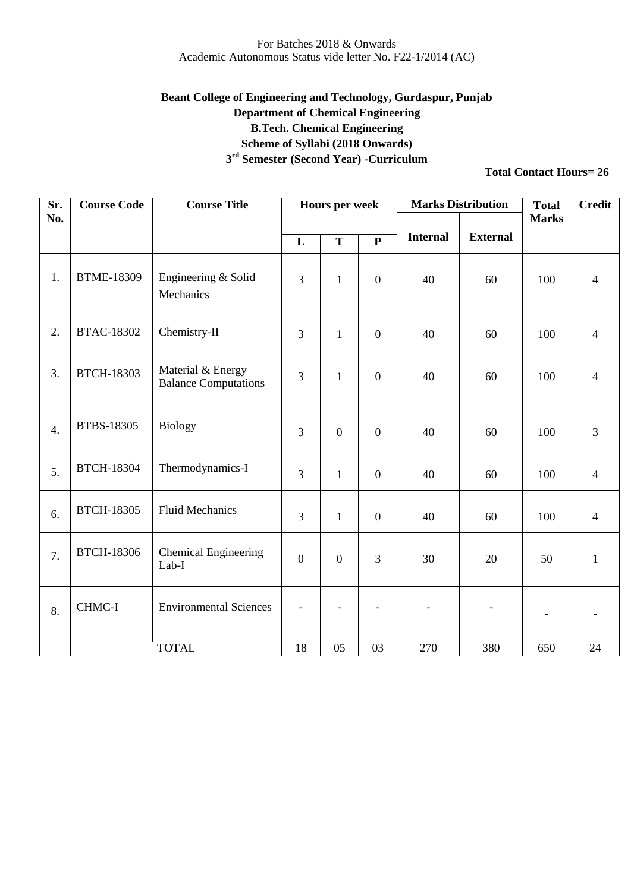## **Beant College of Engineering and Technology, Gurdaspur, Punjab Department of Chemical Engineering B.Tech. Chemical Engineering Scheme of Syllabi (2018 Onwards) 3 rd Semester (Second Year) -Curriculum**

| Sr.              | <b>Course Code</b> | <b>Course Title</b>                              |              | Hours per week   |                  | <b>Marks Distribution</b> |                 | <b>Total</b>             | <b>Credit</b>   |
|------------------|--------------------|--------------------------------------------------|--------------|------------------|------------------|---------------------------|-----------------|--------------------------|-----------------|
| No.              |                    |                                                  |              |                  |                  |                           |                 | <b>Marks</b>             |                 |
|                  |                    |                                                  | L            | T                | $\mathbf P$      | <b>Internal</b>           | <b>External</b> |                          |                 |
| 1.               | <b>BTME-18309</b>  | Engineering & Solid<br>Mechanics                 | 3            | $\mathbf{1}$     | $\boldsymbol{0}$ | 40                        | 60              | 100                      | $\overline{4}$  |
| 2.               | <b>BTAC-18302</b>  | Chemistry-II                                     | 3            | $\mathbf{1}$     | $\boldsymbol{0}$ | 40                        | 60              | 100                      | $\overline{4}$  |
| 3.               | <b>BTCH-18303</b>  | Material & Energy<br><b>Balance Computations</b> | 3            | $\mathbf{1}$     | $\boldsymbol{0}$ | 40                        | 60              | 100                      | $\overline{4}$  |
| $\overline{4}$ . | <b>BTBS-18305</b>  | <b>Biology</b>                                   | 3            | $\boldsymbol{0}$ | $\overline{0}$   | 40                        | 60              | 100                      | $\overline{3}$  |
| 5.               | <b>BTCH-18304</b>  | Thermodynamics-I                                 | 3            | $\mathbf{1}$     | $\boldsymbol{0}$ | 40                        | 60              | 100                      | $\overline{4}$  |
| 6.               | <b>BTCH-18305</b>  | <b>Fluid Mechanics</b>                           | 3            | $\mathbf{1}$     | $\boldsymbol{0}$ | 40                        | 60              | 100                      | $\overline{4}$  |
| 7.               | <b>BTCH-18306</b>  | <b>Chemical Engineering</b><br>Lab-I             | $\mathbf{0}$ | $\boldsymbol{0}$ | 3                | 30                        | 20              | 50                       | $\mathbf{1}$    |
| 8.               | CHMC-I             | <b>Environmental Sciences</b>                    |              |                  |                  |                           |                 | $\overline{\phantom{0}}$ |                 |
|                  |                    | <b>TOTAL</b>                                     | 18           | $\overline{05}$  | $\overline{03}$  | 270                       | 380             | 650                      | $\overline{24}$ |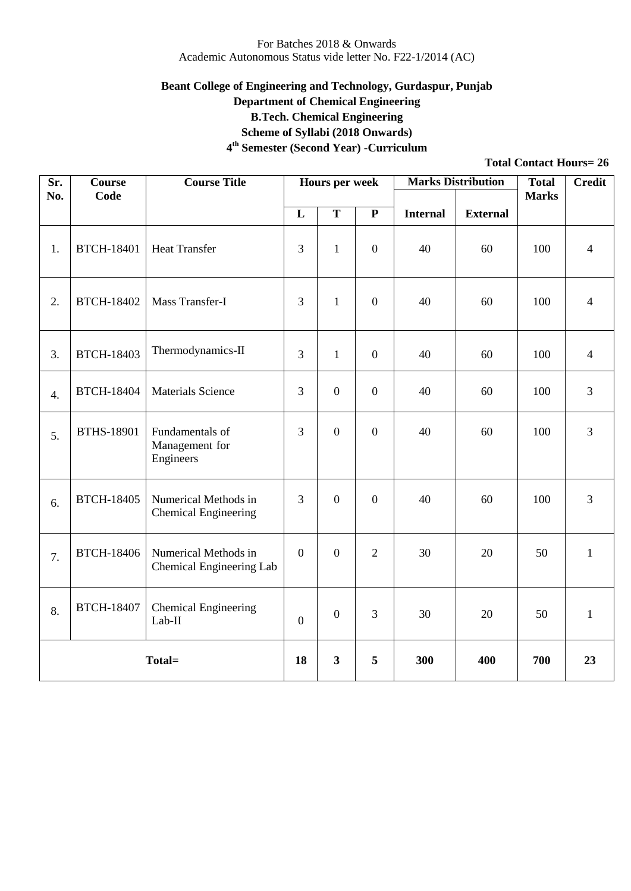## **Beant College of Engineering and Technology, Gurdaspur, Punjab Department of Chemical Engineering B.Tech. Chemical Engineering Scheme of Syllabi (2018 Onwards)**

**4 th Semester (Second Year) -Curriculum**

| Sr.              | <b>Course</b>     | <b>Course Title</b>                                 |                         | <b>Hours per week</b>   |                  |                 | <b>Marks Distribution</b> | <b>Total</b> | <b>Credit</b>  |
|------------------|-------------------|-----------------------------------------------------|-------------------------|-------------------------|------------------|-----------------|---------------------------|--------------|----------------|
| No.              | Code              |                                                     |                         |                         |                  |                 |                           | <b>Marks</b> |                |
|                  |                   |                                                     | $\overline{\mathbf{L}}$ | $\overline{\mathbf{T}}$ | $\overline{P}$   | <b>Internal</b> | <b>External</b>           |              |                |
| 1.               | <b>BTCH-18401</b> | <b>Heat Transfer</b>                                | 3                       | $\mathbf{1}$            | $\boldsymbol{0}$ | 40              | 60                        | 100          | $\overline{4}$ |
| 2.               | <b>BTCH-18402</b> | Mass Transfer-I                                     | 3                       | $\mathbf{1}$            | $\overline{0}$   | 40              | 60                        | 100          | $\overline{4}$ |
| 3.               | <b>BTCH-18403</b> | Thermodynamics-II                                   | 3                       | $\mathbf{1}$            | $\boldsymbol{0}$ | 40              | 60                        | 100          | $\overline{4}$ |
| $\overline{4}$ . | <b>BTCH-18404</b> | <b>Materials Science</b>                            | 3                       | $\overline{0}$          | $\boldsymbol{0}$ | 40              | 60                        | 100          | 3              |
| 5.               | <b>BTHS-18901</b> | Fundamentals of<br>Management for<br>Engineers      | 3                       | $\overline{0}$          | $\overline{0}$   | 40              | 60                        | 100          | 3              |
| 6.               | <b>BTCH-18405</b> | Numerical Methods in<br><b>Chemical Engineering</b> | $\overline{3}$          | $\boldsymbol{0}$        | $\boldsymbol{0}$ | 40              | 60                        | 100          | 3              |
| 7.               | <b>BTCH-18406</b> | Numerical Methods in<br>Chemical Engineering Lab    | $\mathbf{0}$            | $\boldsymbol{0}$        | $\overline{2}$   | 30              | 20                        | 50           | $\mathbf{1}$   |
| 8.               | <b>BTCH-18407</b> | <b>Chemical Engineering</b><br>$Lab-II$             | $\overline{0}$          | $\boldsymbol{0}$        | $\overline{3}$   | 30              | 20                        | 50           | $\mathbf{1}$   |
| Total=           |                   | 18                                                  | $\mathbf{3}$            | 5                       | 300              | 400             | 700                       | 23           |                |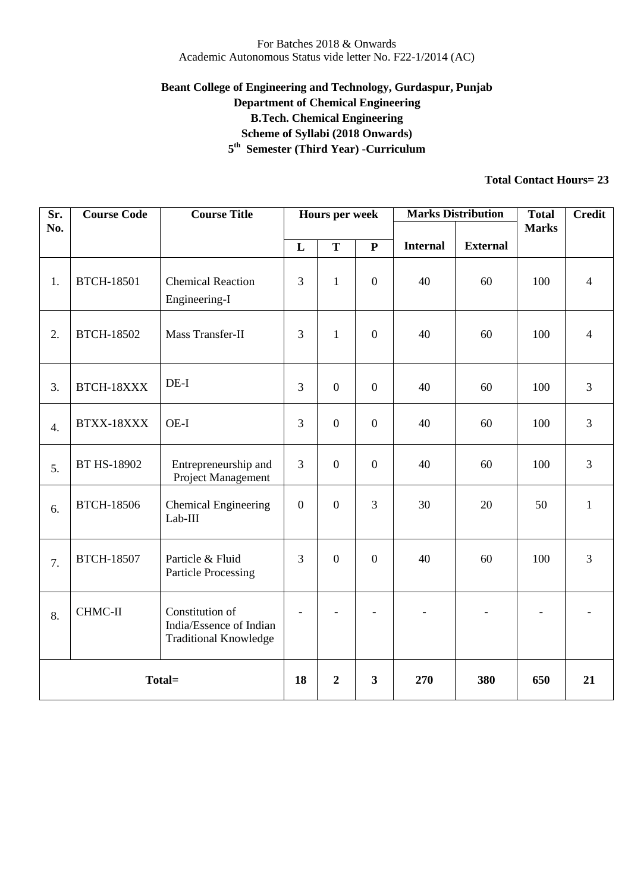## **Beant College of Engineering and Technology, Gurdaspur, Punjab Department of Chemical Engineering B.Tech. Chemical Engineering Scheme of Syllabi (2018 Onwards) 5 th Semester (Third Year) -Curriculum**

| Sr.<br>No. | <b>Course Code</b> | <b>Course Title</b>                                                        |                  | <b>Hours per week</b>   |                | <b>Marks Distribution</b> |                 | <b>Total</b><br><b>Marks</b> | <b>Credit</b>  |
|------------|--------------------|----------------------------------------------------------------------------|------------------|-------------------------|----------------|---------------------------|-----------------|------------------------------|----------------|
|            |                    |                                                                            | L                | T                       | ${\bf P}$      | <b>Internal</b>           | <b>External</b> |                              |                |
| 1.         | <b>BTCH-18501</b>  | <b>Chemical Reaction</b><br>Engineering-I                                  | 3                | $\mathbf{1}$            | $\overline{0}$ | 40                        | 60              | 100                          | $\overline{4}$ |
| 2.         | <b>BTCH-18502</b>  | Mass Transfer-II                                                           | 3                | $\mathbf{1}$            | $\overline{0}$ | 40                        | 60              | 100                          | $\overline{4}$ |
| 3.         | BTCH-18XXX         | $DE-I$                                                                     | $\overline{3}$   | $\boldsymbol{0}$        | $\overline{0}$ | 40                        | 60              | 100                          | $\overline{3}$ |
| 4.         | BTXX-18XXX         | OE-I                                                                       | $\overline{3}$   | $\overline{0}$          | $\overline{0}$ | 40                        | 60              | 100                          | $\overline{3}$ |
| 5.         | BT HS-18902        | Entrepreneurship and<br>Project Management                                 | $\overline{3}$   | $\boldsymbol{0}$        | $\overline{0}$ | 40                        | 60              | 100                          | $\overline{3}$ |
| 6.         | <b>BTCH-18506</b>  | <b>Chemical Engineering</b><br>Lab-III                                     | $\mathbf{0}$     | $\boldsymbol{0}$        | 3              | 30                        | 20              | 50                           | $\mathbf{1}$   |
| 7.         | <b>BTCH-18507</b>  | Particle & Fluid<br><b>Particle Processing</b>                             | 3                | $\boldsymbol{0}$        | $\overline{0}$ | 40                        | 60              | 100                          | 3              |
| 8.         | CHMC-II            | Constitution of<br>India/Essence of Indian<br><b>Traditional Knowledge</b> |                  |                         |                |                           |                 | $\overline{\phantom{a}}$     |                |
| Total=     |                    | 18                                                                         | $\boldsymbol{2}$ | $\overline{\mathbf{3}}$ | 270            | 380                       | 650             | 21                           |                |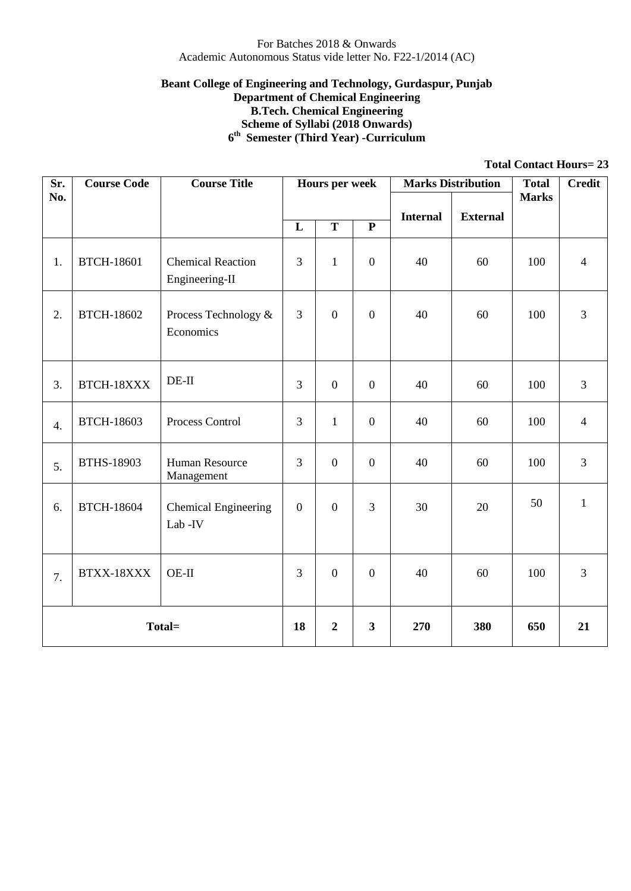#### **Beant College of Engineering and Technology, Gurdaspur, Punjab Department of Chemical Engineering B.Tech. Chemical Engineering Scheme of Syllabi (2018 Onwards) 6 th Semester (Third Year) -Curriculum**

| Sr.              | <b>Course Code</b> | <b>Course Title</b>                        |                | <b>Hours per week</b>   |                  | <b>Marks Distribution</b> |                 | <b>Total</b> | <b>Credit</b>  |
|------------------|--------------------|--------------------------------------------|----------------|-------------------------|------------------|---------------------------|-----------------|--------------|----------------|
| No.              |                    |                                            |                |                         |                  |                           | <b>External</b> | <b>Marks</b> |                |
|                  |                    |                                            | L              | $\mathbf T$             | ${\bf P}$        | <b>Internal</b>           |                 |              |                |
| 1.               | <b>BTCH-18601</b>  | <b>Chemical Reaction</b><br>Engineering-II | 3              | $\mathbf{1}$            | $\boldsymbol{0}$ | 40                        | 60              | 100          | $\overline{4}$ |
| 2.               | <b>BTCH-18602</b>  | Process Technology &<br>Economics          | 3              | $\boldsymbol{0}$        | $\boldsymbol{0}$ | 40                        | 60              | 100          | 3              |
| 3.               | BTCH-18XXX         | $DE-II$                                    | 3              | $\boldsymbol{0}$        | $\overline{0}$   | 40                        | 60              | 100          | 3              |
| $\overline{4}$ . | <b>BTCH-18603</b>  | Process Control                            | 3              | $\mathbf{1}$            | $\boldsymbol{0}$ | 40                        | 60              | 100          | $\overline{4}$ |
| 5.               | BTHS-18903         | <b>Human Resource</b><br>Management        | 3              | $\boldsymbol{0}$        | $\boldsymbol{0}$ | 40                        | 60              | 100          | 3              |
| 6.               | <b>BTCH-18604</b>  | <b>Chemical Engineering</b><br>Lab-IV      | $\overline{0}$ | $\mathbf{0}$            | 3                | 30                        | 20              | 50           | $\mathbf{1}$   |
| 7.               | BTXX-18XXX         | $OE-II$                                    | 3              | $\boldsymbol{0}$        | $\boldsymbol{0}$ | 40                        | 60              | 100          | 3              |
| Total=           |                    | 18                                         | $\overline{2}$ | $\overline{\mathbf{3}}$ | 270              | 380                       | 650             | 21           |                |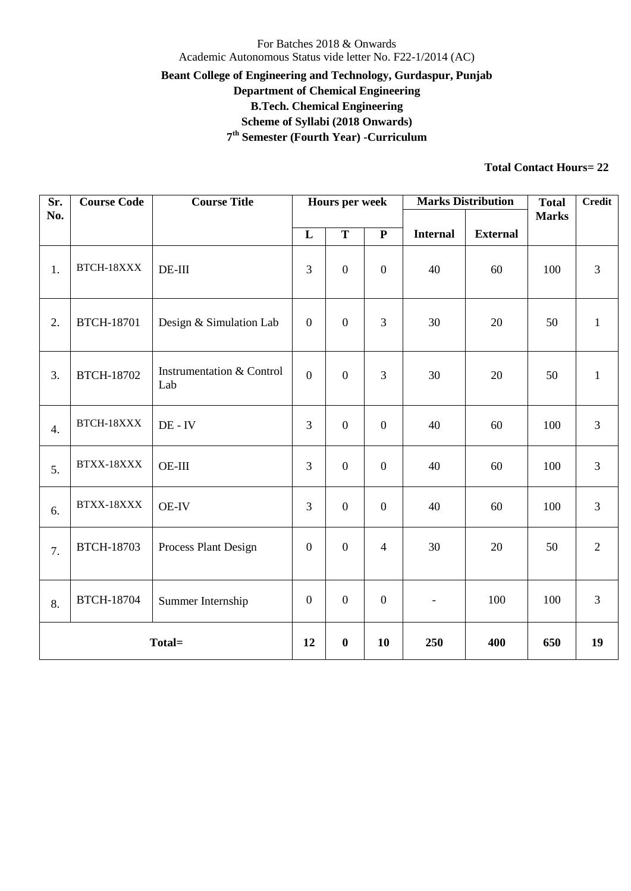## For Batches 2018 & Onwards Academic Autonomous Status vide letter No. F22-1/2014 (AC) **Beant College of Engineering and Technology, Gurdaspur, Punjab Department of Chemical Engineering B.Tech. Chemical Engineering Scheme of Syllabi (2018 Onwards) 7 th Semester (Fourth Year) -Curriculum**

| Sr.<br>No. | <b>Course Code</b> | <b>Course Title</b>              |                  | <b>Hours per week</b> |                  | <b>Marks Distribution</b> |                 | <b>Total</b><br><b>Marks</b> | <b>Credit</b>  |
|------------|--------------------|----------------------------------|------------------|-----------------------|------------------|---------------------------|-----------------|------------------------------|----------------|
|            |                    |                                  | L                | $\mathbf T$           | $\mathbf P$      | <b>Internal</b>           | <b>External</b> |                              |                |
| 1.         | BTCH-18XXX         | $DE-III$                         | $\mathfrak{Z}$   | $\boldsymbol{0}$      | $\mathbf{0}$     | 40                        | 60              | 100                          | 3              |
| 2.         | <b>BTCH-18701</b>  | Design & Simulation Lab          | $\overline{0}$   | $\boldsymbol{0}$      | $\overline{3}$   | 30                        | 20              | 50                           | $\mathbf{1}$   |
| 3.         | <b>BTCH-18702</b>  | Instrumentation & Control<br>Lab | $\overline{0}$   | $\overline{0}$        | $\overline{3}$   | 30                        | 20              | 50                           | $\mathbf{1}$   |
| 4.         | BTCH-18XXX         | $DE - IV$                        | $\overline{3}$   | $\mathbf{0}$          | $\mathbf{0}$     | 40                        | 60              | 100                          | $\mathfrak{Z}$ |
| 5.         | BTXX-18XXX         | OE-III                           | $\mathfrak{Z}$   | $\boldsymbol{0}$      | $\boldsymbol{0}$ | 40                        | 60              | 100                          | 3              |
| 6.         | BTXX-18XXX         | <b>OE-IV</b>                     | $\overline{3}$   | $\boldsymbol{0}$      | $\boldsymbol{0}$ | 40                        | 60              | 100                          | $\mathfrak{Z}$ |
| 7.         | <b>BTCH-18703</b>  | Process Plant Design             | $\mathbf{0}$     | $\boldsymbol{0}$      | $\overline{4}$   | 30                        | 20              | 50                           | $\overline{2}$ |
| 8.         | <b>BTCH-18704</b>  | Summer Internship                | $\mathbf{0}$     | $\boldsymbol{0}$      | $\mathbf{0}$     | $\overline{\phantom{a}}$  | 100             | 100                          | $\mathfrak{Z}$ |
| Total=     |                    | 12                               | $\boldsymbol{0}$ | 10                    | 250              | 400                       | 650             | 19                           |                |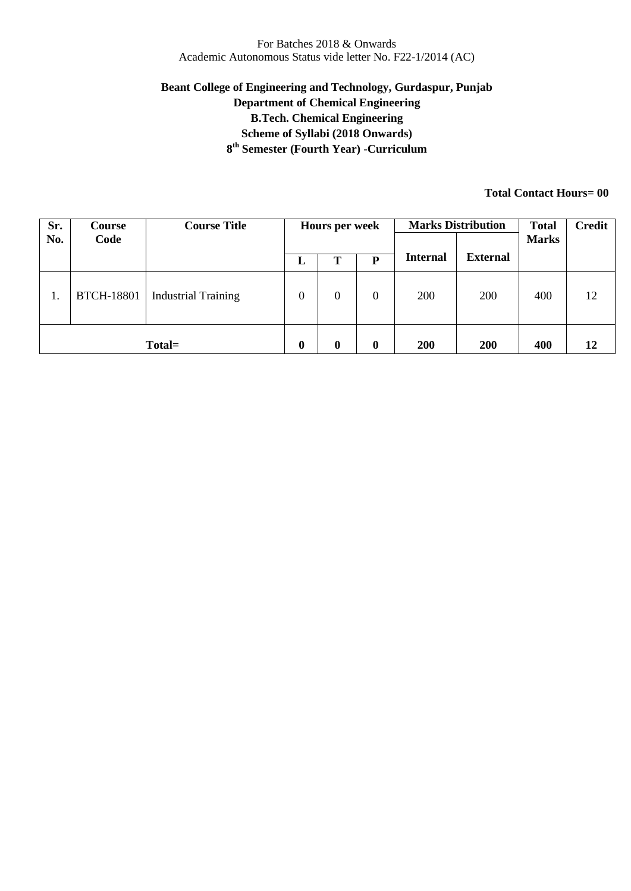## **Beant College of Engineering and Technology, Gurdaspur, Punjab Department of Chemical Engineering B.Tech. Chemical Engineering Scheme of Syllabi (2018 Onwards) 8 th Semester (Fourth Year) -Curriculum**

| Sr. | <b>Course</b>     | <b>Course Title</b>        | Hours per week   |                  |          | <b>Marks Distribution</b> | <b>Total</b>    | <b>Credit</b> |    |
|-----|-------------------|----------------------------|------------------|------------------|----------|---------------------------|-----------------|---------------|----|
| No. | Code              |                            |                  |                  |          |                           |                 | <b>Marks</b>  |    |
|     |                   |                            | ப                | Т                | P        | <b>Internal</b>           | <b>External</b> |               |    |
| 1.  | <b>BTCH-18801</b> | <b>Industrial Training</b> | $\boldsymbol{0}$ | $\boldsymbol{0}$ | 0        | 200                       | 200             | 400           | 12 |
|     |                   | Total=                     | $\bf{0}$         | $\boldsymbol{0}$ | $\bf{0}$ | 200                       | 200             | 400           | 12 |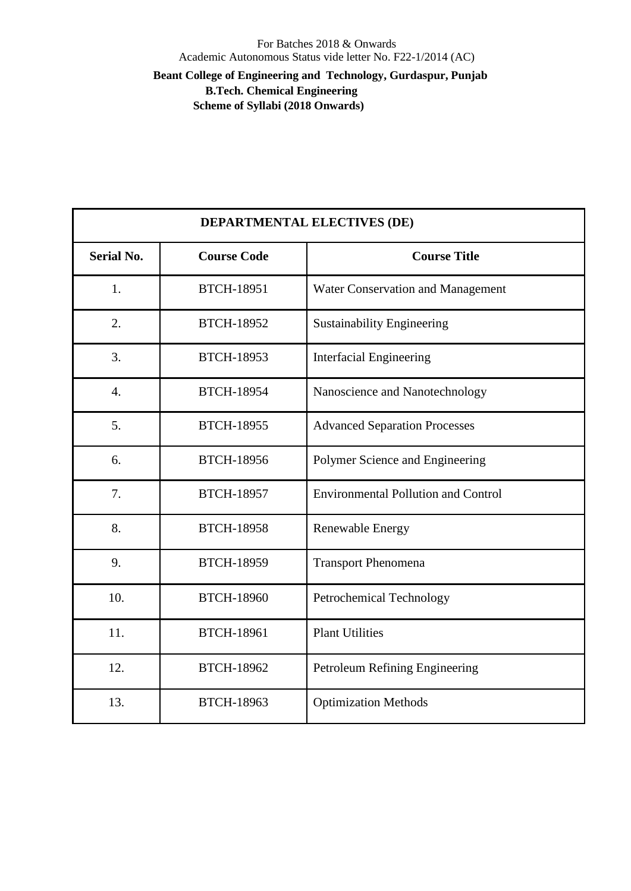**Beant College of Engineering and Technology, Gurdaspur, Punjab B.Tech. Chemical Engineering** 

 **Scheme of Syllabi (2018 Onwards)**

|                   | <b>DEPARTMENTAL ELECTIVES (DE)</b> |                                            |  |  |  |  |
|-------------------|------------------------------------|--------------------------------------------|--|--|--|--|
| <b>Serial No.</b> | <b>Course Code</b>                 | <b>Course Title</b>                        |  |  |  |  |
| 1.                | <b>BTCH-18951</b>                  | Water Conservation and Management          |  |  |  |  |
| 2.                | <b>BTCH-18952</b>                  | <b>Sustainability Engineering</b>          |  |  |  |  |
| 3.                | <b>BTCH-18953</b>                  | <b>Interfacial Engineering</b>             |  |  |  |  |
| $\overline{4}$ .  | <b>BTCH-18954</b>                  | Nanoscience and Nanotechnology             |  |  |  |  |
| 5.                | <b>BTCH-18955</b>                  | <b>Advanced Separation Processes</b>       |  |  |  |  |
| 6.                | <b>BTCH-18956</b>                  | Polymer Science and Engineering            |  |  |  |  |
| 7.                | <b>BTCH-18957</b>                  | <b>Environmental Pollution and Control</b> |  |  |  |  |
| 8.                | <b>BTCH-18958</b>                  | Renewable Energy                           |  |  |  |  |
| 9.                | <b>BTCH-18959</b>                  | <b>Transport Phenomena</b>                 |  |  |  |  |
| 10.               | <b>BTCH-18960</b>                  | Petrochemical Technology                   |  |  |  |  |
| 11.               | <b>BTCH-18961</b>                  | <b>Plant Utilities</b>                     |  |  |  |  |
| 12.               | <b>BTCH-18962</b>                  | Petroleum Refining Engineering             |  |  |  |  |
| 13.               | <b>BTCH-18963</b>                  | <b>Optimization Methods</b>                |  |  |  |  |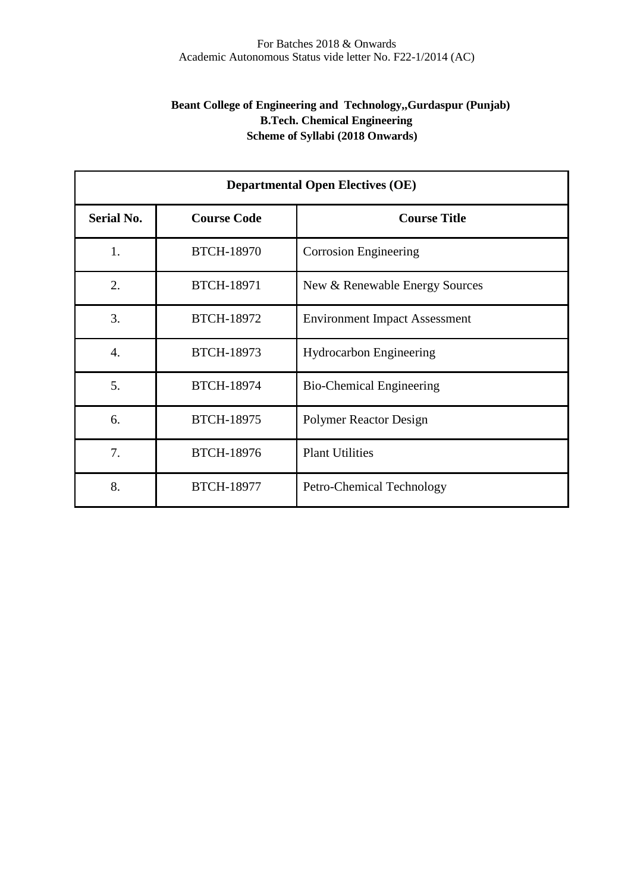## **Beant College of Engineering and Technology,,Gurdaspur (Punjab) B.Tech. Chemical Engineering Scheme of Syllabi (2018 Onwards)**

|                   | <b>Departmental Open Electives (OE)</b> |                                      |  |  |  |  |  |
|-------------------|-----------------------------------------|--------------------------------------|--|--|--|--|--|
| <b>Serial No.</b> | <b>Course Code</b>                      | <b>Course Title</b>                  |  |  |  |  |  |
| 1.                | <b>BTCH-18970</b>                       | <b>Corrosion Engineering</b>         |  |  |  |  |  |
| 2.                | <b>BTCH-18971</b>                       | New & Renewable Energy Sources       |  |  |  |  |  |
| 3.                | <b>BTCH-18972</b>                       | <b>Environment Impact Assessment</b> |  |  |  |  |  |
| $\overline{4}$ .  | <b>BTCH-18973</b>                       | <b>Hydrocarbon Engineering</b>       |  |  |  |  |  |
| 5.                | <b>BTCH-18974</b>                       | <b>Bio-Chemical Engineering</b>      |  |  |  |  |  |
| 6.                | <b>BTCH-18975</b>                       | <b>Polymer Reactor Design</b>        |  |  |  |  |  |
| 7.                | <b>BTCH-18976</b>                       | <b>Plant Utilities</b>               |  |  |  |  |  |
| 8.                | <b>BTCH-18977</b>                       | Petro-Chemical Technology            |  |  |  |  |  |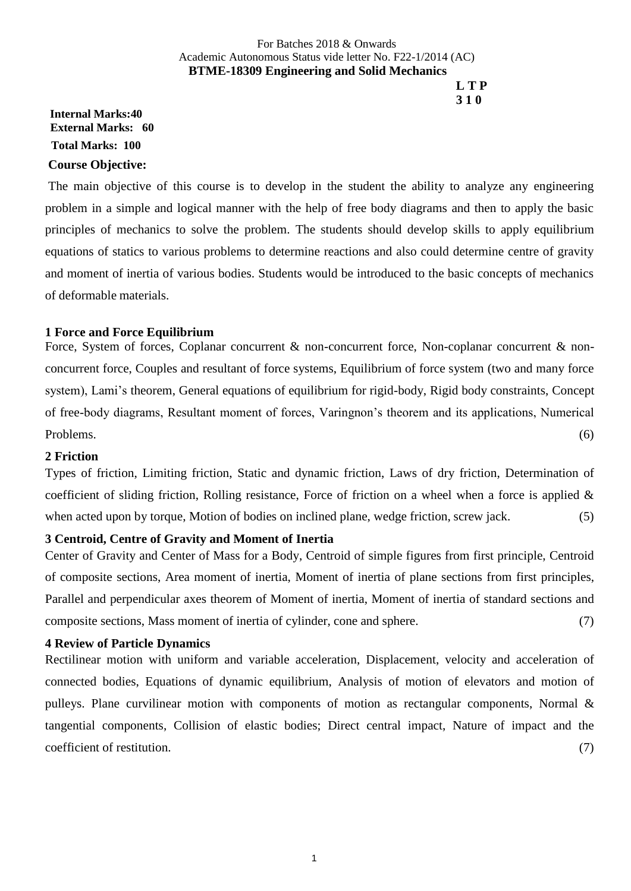### For Batches 2018 & Onwards Academic Autonomous Status vide letter No. F22-1/2014 (AC) **BTME-18309 Engineering and Solid Mechanics L T P**

# **3 1 0**

## **Internal Marks:40 External Marks: 60 Total Marks: 100 Course Objective:**

The main objective of this course is to develop in the student the ability to analyze any engineering problem in a simple and logical manner with the help of free body diagrams and then to apply the basic principles of mechanics to solve the problem. The students should develop skills to apply equilibrium equations of statics to various problems to determine reactions and also could determine centre of gravity and moment of inertia of various bodies. Students would be introduced to the basic concepts of mechanics of deformable materials.

### **1 Force and Force Equilibrium**

Force, System of forces, Coplanar concurrent & non-concurrent force, Non-coplanar concurrent & nonconcurrent force, Couples and resultant of force systems, Equilibrium of force system (two and many force system), Lami's theorem, General equations of equilibrium for rigid-body, Rigid body constraints, Concept of free-body diagrams, Resultant moment of forces, Varingnon's theorem and its applications, Numerical Problems. (6)

#### **2 Friction**

Types of friction, Limiting friction, Static and dynamic friction, Laws of dry friction, Determination of coefficient of sliding friction, Rolling resistance, Force of friction on a wheel when a force is applied & when acted upon by torque, Motion of bodies on inclined plane, wedge friction, screw jack. (5)

#### **3 Centroid, Centre of Gravity and Moment of Inertia**

Center of Gravity and Center of Mass for a Body, Centroid of simple figures from first principle, Centroid of composite sections, Area moment of inertia, Moment of inertia of plane sections from first principles, Parallel and perpendicular axes theorem of Moment of inertia, Moment of inertia of standard sections and composite sections, Mass moment of inertia of cylinder, cone and sphere. (7)

#### **4 Review of Particle Dynamics**

Rectilinear motion with uniform and variable acceleration, Displacement, velocity and acceleration of connected bodies, Equations of dynamic equilibrium, Analysis of motion of elevators and motion of pulleys. Plane curvilinear motion with components of motion as rectangular components, Normal & tangential components, Collision of elastic bodies; Direct central impact, Nature of impact and the coefficient of restitution. (7)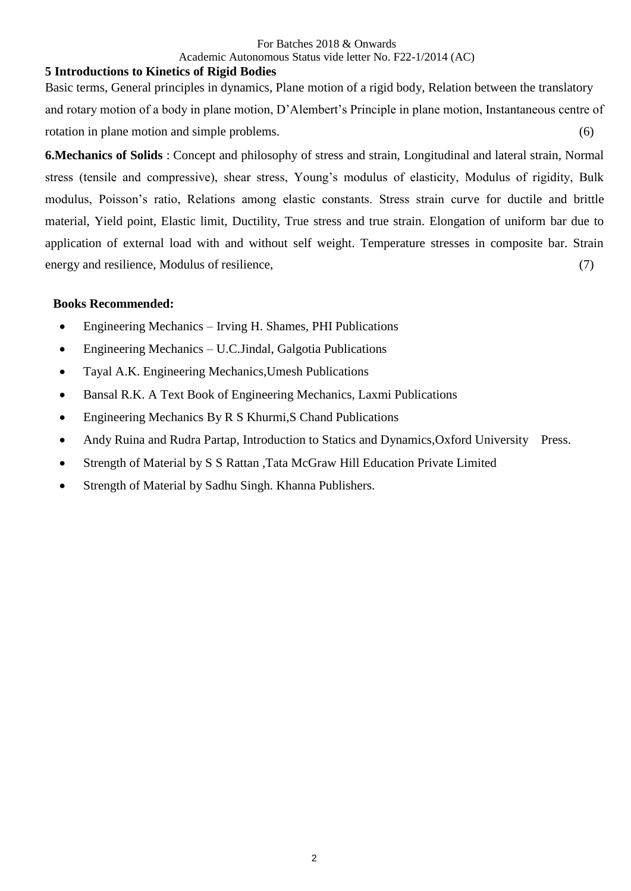## For Batches 2018 & Onwards

## Academic Autonomous Status vide letter No. F22-1/2014 (AC)

### **5 Introductions to Kinetics of Rigid Bodies**

Basic terms, General principles in dynamics, Plane motion of a rigid body, Relation between the translatory and rotary motion of a body in plane motion, D'Alembert's Principle in plane motion, Instantaneous centre of rotation in plane motion and simple problems. (6)

**6.Mechanics of Solids** : Concept and philosophy of stress and strain, Longitudinal and lateral strain, Normal stress (tensile and compressive), shear stress, Young's modulus of elasticity, Modulus of rigidity, Bulk modulus, Poisson's ratio, Relations among elastic constants. Stress strain curve for ductile and brittle material, Yield point, Elastic limit, Ductility, True stress and true strain. Elongation of uniform bar due to application of external load with and without self weight. Temperature stresses in composite bar. Strain energy and resilience, Modulus of resilience,  $(7)$ 

### **Books Recommended:**

- Engineering Mechanics Irving H. Shames, PHI Publications
- Engineering Mechanics U.C.Jindal, Galgotia Publications
- Tayal A.K. Engineering Mechanics,Umesh Publications
- Bansal R.K. A Text Book of Engineering Mechanics, Laxmi Publications
- Engineering Mechanics By R S Khurmi, S Chand Publications
- Andy Ruina and Rudra Partap, Introduction to Statics and Dynamics, Oxford University Press.
- Strength of Material by S S Rattan ,Tata McGraw Hill Education Private Limited
- Strength of Material by Sadhu Singh. Khanna Publishers.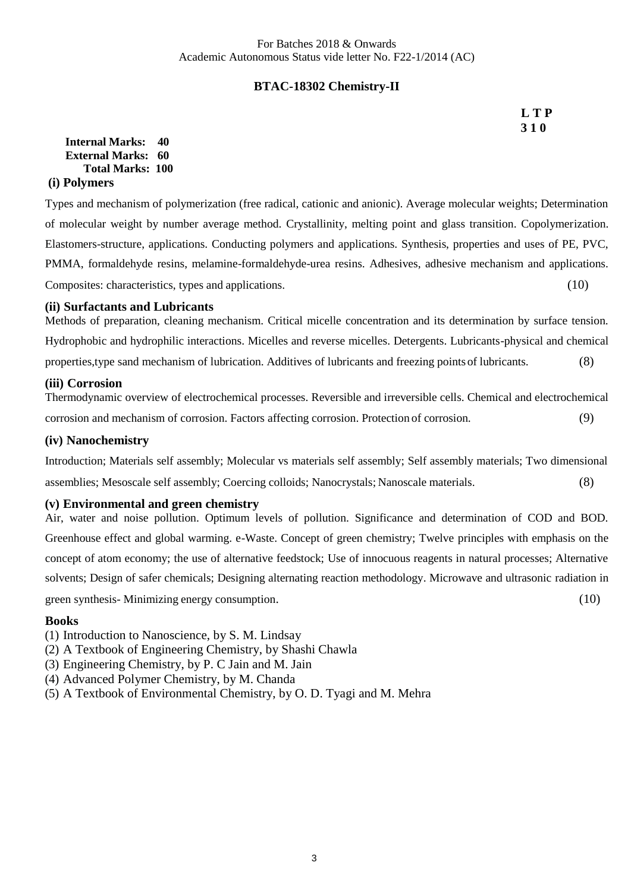## **BTAC-18302 Chemistry-II**

**L T P 3 1 0**

**Internal Marks: 40 External Marks: 60 Total Marks: 100 (i) Polymers**

Types and mechanism of polymerization (free radical, cationic and anionic). Average molecular weights; Determination of molecular weight by number average method. Crystallinity, melting point and glass transition. Copolymerization. Elastomers-structure, applications. Conducting polymers and applications. Synthesis, properties and uses of PE, PVC, PMMA, formaldehyde resins, melamine-formaldehyde-urea resins. Adhesives, adhesive mechanism and applications. Composites: characteristics, types and applications. (10)

#### **(ii) Surfactants and Lubricants**

Methods of preparation, cleaning mechanism. Critical micelle concentration and its determination by surface tension. Hydrophobic and hydrophilic interactions. Micelles and reverse micelles. Detergents. Lubricants-physical and chemical properties,type sand mechanism of lubrication. Additives of lubricants and freezing points of lubricants. (8)

#### **(iii) Corrosion**

Thermodynamic overview of electrochemical processes. Reversible and irreversible cells. Chemical and electrochemical corrosion and mechanism of corrosion. Factors affecting corrosion. Protection of corrosion. (9)

#### **(iv) Nanochemistry**

Introduction; Materials self assembly; Molecular vs materials self assembly; Self assembly materials; Two dimensional assemblies; Mesoscale self assembly; Coercing colloids; Nanocrystals; Nanoscale materials. (8)

#### **(v) Environmental and green chemistry**

Air, water and noise pollution. Optimum levels of pollution. Significance and determination of COD and BOD. Greenhouse effect and global warming. e-Waste. Concept of green chemistry; Twelve principles with emphasis on the concept of atom economy; the use of alternative feedstock; Use of innocuous reagents in natural processes; Alternative solvents; Design of safer chemicals; Designing alternating reaction methodology. Microwave and ultrasonic radiation in green synthesis- Minimizing energy consumption. (10)

#### **Books**

(1) Introduction to Nanoscience, by S. M. Lindsay

- (2) A Textbook of Engineering Chemistry, by Shashi Chawla
- (3) Engineering Chemistry, by P. C Jain and M. Jain
- (4) Advanced Polymer Chemistry, by M. Chanda
- (5) A Textbook of Environmental Chemistry, by O. D. Tyagi and M. Mehra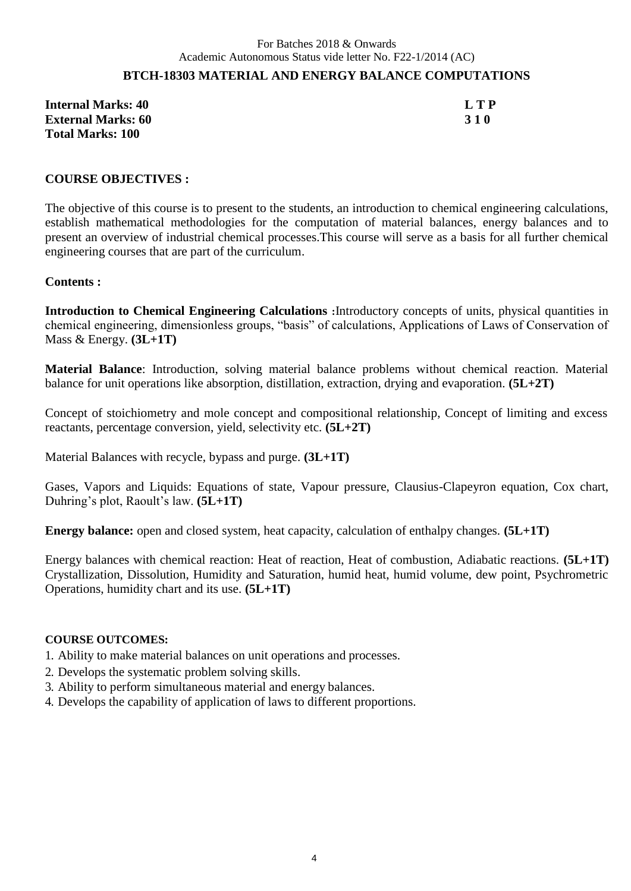## **BTCH-18303 MATERIAL AND ENERGY BALANCE COMPUTATIONS**

**Internal Marks: 40 L T P External Marks: 60 3 1 0 Total Marks: 100**

#### **COURSE OBJECTIVES :**

The objective of this course is to present to the students, an introduction to chemical engineering calculations, establish mathematical methodologies for the computation of material balances, energy balances and to present an overview of industrial chemical processes.This course will serve as a basis for all further chemical engineering courses that are part of the curriculum.

#### **Contents :**

**Introduction to Chemical Engineering Calculations :**Introductory concepts of units, physical quantities in chemical engineering, dimensionless groups, "basis" of calculations, Applications of Laws of Conservation of Mass & Energy. **(3L+1T)**

**Material Balance**: Introduction, solving material balance problems without chemical reaction. Material balance for unit operations like absorption, distillation, extraction, drying and evaporation. **(5L+2T)**

Concept of stoichiometry and mole concept and compositional relationship, Concept of limiting and excess reactants, percentage conversion, yield, selectivity etc. **(5L+2T)**

Material Balances with recycle, bypass and purge. **(3L+1T)**

Gases, Vapors and Liquids: Equations of state, Vapour pressure, Clausius-Clapeyron equation, Cox chart, Duhring's plot, Raoult's law. **(5L+1T)**

Energy balance: open and closed system, heat capacity, calculation of enthalpy changes.  $(5L+1T)$ 

Energy balances with chemical reaction: Heat of reaction, Heat of combustion, Adiabatic reactions. **(5L+1T)**  Crystallization, Dissolution, Humidity and Saturation, humid heat, humid volume, dew point, Psychrometric Operations, humidity chart and its use. **(5L+1T)**

#### **COURSE OUTCOMES:**

1. Ability to make material balances on unit operations and processes.

- 2. Develops the systematic problem solving skills.
- 3. Ability to perform simultaneous material and energy balances.
- 4. Develops the capability of application of laws to different proportions.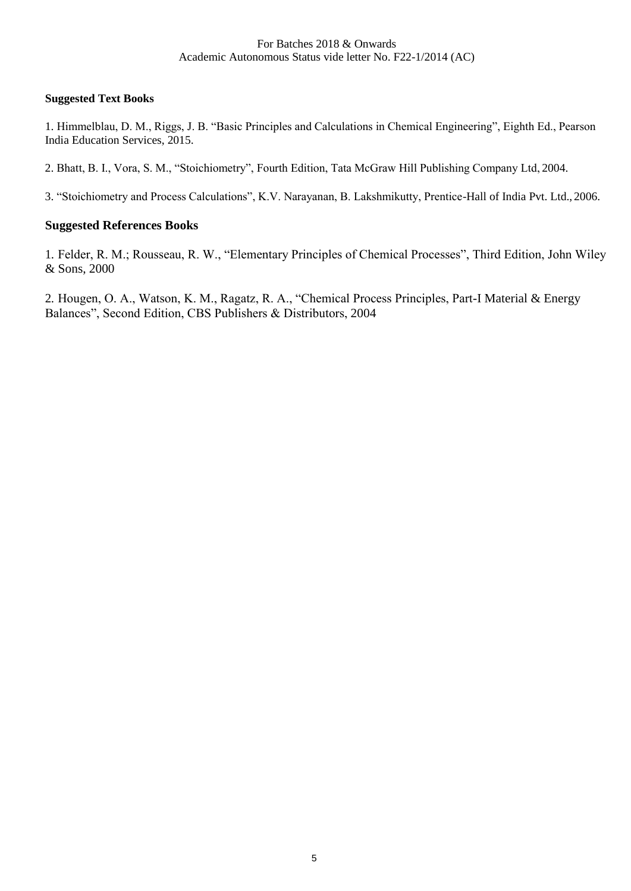#### **Suggested Text Books**

1. Himmelblau, D. M., Riggs, J. B. "Basic Principles and Calculations in Chemical Engineering", Eighth Ed., Pearson India Education Services, 2015.

2. Bhatt, B. I., Vora, S. M., "Stoichiometry", Fourth Edition, Tata McGraw Hill Publishing Company Ltd, 2004.

3. "Stoichiometry and Process Calculations", K.V. Narayanan, B. Lakshmikutty, Prentice-Hall of India Pvt. Ltd., 2006.

#### **Suggested References Books**

1. Felder, R. M.; Rousseau, R. W., "Elementary Principles of Chemical Processes", Third Edition, John Wiley & Sons, 2000

2. Hougen, O. A., Watson, K. M., Ragatz, R. A., "Chemical Process Principles, Part-I Material & Energy Balances", Second Edition, CBS Publishers & Distributors, 2004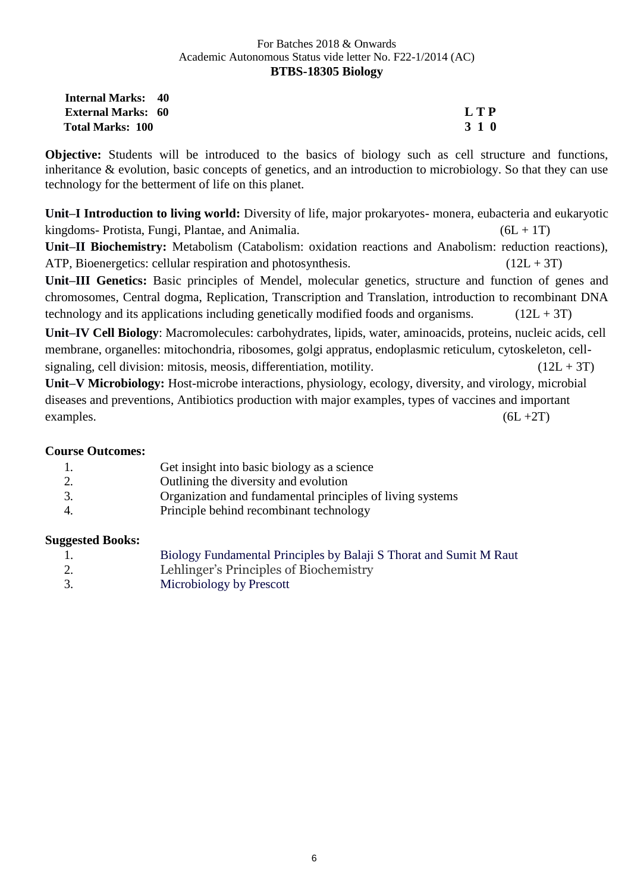| <b>Internal Marks: 40</b> |       |
|---------------------------|-------|
| <b>External Marks: 60</b> | L T P |
| <b>Total Marks: 100</b>   | 3 1 0 |

**Objective:** Students will be introduced to the basics of biology such as cell structure and functions, inheritance & evolution, basic concepts of genetics, and an introduction to microbiology. So that they can use technology for the betterment of life on this planet.

**Unit–I Introduction to living world:** Diversity of life, major prokaryotes- monera, eubacteria and eukaryotic kingdoms- Protista, Fungi, Plantae, and Animalia.  $(6L + 1T)$ 

**Unit–II Biochemistry:** Metabolism (Catabolism: oxidation reactions and Anabolism: reduction reactions), ATP, Bioenergetics: cellular respiration and photosynthesis.  $(12L + 3T)$ 

**Unit–III Genetics:** Basic principles of Mendel, molecular genetics, structure and function of genes and chromosomes, Central dogma, Replication, Transcription and Translation, introduction to recombinant DNA technology and its applications including genetically modified foods and organisms.  $(12L + 3T)$ 

**Unit–IV Cell Biology**: Macromolecules: carbohydrates, lipids, water, aminoacids, proteins, nucleic acids, cell membrane, organelles: mitochondria, ribosomes, golgi appratus, endoplasmic reticulum, cytoskeleton, cellsignaling, cell division: mitosis, meosis, differentiation, motility.  $(12L + 3T)$ 

**Unit–V Microbiology:** Host-microbe interactions, physiology, ecology, diversity, and virology, microbial diseases and preventions, Antibiotics production with major examples, types of vaccines and important examples.  $(6L + 2T)$ 

## **Course Outcomes:**

|     | Get insight into basic biology as a science               |
|-----|-----------------------------------------------------------|
|     | Outlining the diversity and evolution                     |
| -3. | Organization and fundamental principles of living systems |
| 4.  | Principle behind recombinant technology                   |

#### **Suggested Books:**

| -1. | Biology Fundamental Principles by Balaji S Thorat and Sumit M Raut |
|-----|--------------------------------------------------------------------|
| 2.  | Lehlinger's Principles of Biochemistry                             |
| 3.  | Microbiology by Prescott                                           |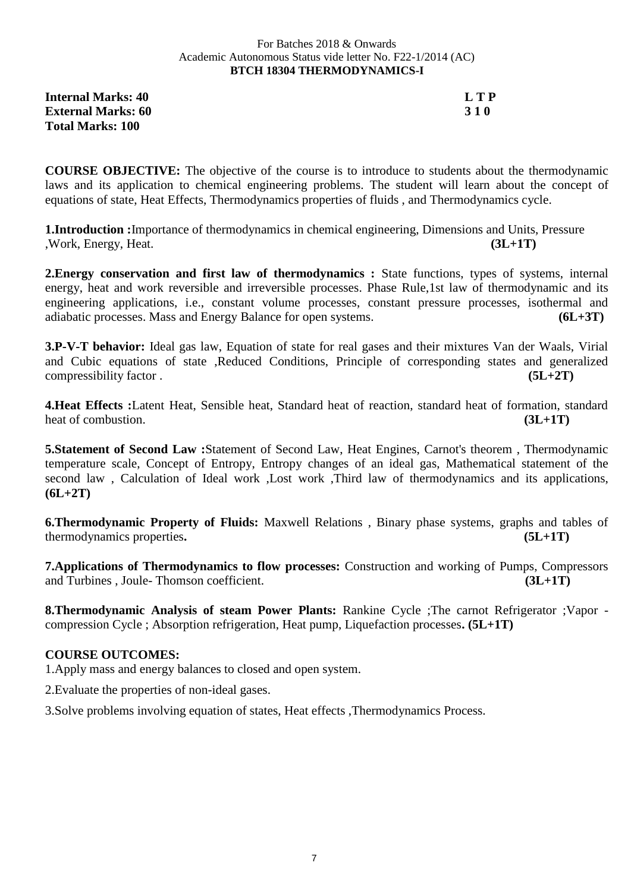#### For Batches 2018 & Onwards Academic Autonomous Status vide letter No. F22-1/2014 (AC) **BTCH 18304 THERMODYNAMICS-I**

**Internal Marks: 40 L T P External Marks: 60 3 1 0 Total Marks: 100**

**COURSE OBJECTIVE:** The objective of the course is to introduce to students about the thermodynamic laws and its application to chemical engineering problems. The student will learn about the concept of equations of state, Heat Effects, Thermodynamics properties of fluids , and Thermodynamics cycle.

**1.Introduction :**Importance of thermodynamics in chemical engineering, Dimensions and Units, Pressure ,Work, Energy, Heat. **(3L+1T)**

**2. Energy conservation and first law of thermodynamics :** State functions, types of systems, internal energy, heat and work reversible and irreversible processes. Phase Rule,1st law of thermodynamic and its engineering applications, i.e., constant volume processes, constant pressure processes, isothermal and adiabatic processes. Mass and Energy Balance for open systems. **(6L+3T)**

**3.P-V-T behavior:** Ideal gas law, Equation of state for real gases and their mixtures Van der Waals, Virial and Cubic equations of state ,Reduced Conditions, Principle of corresponding states and generalized compressibility factor . **(5L+2T)**

**4.Heat Effects :**Latent Heat, Sensible heat, Standard heat of reaction, standard heat of formation, standard heat of combustion. **(3L+1T)**  $(3L+1T)$ 

**5.Statement of Second Law :**Statement of Second Law, Heat Engines, Carnot's theorem , Thermodynamic temperature scale, Concept of Entropy, Entropy changes of an ideal gas, Mathematical statement of the second law , Calculation of Ideal work ,Lost work ,Third law of thermodynamics and its applications, **(6L+2T)**

**6.Thermodynamic Property of Fluids:** Maxwell Relations , Binary phase systems, graphs and tables of thermodynamics properties**. (5L+1T)**

**7.Applications of Thermodynamics to flow processes:** Construction and working of Pumps, Compressors and Turbines , Joule- Thomson coefficient. **(3L+1T)**

**8.Thermodynamic Analysis of steam Power Plants:** Rankine Cycle ;The carnot Refrigerator ;Vapor compression Cycle ; Absorption refrigeration, Heat pump, Liquefaction processes**. (5L+1T)**

## **COURSE OUTCOMES:**

1.Apply mass and energy balances to closed and open system.

2.Evaluate the properties of non-ideal gases.

3.Solve problems involving equation of states, Heat effects ,Thermodynamics Process.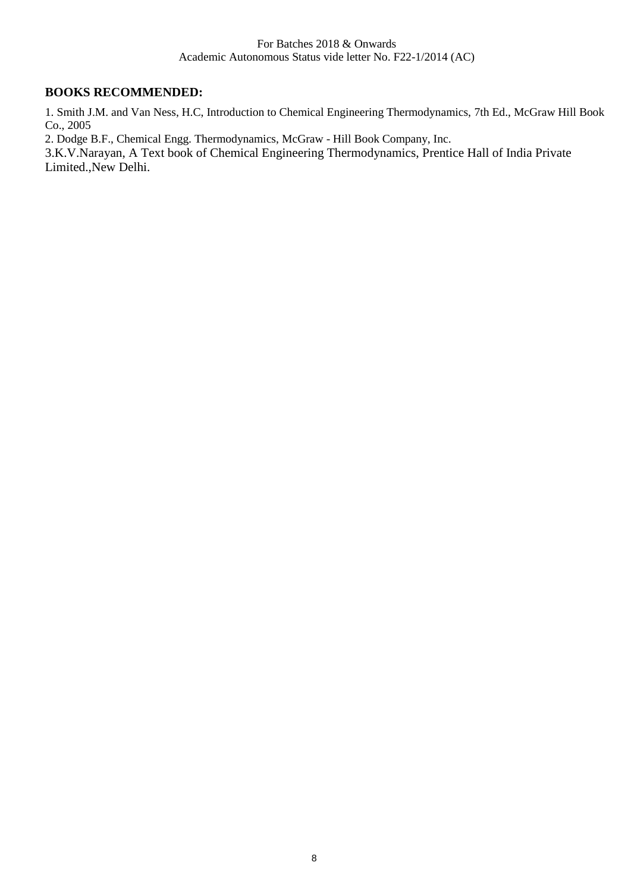## **BOOKS RECOMMENDED:**

1. Smith J.M. and Van Ness, H.C, Introduction to Chemical Engineering Thermodynamics, 7th Ed., McGraw Hill Book Co., 2005

2. Dodge B.F., Chemical Engg. Thermodynamics, McGraw - Hill Book Company, Inc.

3.K.V.Narayan, A Text book of Chemical Engineering Thermodynamics, Prentice Hall of India Private Limited.,New Delhi.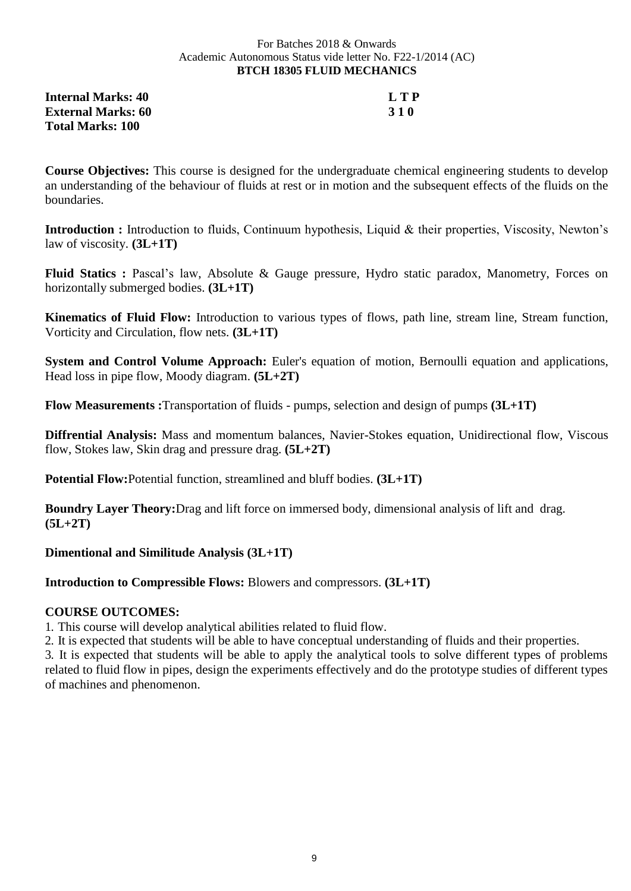#### For Batches 2018 & Onwards Academic Autonomous Status vide letter No. F22-1/2014 (AC) **BTCH 18305 FLUID MECHANICS**

**Internal Marks: 40 L T P External Marks: 60 3 1 0 Total Marks: 100**

**Course Objectives:** This course is designed for the undergraduate chemical engineering students to develop an understanding of the behaviour of fluids at rest or in motion and the subsequent effects of the fluids on the boundaries.

**Introduction :** Introduction to fluids, Continuum hypothesis, Liquid & their properties, Viscosity, Newton's law of viscosity. **(3L+1T)**

**Fluid Statics :** Pascal's law, Absolute & Gauge pressure, Hydro static paradox, Manometry, Forces on horizontally submerged bodies. **(3L+1T)**

**Kinematics of Fluid Flow:** Introduction to various types of flows, path line, stream line, Stream function, Vorticity and Circulation, flow nets. **(3L+1T)**

**System and Control Volume Approach:** Euler's equation of motion, Bernoulli equation and applications, Head loss in pipe flow, Moody diagram. **(5L+2T)**

**Flow Measurements :**Transportation of fluids - pumps, selection and design of pumps **(3L+1T)**

**Diffrential Analysis:** Mass and momentum balances, Navier-Stokes equation, Unidirectional flow, Viscous flow, Stokes law, Skin drag and pressure drag. **(5L+2T)**

**Potential Flow:**Potential function, streamlined and bluff bodies. **(3L+1T)**

**Boundry Layer Theory:**Drag and lift force on immersed body, dimensional analysis of lift and drag. **(5L+2T)**

**Dimentional and Similitude Analysis (3L+1T)**

**Introduction to Compressible Flows:** Blowers and compressors. **(3L+1T)** 

## **COURSE OUTCOMES:**

1. This course will develop analytical abilities related to fluid flow.

2. It is expected that students will be able to have conceptual understanding of fluids and their properties.

3. It is expected that students will be able to apply the analytical tools to solve different types of problems related to fluid flow in pipes, design the experiments effectively and do the prototype studies of different types of machines and phenomenon.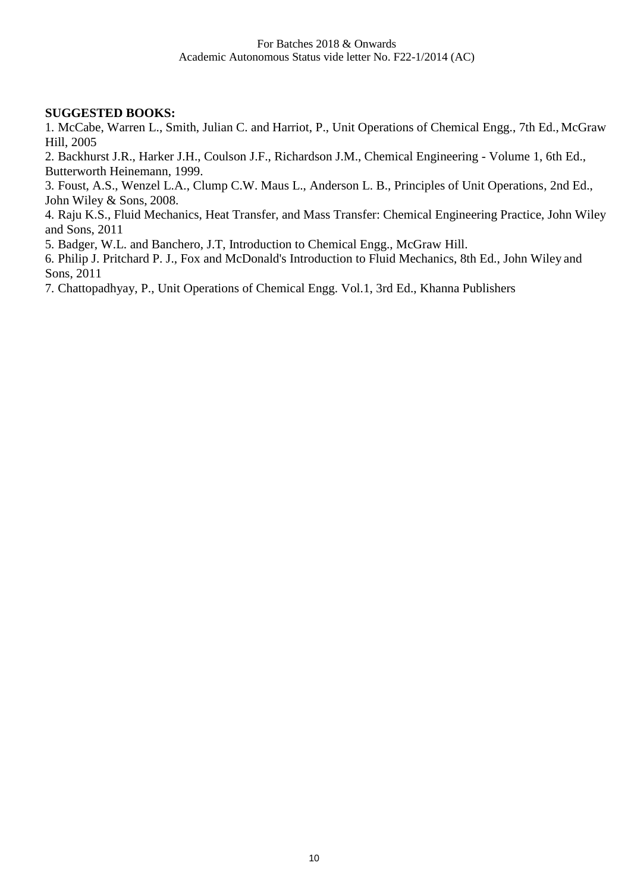#### **SUGGESTED BOOKS:**

1. McCabe, Warren L., Smith, Julian C. and Harriot, P., Unit Operations of Chemical Engg., 7th Ed., McGraw Hill, 2005

2. Backhurst J.R., Harker J.H., Coulson J.F., Richardson J.M., Chemical Engineering - Volume 1, 6th Ed., Butterworth Heinemann, 1999.

3. Foust, A.S., Wenzel L.A., Clump C.W. Maus L., Anderson L. B., Principles of Unit Operations, 2nd Ed., John Wiley & Sons, 2008.

4. Raju K.S., Fluid Mechanics, Heat Transfer, and Mass Transfer: Chemical Engineering Practice, John Wiley and Sons, 2011

5. Badger, W.L. and Banchero, J.T, Introduction to Chemical Engg., McGraw Hill.

6. Philip J. Pritchard P. J., Fox and McDonald's Introduction to Fluid Mechanics, 8th Ed., John Wiley and Sons, 2011

7. Chattopadhyay, P., Unit Operations of Chemical Engg. Vol.1, 3rd Ed., Khanna Publishers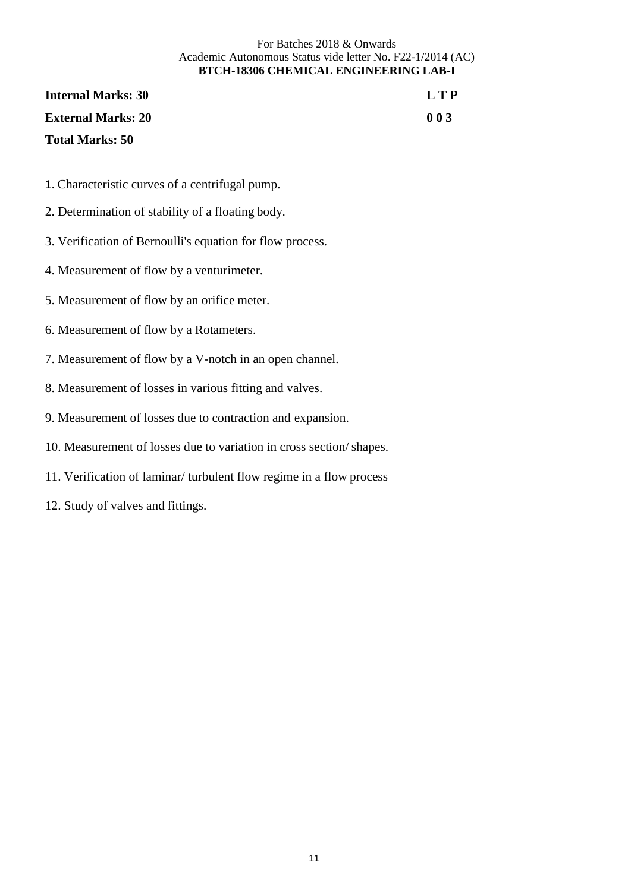#### For Batches 2018 & Onwards Academic Autonomous Status vide letter No. F22-1/2014 (AC) **BTCH-18306 CHEMICAL ENGINEERING LAB-I**

| <b>Internal Marks: 30</b> | L T P |
|---------------------------|-------|
| <b>External Marks: 20</b> | 003   |
| <b>Total Marks: 50</b>    |       |

- 1. Characteristic curves of a centrifugal pump.
- 2. Determination of stability of a floating body.
- 3. Verification of Bernoulli's equation for flow process.
- 4. Measurement of flow by a venturimeter.
- 5. Measurement of flow by an orifice meter.
- 6. Measurement of flow by a Rotameters.
- 7. Measurement of flow by a V-notch in an open channel.
- 8. Measurement of losses in various fitting and valves.
- 9. Measurement of losses due to contraction and expansion.
- 10. Measurement of losses due to variation in cross section/ shapes.
- 11. Verification of laminar/ turbulent flow regime in a flow process
- 12. Study of valves and fittings.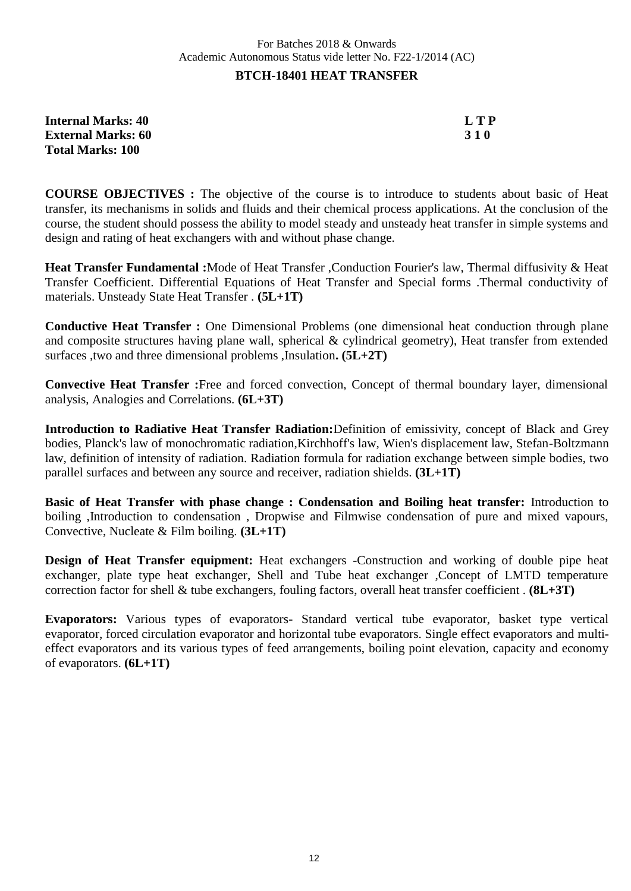### **BTCH-18401 HEAT TRANSFER**

| <b>Internal Marks: 40</b> | <b>LTP</b> |
|---------------------------|------------|
| <b>External Marks: 60</b> | <b>310</b> |
| <b>Total Marks: 100</b>   |            |

**COURSE OBJECTIVES :** The objective of the course is to introduce to students about basic of Heat transfer, its mechanisms in solids and fluids and their chemical process applications. At the conclusion of the course, the student should possess the ability to model steady and unsteady heat transfer in simple systems and design and rating of heat exchangers with and without phase change.

**Heat Transfer Fundamental :**Mode of Heat Transfer ,Conduction Fourier's law, Thermal diffusivity & Heat Transfer Coefficient. Differential Equations of Heat Transfer and Special forms .Thermal conductivity of materials. Unsteady State Heat Transfer . **(5L+1T)**

**Conductive Heat Transfer :** One Dimensional Problems (one dimensional heat conduction through plane and composite structures having plane wall, spherical & cylindrical geometry), Heat transfer from extended surfaces ,two and three dimensional problems ,Insulation**. (5L+2T)**

**Convective Heat Transfer :**Free and forced convection, Concept of thermal boundary layer, dimensional analysis, Analogies and Correlations. **(6L+3T)**

**Introduction to Radiative Heat Transfer Radiation:**Definition of emissivity, concept of Black and Grey bodies, Planck's law of monochromatic radiation,Kirchhoff's law, Wien's displacement law, Stefan-Boltzmann law, definition of intensity of radiation. Radiation formula for radiation exchange between simple bodies, two parallel surfaces and between any source and receiver, radiation shields. **(3L+1T)**

**Basic of Heat Transfer with phase change : Condensation and Boiling heat transfer:** Introduction to boiling ,Introduction to condensation , Dropwise and Filmwise condensation of pure and mixed vapours, Convective, Nucleate & Film boiling. **(3L+1T)**

**Design of Heat Transfer equipment:** Heat exchangers -Construction and working of double pipe heat exchanger, plate type heat exchanger, Shell and Tube heat exchanger ,Concept of LMTD temperature correction factor for shell & tube exchangers, fouling factors, overall heat transfer coefficient . **(8L+3T)**

**Evaporators:** Various types of evaporators- Standard vertical tube evaporator, basket type vertical evaporator, forced circulation evaporator and horizontal tube evaporators. Single effect evaporators and multieffect evaporators and its various types of feed arrangements, boiling point elevation, capacity and economy of evaporators. **(6L+1T)**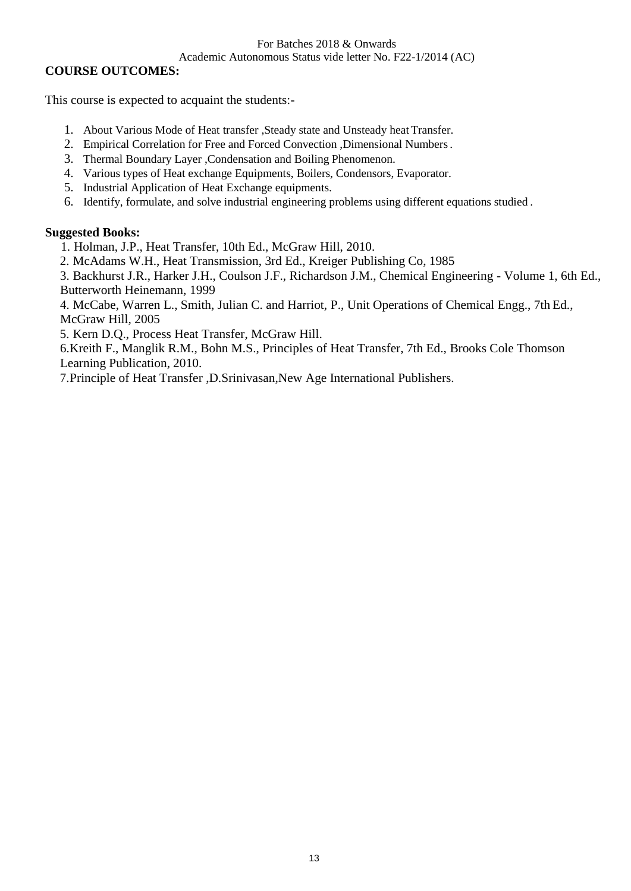#### For Batches 2018 & Onwards

#### Academic Autonomous Status vide letter No. F22-1/2014 (AC)

## **COURSE OUTCOMES:**

This course is expected to acquaint the students:-

- 1. About Various Mode of Heat transfer , Steady state and Unsteady heat Transfer.
- 2. Empirical Correlation for Free and Forced Convection ,Dimensional Numbers.
- 3. Thermal Boundary Layer ,Condensation and Boiling Phenomenon.
- 4. Various types of Heat exchange Equipments, Boilers, Condensors, Evaporator.
- 5. Industrial Application of Heat Exchange equipments.
- 6. Identify, formulate, and solve industrial engineering problems using different equations studied .

## **Suggested Books:**

1. Holman, J.P., Heat Transfer, 10th Ed., McGraw Hill, 2010.

2. McAdams W.H., Heat Transmission, 3rd Ed., Kreiger Publishing Co, 1985

3. Backhurst J.R., Harker J.H., Coulson J.F., Richardson J.M., Chemical Engineering - Volume 1, 6th Ed., Butterworth Heinemann, 1999

4. McCabe, Warren L., Smith, Julian C. and Harriot, P., Unit Operations of Chemical Engg., 7th Ed., McGraw Hill, 2005

5. Kern D.Q., Process Heat Transfer, McGraw Hill.

6.Kreith F., Manglik R.M., Bohn M.S., Principles of Heat Transfer, 7th Ed., Brooks Cole Thomson Learning Publication, 2010.

7.Principle of Heat Transfer ,D.Srinivasan,New Age International Publishers.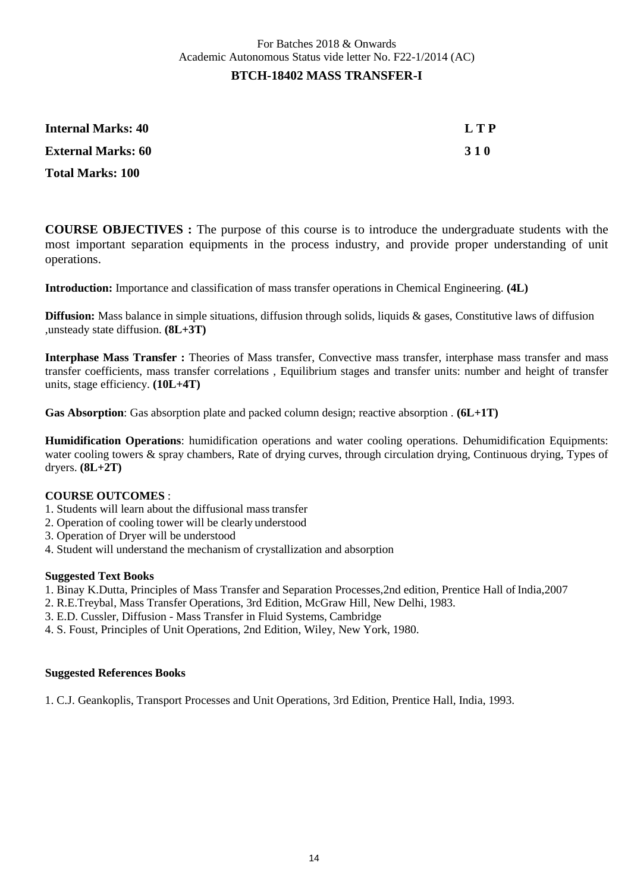| Internal Marks: 40        | L T P      |
|---------------------------|------------|
| <b>External Marks: 60</b> | <b>310</b> |
| <b>Total Marks: 100</b>   |            |

**COURSE OBJECTIVES :** The purpose of this course is to introduce the undergraduate students with the most important separation equipments in the process industry, and provide proper understanding of unit operations.

**Introduction:** Importance and classification of mass transfer operations in Chemical Engineering. **(4L)**

**Diffusion:** Mass balance in simple situations, diffusion through solids, liquids & gases, Constitutive laws of diffusion ,unsteady state diffusion. **(8L+3T)**

**Interphase Mass Transfer :** Theories of Mass transfer, Convective mass transfer, interphase mass transfer and mass transfer coefficients, mass transfer correlations , Equilibrium stages and transfer units: number and height of transfer units, stage efficiency. **(10L+4T)**

**Gas Absorption**: Gas absorption plate and packed column design; reactive absorption . **(6L+1T)**

**Humidification Operations**: humidification operations and water cooling operations. Dehumidification Equipments: water cooling towers & spray chambers, Rate of drying curves, through circulation drying, Continuous drying, Types of dryers. **(8L+2T)**

#### **COURSE OUTCOMES** :

- 1. Students will learn about the diffusional mass transfer
- 2. Operation of cooling tower will be clearly understood
- 3. Operation of Dryer will be understood
- 4. Student will understand the mechanism of crystallization and absorption

#### **Suggested Text Books**

- 1. Binay K.Dutta, Principles of Mass Transfer and Separation Processes,2nd edition, Prentice Hall of India,2007
- 2. R.E.Treybal, Mass Transfer Operations, 3rd Edition, McGraw Hill, New Delhi, 1983.
- 3. E.D. Cussler, Diffusion Mass Transfer in Fluid Systems, Cambridge
- 4. S. Foust, Principles of Unit Operations, 2nd Edition, Wiley, New York, 1980.

#### **Suggested References Books**

1. C.J. Geankoplis, Transport Processes and Unit Operations, 3rd Edition, Prentice Hall, India, 1993.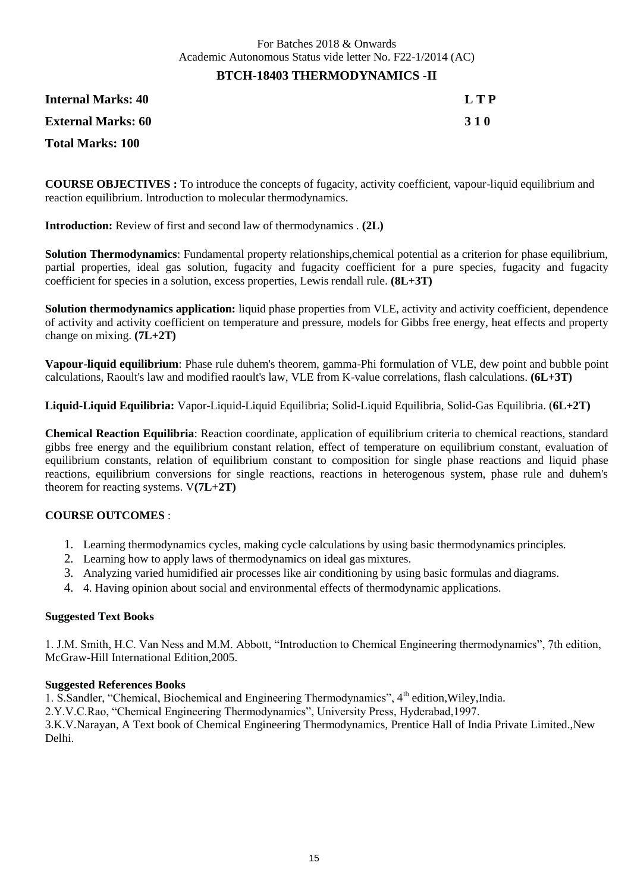#### **BTCH-18403 THERMODYNAMICS -II**

**Internal Marks: 40 L T P External Marks: 60 3 1 0 Total Marks: 100**

**COURSE OBJECTIVES :** To introduce the concepts of fugacity, activity coefficient, vapour-liquid equilibrium and reaction equilibrium. Introduction to molecular thermodynamics.

**Introduction:** Review of first and second law of thermodynamics . **(2L)**

**Solution Thermodynamics**: Fundamental property relationships,chemical potential as a criterion for phase equilibrium, partial properties, ideal gas solution, fugacity and fugacity coefficient for a pure species, fugacity and fugacity coefficient for species in a solution, excess properties, Lewis rendall rule. **(8L+3T)**

**Solution thermodynamics application:** liquid phase properties from VLE, activity and activity coefficient, dependence of activity and activity coefficient on temperature and pressure, models for Gibbs free energy, heat effects and property change on mixing. **(7L+2T)**

**Vapour-liquid equilibrium**: Phase rule duhem's theorem, gamma-Phi formulation of VLE, dew point and bubble point calculations, Raoult's law and modified raoult's law, VLE from K-value correlations, flash calculations. **(6L+3T)**

**Liquid-Liquid Equilibria:** Vapor-Liquid-Liquid Equilibria; Solid-Liquid Equilibria, Solid-Gas Equilibria. (**6L+2T)**

**Chemical Reaction Equilibria**: Reaction coordinate, application of equilibrium criteria to chemical reactions, standard gibbs free energy and the equilibrium constant relation, effect of temperature on equilibrium constant, evaluation of equilibrium constants, relation of equilibrium constant to composition for single phase reactions and liquid phase reactions, equilibrium conversions for single reactions, reactions in heterogenous system, phase rule and duhem's theorem for reacting systems. V**(7L+2T)**

#### **COURSE OUTCOMES** :

- 1. Learning thermodynamics cycles, making cycle calculations by using basic thermodynamics principles.
- 2. Learning how to apply laws of thermodynamics on ideal gas mixtures.
- 3. Analyzing varied humidified air processes like air conditioning by using basic formulas and diagrams.
- 4. 4. Having opinion about social and environmental effects of thermodynamic applications.

#### **Suggested Text Books**

1. J.M. Smith, H.C. Van Ness and M.M. Abbott, "Introduction to Chemical Engineering thermodynamics", 7th edition, McGraw-Hill International Edition,2005.

#### **Suggested References Books**

1. S.Sandler, "Chemical, Biochemical and Engineering Thermodynamics", 4<sup>th</sup> edition, Wiley, India.

2.Y.V.C.Rao, "Chemical Engineering Thermodynamics", University Press, Hyderabad,1997.

3.K.V.Narayan, A Text book of Chemical Engineering Thermodynamics, Prentice Hall of India Private Limited.,New Delhi.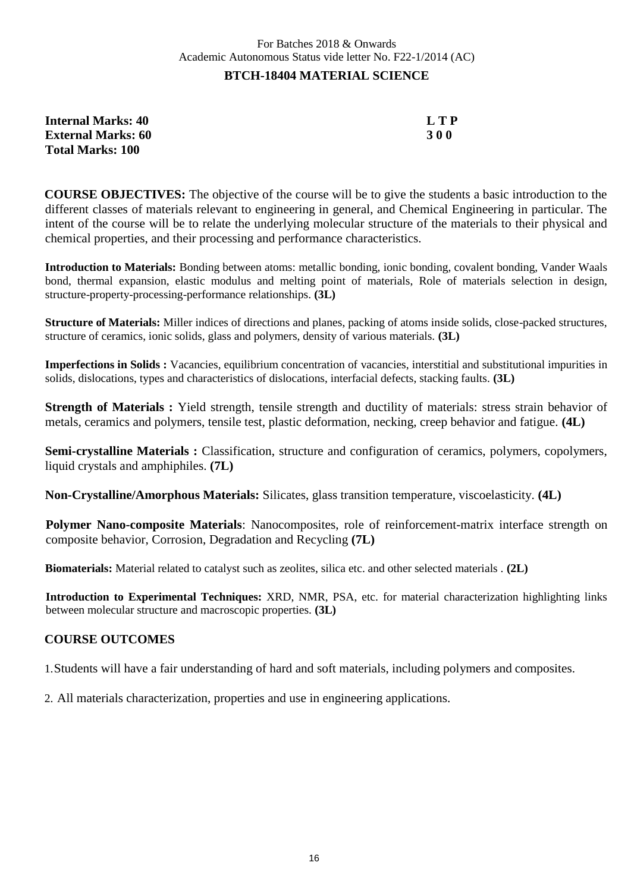## For Batches 2018 & Onwards Academic Autonomous Status vide letter No. F22-1/2014 (AC) **BTCH-18404 MATERIAL SCIENCE**

| <b>Internal Marks: 40</b> | LTP        |
|---------------------------|------------|
| <b>External Marks: 60</b> | <b>300</b> |
| <b>Total Marks: 100</b>   |            |

**COURSE OBJECTIVES:** The objective of the course will be to give the students a basic introduction to the different classes of materials relevant to engineering in general, and Chemical Engineering in particular. The intent of the course will be to relate the underlying molecular structure of the materials to their physical and chemical properties, and their processing and performance characteristics.

**Introduction to Materials:** Bonding between atoms: metallic bonding, ionic bonding, covalent bonding, Vander Waals bond, thermal expansion, elastic modulus and melting point of materials, Role of materials selection in design, structure-property-processing-performance relationships. **(3L)**

**Structure of Materials:** Miller indices of directions and planes, packing of atoms inside solids, close-packed structures, structure of ceramics, ionic solids, glass and polymers, density of various materials. **(3L)**

**Imperfections in Solids :** Vacancies, equilibrium concentration of vacancies, interstitial and substitutional impurities in solids, dislocations, types and characteristics of dislocations, interfacial defects, stacking faults. **(3L)**

**Strength of Materials :** Yield strength, tensile strength and ductility of materials: stress strain behavior of metals, ceramics and polymers, tensile test, plastic deformation, necking, creep behavior and fatigue. **(4L)**

**Semi-crystalline Materials :** Classification, structure and configuration of ceramics, polymers, copolymers, liquid crystals and amphiphiles. **(7L)**

**Non-Crystalline/Amorphous Materials:** Silicates, glass transition temperature, viscoelasticity. **(4L)**

**Polymer Nano-composite Materials**: Nanocomposites, role of reinforcement-matrix interface strength on composite behavior, Corrosion, Degradation and Recycling **(7L)**

**Biomaterials:** Material related to catalyst such as zeolites, silica etc. and other selected materials . **(2L)**

**Introduction to Experimental Techniques:** XRD, NMR, PSA, etc. for material characterization highlighting links between molecular structure and macroscopic properties. **(3L)**

## **COURSE OUTCOMES**

1.Students will have a fair understanding of hard and soft materials, including polymers and composites.

2. All materials characterization, properties and use in engineering applications.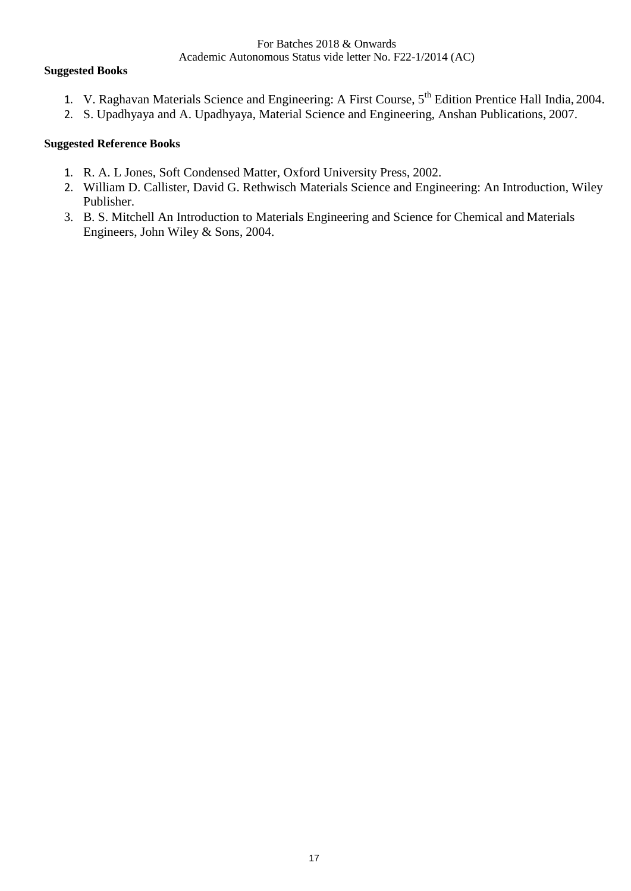#### **Suggested Books**

- 1. V. Raghavan Materials Science and Engineering: A First Course, 5<sup>th</sup> Edition Prentice Hall India, 2004.
- 2. S. Upadhyaya and A. Upadhyaya, Material Science and Engineering, Anshan Publications, 2007.

### **Suggested Reference Books**

- 1. R. A. L Jones, Soft Condensed Matter, Oxford University Press, 2002.
- 2. William D. Callister, David G. Rethwisch Materials Science and Engineering: An Introduction, Wiley Publisher.
- 3. B. S. Mitchell An Introduction to Materials Engineering and Science for Chemical and Materials Engineers, John Wiley & Sons, 2004.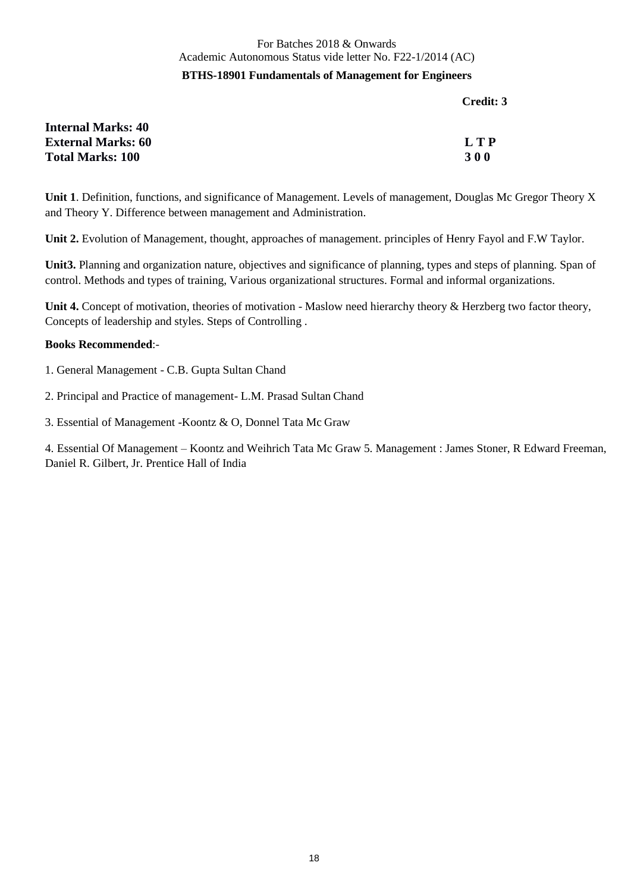## For Batches 2018 & Onwards Academic Autonomous Status vide letter No. F22-1/2014 (AC) **BTHS-18901 Fundamentals of Management for Engineers**

**Credit: 3**

| <b>Internal Marks: 40</b> |            |
|---------------------------|------------|
| <b>External Marks: 60</b> | L T P      |
| <b>Total Marks: 100</b>   | <b>300</b> |

**Unit 1**. Definition, functions, and significance of Management. Levels of management, Douglas Mc Gregor Theory X and Theory Y. Difference between management and Administration.

**Unit 2.** Evolution of Management, thought, approaches of management. principles of Henry Fayol and F.W Taylor.

**Unit3.** Planning and organization nature, objectives and significance of planning, types and steps of planning. Span of control. Methods and types of training, Various organizational structures. Formal and informal organizations.

Unit 4. Concept of motivation, theories of motivation - Maslow need hierarchy theory & Herzberg two factor theory, Concepts of leadership and styles. Steps of Controlling .

#### **Books Recommended**:-

- 1. General Management C.B. Gupta Sultan Chand
- 2. Principal and Practice of management- L.M. Prasad Sultan Chand
- 3. Essential of Management -Koontz & O, Donnel Tata Mc Graw

4. Essential Of Management – Koontz and Weihrich Tata Mc Graw 5. Management : James Stoner, R Edward Freeman, Daniel R. Gilbert, Jr. Prentice Hall of India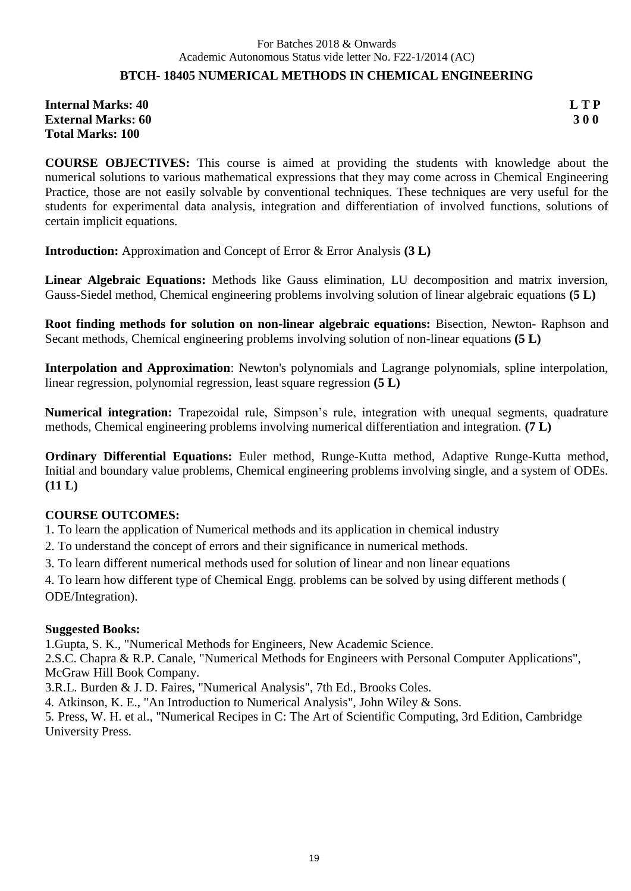## **BTCH- 18405 NUMERICAL METHODS IN CHEMICAL ENGINEERING**

**Internal Marks: 40 L T P External Marks: 60 3 0 0 Total Marks: 100**

**COURSE OBJECTIVES:** This course is aimed at providing the students with knowledge about the numerical solutions to various mathematical expressions that they may come across in Chemical Engineering Practice, those are not easily solvable by conventional techniques. These techniques are very useful for the students for experimental data analysis, integration and differentiation of involved functions, solutions of certain implicit equations.

**Introduction:** Approximation and Concept of Error & Error Analysis **(3 L)**

**Linear Algebraic Equations:** Methods like Gauss elimination, LU decomposition and matrix inversion, Gauss-Siedel method, Chemical engineering problems involving solution of linear algebraic equations **(5 L)**

**Root finding methods for solution on non-linear algebraic equations:** Bisection, Newton- Raphson and Secant methods, Chemical engineering problems involving solution of non-linear equations **(5 L)**

**Interpolation and Approximation**: Newton's polynomials and Lagrange polynomials, spline interpolation, linear regression, polynomial regression, least square regression **(5 L)**

**Numerical integration:** Trapezoidal rule, Simpson's rule, integration with unequal segments, quadrature methods, Chemical engineering problems involving numerical differentiation and integration. **(7 L)**

**Ordinary Differential Equations:** Euler method, Runge-Kutta method, Adaptive Runge-Kutta method, Initial and boundary value problems, Chemical engineering problems involving single, and a system of ODEs. **(11 L)**

## **COURSE OUTCOMES:**

1. To learn the application of Numerical methods and its application in chemical industry

2. To understand the concept of errors and their significance in numerical methods.

3. To learn different numerical methods used for solution of linear and non linear equations

4. To learn how different type of Chemical Engg. problems can be solved by using different methods ( ODE/Integration).

## **Suggested Books:**

1.Gupta, S. K., "Numerical Methods for Engineers, New Academic Science.

2.S.C. Chapra & R.P. Canale, "Numerical Methods for Engineers with Personal Computer Applications", McGraw Hill Book Company.

3.R.L. Burden & J. D. Faires, "Numerical Analysis", 7th Ed., Brooks Coles.

4. Atkinson, K. E., "An Introduction to Numerical Analysis", John Wiley & Sons.

5. Press, W. H. et al., "Numerical Recipes in C: The Art of Scientific Computing, 3rd Edition, Cambridge University Press.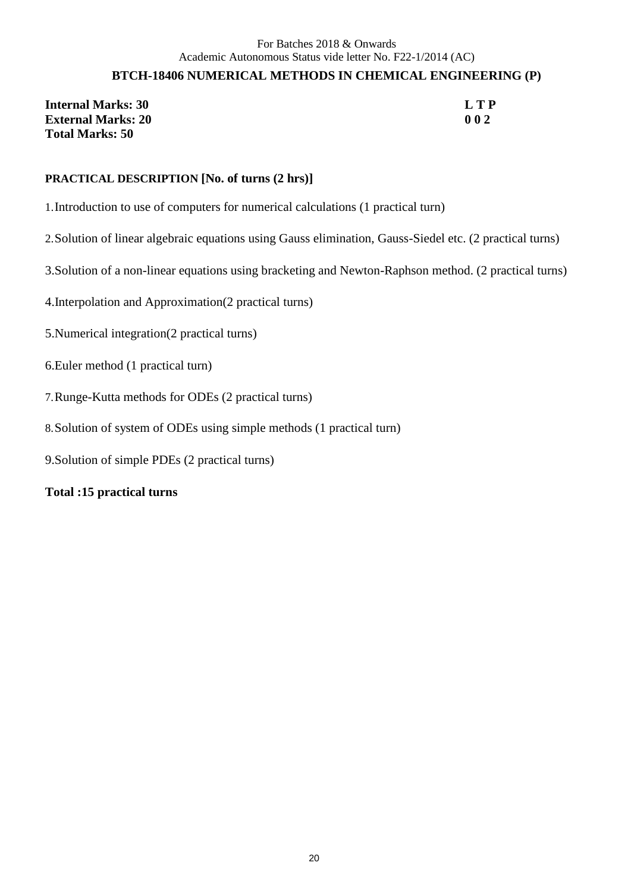## **BTCH-18406 NUMERICAL METHODS IN CHEMICAL ENGINEERING (P)**

**Internal Marks: 30 L T P External Marks: 20 0 0 2 Total Marks: 50**

## **PRACTICAL DESCRIPTION [No. of turns (2 hrs)]**

- 1.Introduction to use of computers for numerical calculations (1 practical turn)
- 2.Solution of linear algebraic equations using Gauss elimination, Gauss-Siedel etc. (2 practical turns)
- 3.Solution of a non-linear equations using bracketing and Newton-Raphson method. (2 practical turns)
- 4.Interpolation and Approximation(2 practical turns)
- 5.Numerical integration(2 practical turns)
- 6.Euler method (1 practical turn)
- 7.Runge-Kutta methods for ODEs (2 practical turns)
- 8.Solution of system of ODEs using simple methods (1 practical turn)
- 9.Solution of simple PDEs (2 practical turns)

#### **Total :15 practical turns**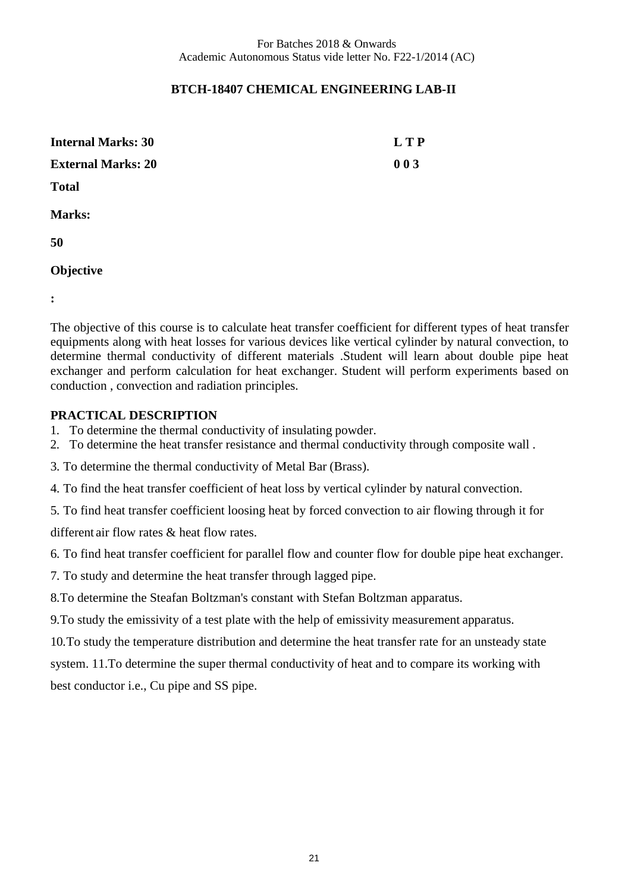## **BTCH-18407 CHEMICAL ENGINEERING LAB-II**

| <b>Internal Marks: 30</b> | <b>LTP</b> |
|---------------------------|------------|
| <b>External Marks: 20</b> | 003        |
| <b>Total</b>              |            |
| <b>Marks:</b>             |            |
| 50                        |            |
| Objective                 |            |

**:**

The objective of this course is to calculate heat transfer coefficient for different types of heat transfer equipments along with heat losses for various devices like vertical cylinder by natural convection, to determine thermal conductivity of different materials .Student will learn about double pipe heat exchanger and perform calculation for heat exchanger. Student will perform experiments based on conduction , convection and radiation principles.

## **PRACTICAL DESCRIPTION**

- 1. To determine the thermal conductivity of insulating powder.
- 2. To determine the heat transfer resistance and thermal conductivity through composite wall .
- 3. To determine the thermal conductivity of Metal Bar (Brass).
- 4. To find the heat transfer coefficient of heat loss by vertical cylinder by natural convection.
- 5. To find heat transfer coefficient loosing heat by forced convection to air flowing through it for

different air flow rates & heat flow rates.

- 6. To find heat transfer coefficient for parallel flow and counter flow for double pipe heat exchanger.
- 7. To study and determine the heat transfer through lagged pipe.
- 8.To determine the Steafan Boltzman's constant with Stefan Boltzman apparatus.
- 9.To study the emissivity of a test plate with the help of emissivity measurement apparatus.
- 10.To study the temperature distribution and determine the heat transfer rate for an unsteady state

system. 11.To determine the super thermal conductivity of heat and to compare its working with best conductor i.e., Cu pipe and SS pipe.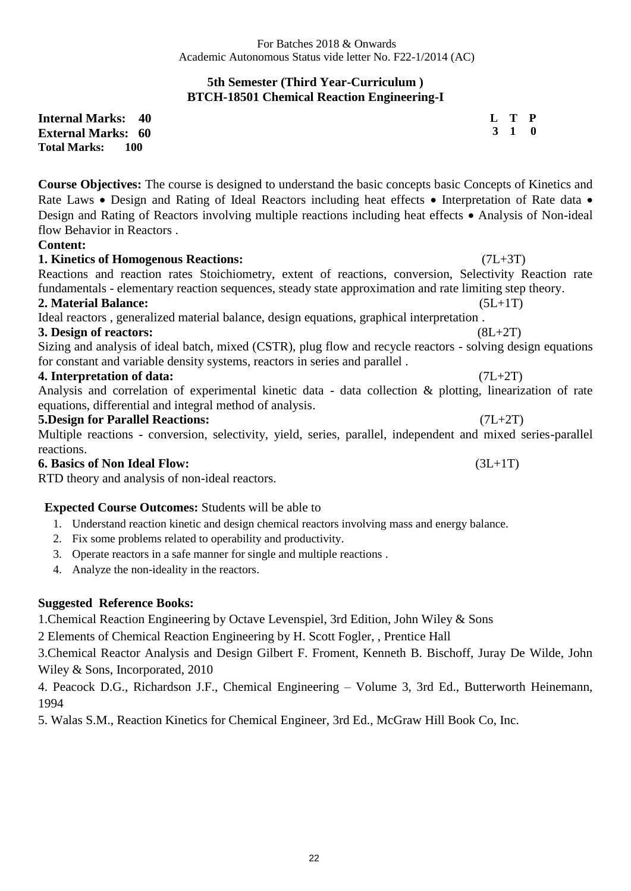> **L T P 3 1 0**

### **5th Semester (Third Year-Curriculum ) BTCH-18501 Chemical Reaction Engineering-I**

**Internal Marks: 40 External Marks: 60 Total Marks:** 

**Course Objectives:** The course is designed to understand the basic concepts basic Concepts of Kinetics and Rate Laws • Design and Rating of Ideal Reactors including heat effects • Interpretation of Rate data • Design and Rating of Reactors involving multiple reactions including heat effects • Analysis of Non-ideal flow Behavior in Reactors .

#### **Content:**

#### **1. Kinetics of Homogenous Reactions:** (7L+3T)

Reactions and reaction rates Stoichiometry, extent of reactions, conversion, Selectivity Reaction rate fundamentals - elementary reaction sequences, steady state approximation and rate limiting step theory. **2. Material Balance:** (5L+1T) Ideal reactors , generalized material balance, design equations, graphical interpretation . **3. Design of reactors:** (8L+2T)

Sizing and analysis of ideal batch, mixed (CSTR), plug flow and recycle reactors - solving design equations for constant and variable density systems, reactors in series and parallel .

#### **4. Interpretation of data:** (7L+2T)

Analysis and correlation of experimental kinetic data - data collection & plotting, linearization of rate equations, differential and integral method of analysis.

#### **5.Design for Parallel Reactions:** (7L+2T)

Multiple reactions - conversion, selectivity, yield, series, parallel, independent and mixed series-parallel reactions.

**6. Basics of Non Ideal Flow:** (3L+1T)

RTD theory and analysis of non-ideal reactors.

#### **Expected Course Outcomes:** Students will be able to

- 1. Understand reaction kinetic and design chemical reactors involving mass and energy balance.
- 2. Fix some problems related to operability and productivity.
- 3. Operate reactors in a safe manner for single and multiple reactions .
- 4. Analyze the non-ideality in the reactors.

## **Suggested Reference Books:**

1.Chemical Reaction Engineering by Octave Levenspiel, 3rd Edition, John Wiley & Sons

2 Elements of Chemical Reaction Engineering by H. Scott Fogler, , Prentice Hall

3.Chemical Reactor Analysis and Design Gilbert F. Froment, Kenneth B. Bischoff, Juray De Wilde, John Wiley & Sons, Incorporated, 2010

4. Peacock D.G., Richardson J.F., Chemical Engineering – Volume 3, 3rd Ed., Butterworth Heinemann, 1994

5. Walas S.M., Reaction Kinetics for Chemical Engineer, 3rd Ed., McGraw Hill Book Co, Inc.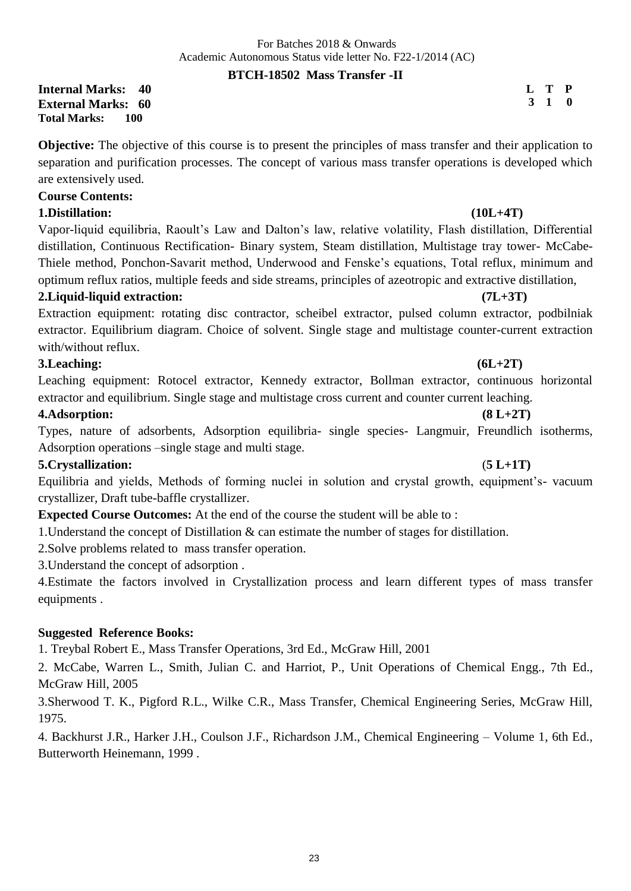## **BTCH-18502 Mass Transfer -II**

**Internal Marks: 40 External Marks: 60 Total Marks: 100** 

**Objective:** The objective of this course is to present the principles of mass transfer and their application to separation and purification processes. The concept of various mass transfer operations is developed which are extensively used.

### **Course Contents:**

## **1.Distillation: (10L+4T)**

Vapor-liquid equilibria, Raoult's Law and Dalton's law, relative volatility, Flash distillation, Differential distillation, Continuous Rectification- Binary system, Steam distillation, Multistage tray tower- McCabe-Thiele method, Ponchon-Savarit method, Underwood and Fenske's equations, Total reflux, minimum and optimum reflux ratios, multiple feeds and side streams, principles of azeotropic and extractive distillation,

## **2.Liquid-liquid extraction: (7L+3T)**

Extraction equipment: rotating disc contractor, scheibel extractor, pulsed column extractor, podbilniak extractor. Equilibrium diagram. Choice of solvent. Single stage and multistage counter-current extraction with/without reflux.

## **3.Leaching: (6L+2T)**

Leaching equipment: Rotocel extractor, Kennedy extractor, Bollman extractor, continuous horizontal extractor and equilibrium. Single stage and multistage cross current and counter current leaching.

## **4.Adsorption: (8 L+2T)**

Types, nature of adsorbents, Adsorption equilibria- single species- Langmuir, Freundlich isotherms, Adsorption operations –single stage and multi stage.

## **5.Crystallization:** (**5 L+1T)**

Equilibria and yields, Methods of forming nuclei in solution and crystal growth, equipment's- vacuum crystallizer, Draft tube-baffle crystallizer.

**Expected Course Outcomes:** At the end of the course the student will be able to :

1.Understand the concept of Distillation & can estimate the number of stages for distillation.

2.Solve problems related to mass transfer operation.

3.Understand the concept of adsorption .

4.Estimate the factors involved in Crystallization process and learn different types of mass transfer equipments .

## **Suggested Reference Books:**

1. Treybal Robert E., Mass Transfer Operations, 3rd Ed., McGraw Hill, 2001

2. McCabe, Warren L., Smith, Julian C. and Harriot, P., Unit Operations of Chemical Engg., 7th Ed., McGraw Hill, 2005

3.Sherwood T. K., Pigford R.L., Wilke C.R., Mass Transfer, Chemical Engineering Series, McGraw Hill, 1975.

4. Backhurst J.R., Harker J.H., Coulson J.F., Richardson J.M., Chemical Engineering – Volume 1, 6th Ed., Butterworth Heinemann, 1999 .

**L T P 3 1 0**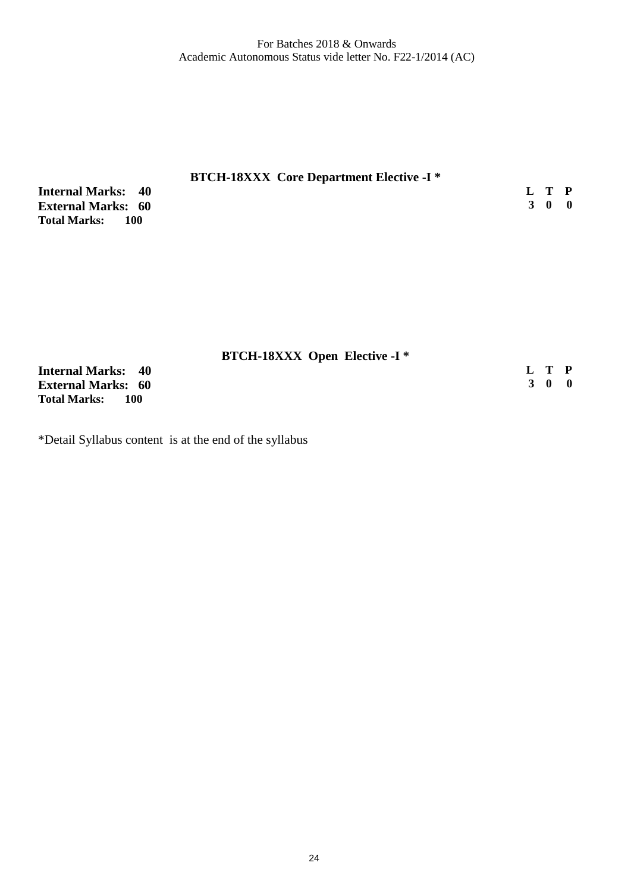| <b>BTCH-18XXX</b> Core Department Elective -I <sup>*</sup> |       |  |
|------------------------------------------------------------|-------|--|
| <b>Internal Marks: 40</b>                                  | L T P |  |
| <b>External Marks: 60</b>                                  | 3 0 0 |  |
| Total Marks:<br>100                                        |       |  |

|                              | <b>BTCH-18XXX Open Elective -I *</b> |       |  |
|------------------------------|--------------------------------------|-------|--|
| <b>Internal Marks: 40</b>    |                                      | L T P |  |
| <b>External Marks: 60</b>    |                                      | 3 0 0 |  |
| <b>Total Marks:</b><br>- 100 |                                      |       |  |

\*Detail Syllabus content is at the end of the syllabus

24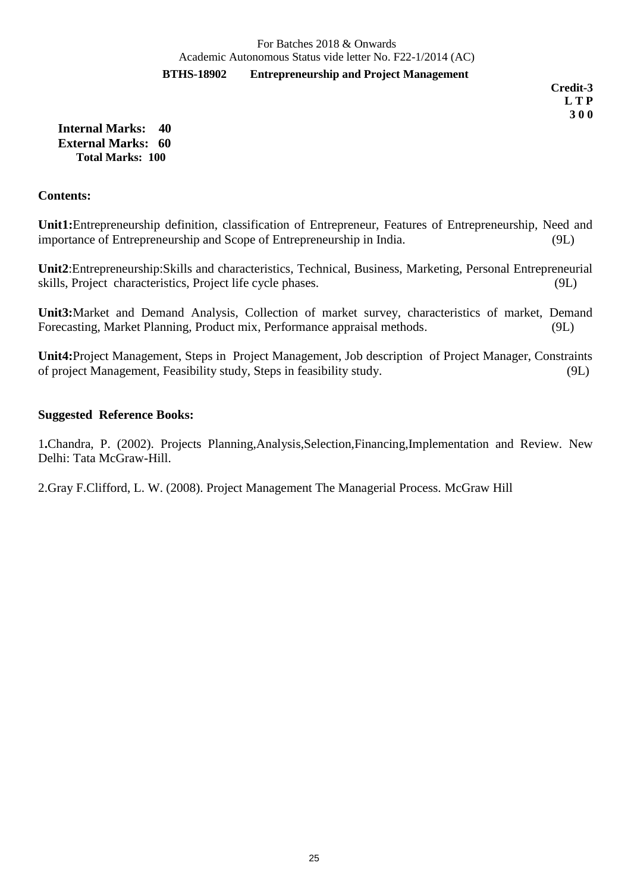**BTHS-18902 Entrepreneurship and Project Management**

 **Credit-3 L T P 3 0 0**

**Internal Marks: 40 External Marks: 60 Total Marks: 100** 

#### **Contents:**

**Unit1:**Entrepreneurship definition, classification of Entrepreneur, Features of Entrepreneurship, Need and importance of Entrepreneurship and Scope of Entrepreneurship in India. (9L)

**Unit2**:Entrepreneurship:Skills and characteristics, Technical, Business, Marketing, Personal Entrepreneurial skills, Project characteristics, Project life cycle phases. (9L)

**Unit3:**Market and Demand Analysis, Collection of market survey, characteristics of market, Demand Forecasting, Market Planning, Product mix, Performance appraisal methods. (9L)

**Unit4:**Project Management, Steps in Project Management, Job description of Project Manager, Constraints of project Management, Feasibility study, Steps in feasibility study. (9L)

#### **Suggested Reference Books:**

1**.**Chandra, P. (2002). Projects Planning,Analysis,Selection,Financing,Implementation and Review. New Delhi: Tata McGraw-Hill.

2.Gray F.Clifford, L. W. (2008). Project Management The Managerial Process*.* McGraw Hill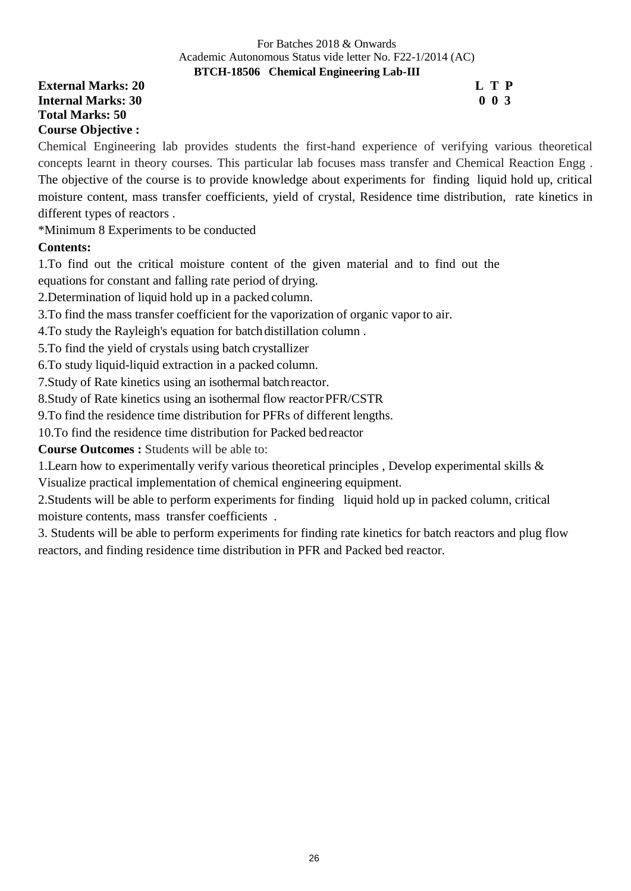#### **BTCH-18506 Chemical Engineering Lab-III**

## **External Marks: 20 L T P L T P Internal Marks: 30 0 0 3 Total Marks: 50 Course Objective :**

Chemical Engineering lab provides students the first-hand experience of verifying various theoretical concepts learnt in theory courses. This particular lab focuses mass transfer and Chemical Reaction Engg . The objective of the course is to provide knowledge about experiments for finding liquid hold up, critical moisture content, mass transfer coefficients, yield of crystal, Residence time distribution, rate kinetics in different types of reactors .

\*Minimum 8 Experiments to be conducted

## **Contents:**

1.To find out the critical moisture content of the given material and to find out the

equations for constant and falling rate period of drying.

2.Determination of liquid hold up in a packed column.

3.To find the mass transfer coefficient for the vaporization of organic vapor to air.

4.To study the Rayleigh's equation for batch distillation column .

5.To find the yield of crystals using batch crystallizer

6.To study liquid-liquid extraction in a packed column.

7.Study of Rate kinetics using an isothermal batchreactor.

8. Study of Rate kinetics using an isothermal flow reactor PFR/CSTR

9.To find the residence time distribution for PFRs of different lengths.

10.To find the residence time distribution for Packed bedreactor

**Course Outcomes :** Students will be able to:

1.Learn how to experimentally verify various theoretical principles , Develop experimental skills & Visualize practical implementation of chemical engineering equipment.

2.Students will be able to perform experiments for finding liquid hold up in packed column, critical moisture contents, mass transfer coefficients .

3. Students will be able to perform experiments for finding rate kinetics for batch reactors and plug flow reactors, and finding residence time distribution in PFR and Packed bed reactor.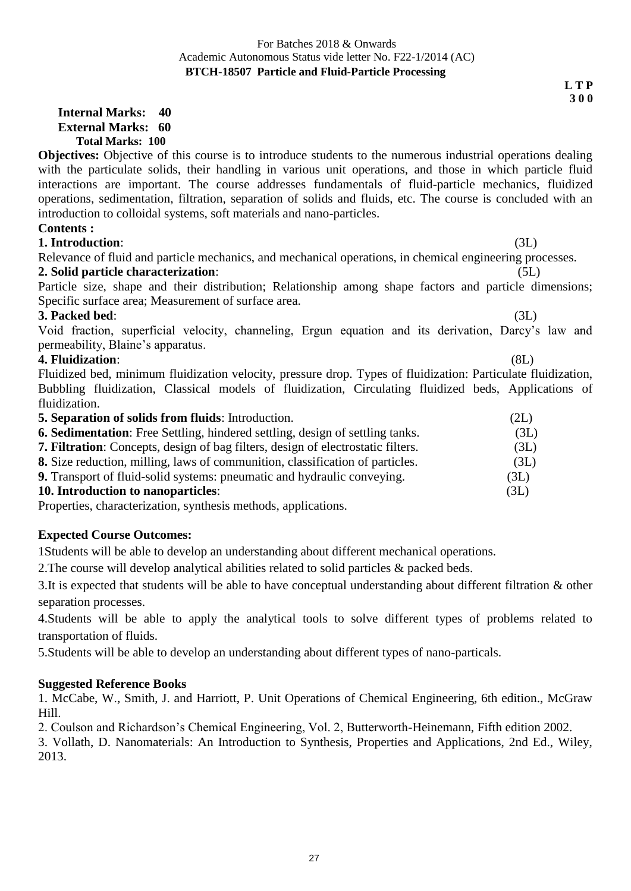**L T P**

 **3 0 0**

### **Internal Marks: 40 External Marks: 60 Total Marks: 100**

**Objectives:** Objective of this course is to introduce students to the numerous industrial operations dealing with the particulate solids, their handling in various unit operations, and those in which particle fluid interactions are important. The course addresses fundamentals of fluid-particle mechanics, fluidized operations, sedimentation, filtration, separation of solids and fluids, etc. The course is concluded with an introduction to colloidal systems, soft materials and nano-particles.

## **Contents :**

**1. Introduction**: (3L)

Relevance of fluid and particle mechanics, and mechanical operations, in chemical engineering processes. **2. Solid particle characterization**: (5L)

Particle size, shape and their distribution; Relationship among shape factors and particle dimensions; Specific surface area; Measurement of surface area.

## **3. Packed bed**: (3L)

Void fraction, superficial velocity, channeling, Ergun equation and its derivation, Darcy's law and permeability, Blaine's apparatus.

## **4. Fluidization**: (8L)

Fluidized bed, minimum fluidization velocity, pressure drop. Types of fluidization: Particulate fluidization, Bubbling fluidization, Classical models of fluidization, Circulating fluidized beds, Applications of fluidization.

| <b>5. Separation of solids from fluids:</b> Introduction.                               | (2L) |
|-----------------------------------------------------------------------------------------|------|
| <b>6. Sedimentation:</b> Free Settling, hindered settling, design of settling tanks.    | (3L) |
| <b>7. Filtration:</b> Concepts, design of bag filters, design of electrostatic filters. | (3L) |
| 8. Size reduction, milling, laws of communition, classification of particles.           | (3L) |
| 9. Transport of fluid-solid systems: pneumatic and hydraulic conveying.                 | (3L) |
| <b>10. Introduction to nanoparticles:</b>                                               | (3L) |
|                                                                                         |      |

Properties, characterization, synthesis methods, applications.

## **Expected Course Outcomes:**

1Students will be able to develop an understanding about different mechanical operations.

2.The course will develop analytical abilities related to solid particles & packed beds.

3.It is expected that students will be able to have conceptual understanding about different filtration & other separation processes.

4.Students will be able to apply the analytical tools to solve different types of problems related to transportation of fluids.

5.Students will be able to develop an understanding about different types of nano-particals.

## **Suggested Reference Books**

1. McCabe, W., Smith, J. and Harriott, P. Unit Operations of Chemical Engineering, 6th edition., McGraw Hill.

2. Coulson and Richardson's Chemical Engineering, Vol. 2, Butterworth-Heinemann, Fifth edition 2002.

3. Vollath, D. Nanomaterials: An Introduction to Synthesis, Properties and Applications, 2nd Ed., Wiley, 2013.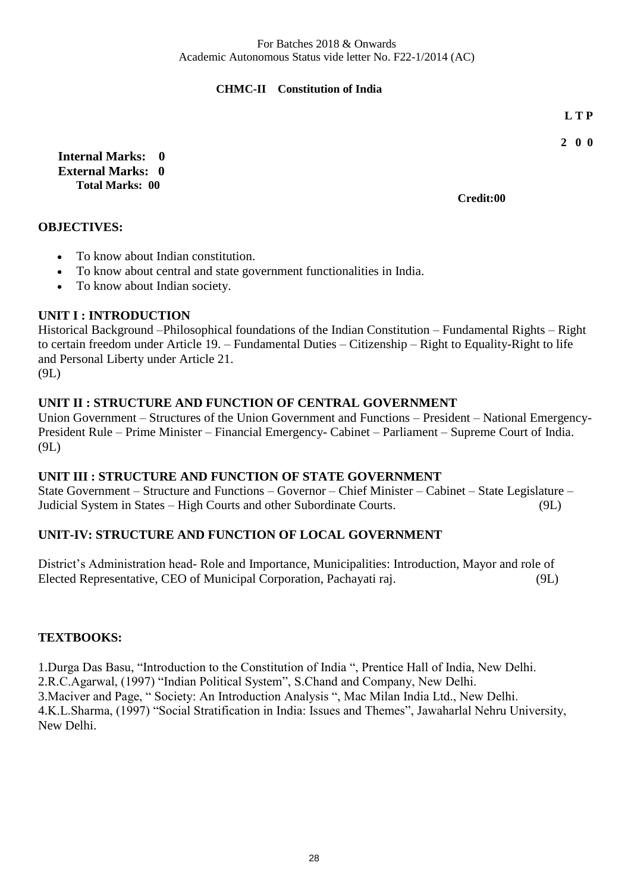## **CHMC-II Constitution of India**

 **L T P**

**2 0 0**

**Internal Marks: 0 External Marks: 0 Total Marks: 00** 

**Credit:00**

## **OBJECTIVES:**

- To know about Indian constitution.
- To know about central and state government functionalities in India.
- To know about Indian society.

## **UNIT I : INTRODUCTION**

Historical Background –Philosophical foundations of the Indian Constitution – Fundamental Rights – Right to certain freedom under Article 19. – Fundamental Duties – Citizenship – Right to Equality-Right to life and Personal Liberty under Article 21.

(9L)

## **UNIT II : STRUCTURE AND FUNCTION OF CENTRAL GOVERNMENT**

Union Government – Structures of the Union Government and Functions – President – National Emergency-President Rule – Prime Minister – Financial Emergency- Cabinet – Parliament – Supreme Court of India. (9L)

#### **UNIT III : STRUCTURE AND FUNCTION OF STATE GOVERNMENT**

State Government – Structure and Functions – Governor – Chief Minister – Cabinet – State Legislature – Judicial System in States – High Courts and other Subordinate Courts. (9L)

## **UNIT-IV: STRUCTURE AND FUNCTION OF LOCAL GOVERNMENT**

District's Administration head- Role and Importance, Municipalities: Introduction, Mayor and role of Elected Representative, CEO of Municipal Corporation, Pachayati raj. (9L)

#### **TEXTBOOKS:**

1.Durga Das Basu, "Introduction to the Constitution of India ", Prentice Hall of India, New Delhi. 2.R.C.Agarwal, (1997) "Indian Political System", S.Chand and Company, New Delhi. 3.Maciver and Page, " Society: An Introduction Analysis ", Mac Milan India Ltd., New Delhi. 4.K.L.Sharma, (1997) "Social Stratification in India: Issues and Themes", Jawaharlal Nehru University, New Delhi.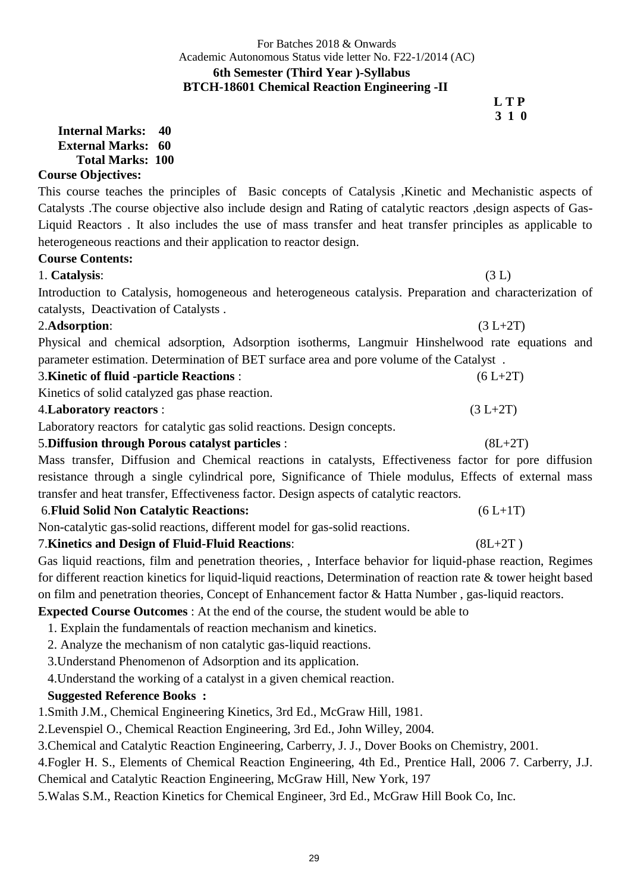# For Batches 2018 & Onwards Academic Autonomous Status vide letter No. F22-1/2014 (AC) **6th Semester (Third Year )-Syllabus BTCH-18601 Chemical Reaction Engineering -II L T P**

 **3 1 0 Internal Marks: 40 External Marks: 60 Total Marks: 100** 

# **Course Objectives:**

This course teaches the principles of Basic concepts of Catalysis ,Kinetic and Mechanistic aspects of Catalysts .The course objective also include design and Rating of catalytic reactors ,design aspects of Gas-Liquid Reactors . It also includes the use of mass transfer and heat transfer principles as applicable to heterogeneous reactions and their application to reactor design.

# **Course Contents:**

1. **Catalysis**: (3 L)

Introduction to Catalysis, homogeneous and heterogeneous catalysis. Preparation and characterization of catalysts, Deactivation of Catalysts .

# 2.**Adsorption**: (3 L+2T)

Physical and chemical adsorption, Adsorption isotherms, Langmuir Hinshelwood rate equations and parameter estimation. Determination of BET surface area and pore volume of the Catalyst .

| <b>3. Kinetic of fluid -particle Reactions:</b> | $(6 L+2T)$ |
|-------------------------------------------------|------------|
|-------------------------------------------------|------------|

Kinetics of solid catalyzed gas phase reaction.

# 4.**Laboratory reactors** :(3 L+2T)

Laboratory reactorsfor catalytic gas solid reactions. Design concepts.

# 5.**Diffusion through Porous catalyst particles** :(8L+2T)

Mass transfer, Diffusion and Chemical reactions in catalysts, Effectiveness factor for pore diffusion resistance through a single cylindrical pore, Significance of Thiele modulus, Effects of external mass transfer and heat transfer, Effectiveness factor. Design aspects of catalytic reactors.

# 6.**Fluid Solid Non Catalytic Reactions:** (6 L+1T)

Non-catalytic gas-solid reactions, different model for gas-solid reactions.

# 7.**Kinetics and Design of Fluid-Fluid Reactions**: (8L+2T )

Gas liquid reactions, film and penetration theories, , Interface behavior for liquid-phase reaction, Regimes for different reaction kinetics for liquid-liquid reactions, Determination of reaction rate & tower height based on film and penetration theories, Concept of Enhancement factor & Hatta Number , gas-liquid reactors.

# **Expected Course Outcomes** : At the end of the course, the student would be able to

1. Explain the fundamentals of reaction mechanism and kinetics.

2. Analyze the mechanism of non catalytic gas-liquid reactions.

3.Understand Phenomenon of Adsorption and its application.

4.Understand the working of a catalyst in a given chemical reaction.

# **Suggested Reference Books :**

1.Smith J.M., Chemical Engineering Kinetics, 3rd Ed., McGraw Hill, 1981.

2.Levenspiel O., Chemical Reaction Engineering, 3rd Ed., John Willey, 2004.

3.Chemical and Catalytic Reaction Engineering, Carberry, J. J., Dover Books on Chemistry, 2001.

4.Fogler H. S., Elements of Chemical Reaction Engineering, 4th Ed., Prentice Hall, 2006 7. Carberry, J.J.

Chemical and Catalytic Reaction Engineering, McGraw Hill, New York, 197

5.Walas S.M., Reaction Kinetics for Chemical Engineer, 3rd Ed., McGraw Hill Book Co, Inc.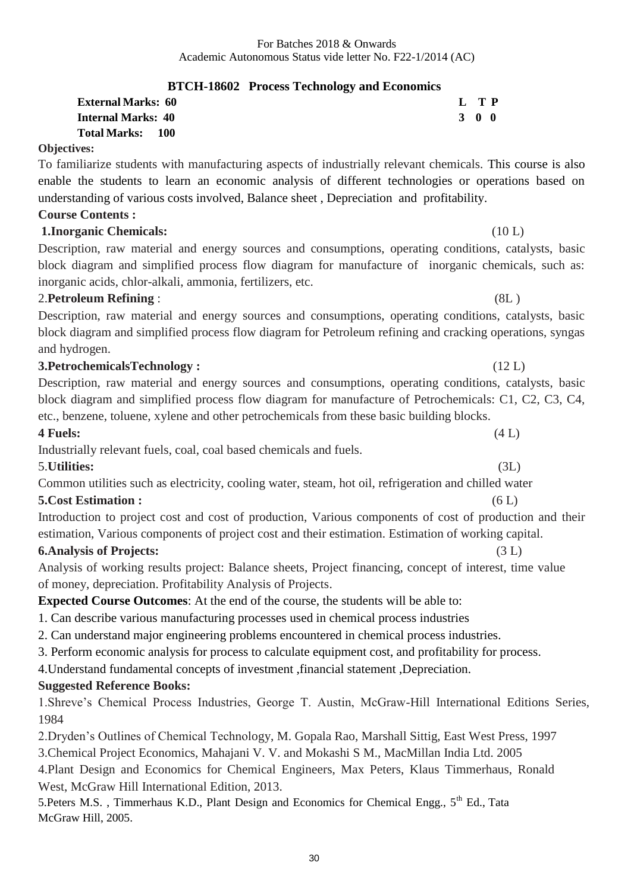# **BTCH-18602 Process Technology and Economics**

| <b>External Marks:  60</b> | L TP  |  |
|----------------------------|-------|--|
| Internal Marks: 40         | 3 O O |  |
| Total Marks:      100      |       |  |

#### **Objectives:**

To familiarize students with manufacturing aspects of industrially relevant chemicals. This course is also enable the students to learn an economic analysis of different technologies or operations based on understanding of various costs involved, Balance sheet , Depreciation and profitability.

# **Course Contents :**

# **1.Inorganic Chemicals:** (10 L)

Description, raw material and energy sources and consumptions, operating conditions, catalysts, basic block diagram and simplified process flow diagram for manufacture of inorganic chemicals, such as: inorganic acids, chlor-alkali, ammonia, fertilizers, etc.

# 2.**Petroleum Refining** : (8L )

Description, raw material and energy sources and consumptions, operating conditions, catalysts, basic block diagram and simplified process flow diagram for Petroleum refining and cracking operations, syngas and hydrogen.

# **3.PetrochemicalsTechnology :** (12 L)

| Description, raw material and energy sources and consumptions, operating conditions, catalysts, basic |
|-------------------------------------------------------------------------------------------------------|
| block diagram and simplified process flow diagram for manufacture of Petrochemicals: C1, C2, C3, C4,  |
| etc., benzene, toluene, xylene and other petrochemicals from these basic building blocks.             |

### **4 Fuels:** (4 L)

Industrially relevant fuels, coal, coal based chemicals and fuels.

# 5.**Utilities:** (3L)

Common utilities such as electricity, cooling water, steam, hot oil, refrigeration and chilled water

# **5.Cost Estimation :** (6 L)

| Introduction to project cost and cost of production, Various components of cost of production and their |  |
|---------------------------------------------------------------------------------------------------------|--|
| estimation, Various components of project cost and their estimation. Estimation of working capital.     |  |

# **6.Analysis of Projects:** (3 L)

Analysis of working results project: Balance sheets, Project financing, concept of interest, time value of money, depreciation. Profitability Analysis of Projects.

**Expected Course Outcomes**: At the end of the course, the students will be able to:

1. Can describe various manufacturing processes used in chemical process industries

2. Can understand major engineering problems encountered in chemical process industries.

3. Perform economic analysis for process to calculate equipment cost, and profitability for process.

4.Understand fundamental concepts of investment ,financial statement ,Depreciation.

# **Suggested Reference Books:**

1.Shreve's Chemical Process Industries, George T. Austin, McGraw-Hill International Editions Series, 1984

2.Dryden's Outlines of Chemical Technology, M. Gopala Rao, Marshall Sittig, East West Press, 1997

3.Chemical Project Economics, Mahajani V. V. and Mokashi S M., MacMillan India Ltd. 2005

4.Plant Design and Economics for Chemical Engineers, Max Peters, Klaus Timmerhaus, Ronald West, McGraw Hill International Edition, 2013.

5.Peters M.S., Timmerhaus K.D., Plant Design and Economics for Chemical Engg., 5<sup>th</sup> Ed., Tata McGraw Hill, 2005.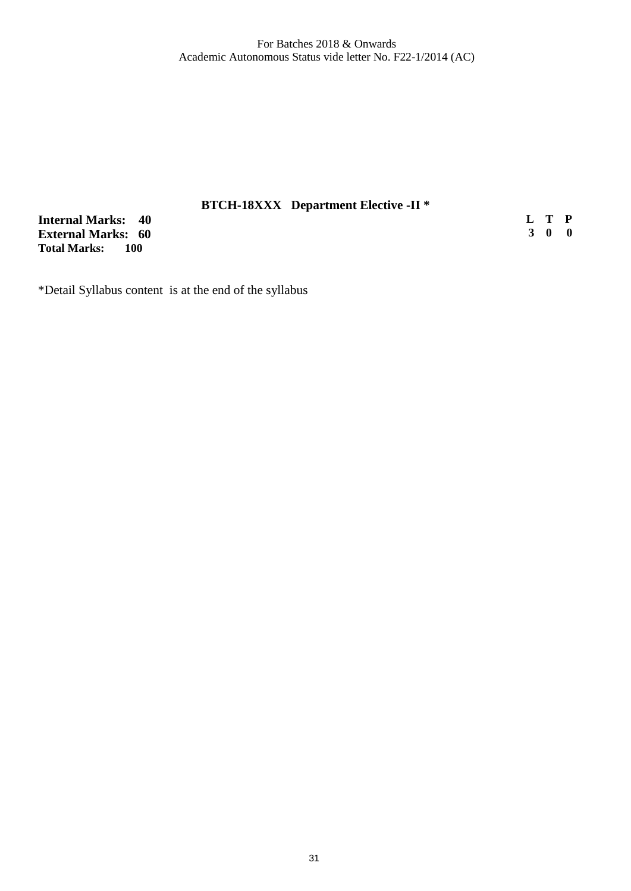# **BTCH-18XXX Department Elective -II \***

**Internal Marks: 40 External Marks: 60 Total Marks:** 

**L T P 3 0 0**

\*Detail Syllabus content is at the end of the syllabus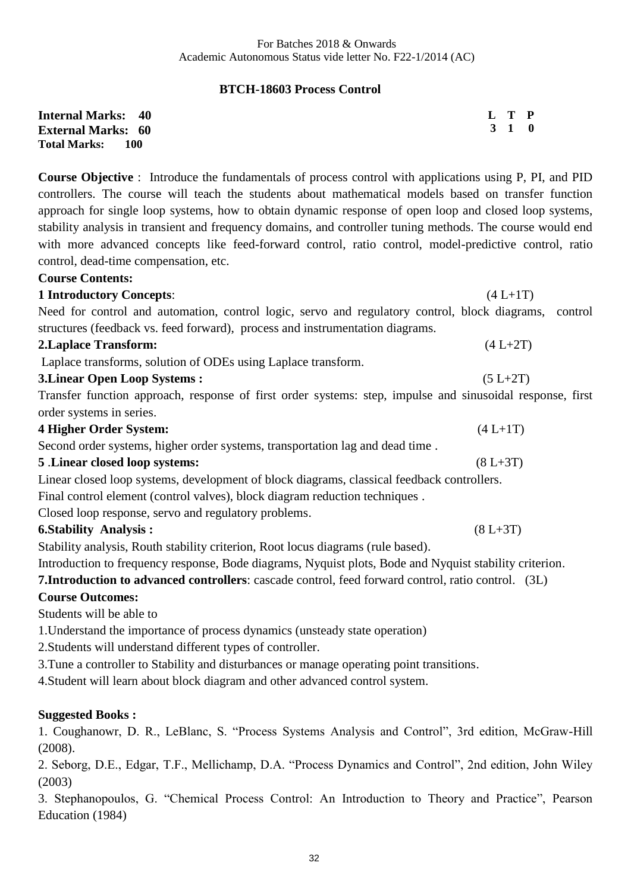# **BTCH-18603 Process Control**

| <b>Internal Marks: 40</b> | L T P |  |
|---------------------------|-------|--|
| <b>External Marks: 60</b> | 3 1 0 |  |
| Total Marks: 100          |       |  |

**Course Objective** : Introduce the fundamentals of process control with applications using P, PI, and PID controllers. The course will teach the students about mathematical models based on transfer function approach for single loop systems, how to obtain dynamic response of open loop and closed loop systems, stability analysis in transient and frequency domains, and controller tuning methods. The course would end with more advanced concepts like feed-forward control, ratio control, model-predictive control, ratio control, dead-time compensation, etc.

#### **Course Contents:**

| <b>1 Introductory Concepts:</b>                                                                           | $(4 L+1T)$   |
|-----------------------------------------------------------------------------------------------------------|--------------|
| Need for control and automation, control logic, servo and regulatory control, block diagrams,             | control      |
| structures (feedback vs. feed forward), process and instrumentation diagrams.                             |              |
| <b>2. Laplace Transform:</b>                                                                              | $(4 L+2T)$   |
| Laplace transforms, solution of ODEs using Laplace transform.                                             |              |
| <b>3. Linear Open Loop Systems:</b>                                                                       | $(5 L+2T)$   |
| Transfer function approach, response of first order systems: step, impulse and sinusoidal response, first |              |
| order systems in series.                                                                                  |              |
| <b>4 Higher Order System:</b>                                                                             | $(4 L+1T)$   |
| Second order systems, higher order systems, transportation lag and dead time.                             |              |
| 5 .Linear closed loop systems:                                                                            | $(8 L + 3T)$ |
| Linear closed loop systems, development of block diagrams, classical feedback controllers.                |              |
| Final control element (control valves), block diagram reduction techniques.                               |              |
| Closed loop response, servo and regulatory problems.                                                      |              |
| <b>6. Stability Analysis:</b>                                                                             | $(8 L + 3T)$ |
| Stability analysis, Routh stability criterion, Root locus diagrams (rule based).                          |              |

Introduction to frequency response, Bode diagrams, Nyquist plots, Bode and Nyquist stability criterion.

**7.Introduction to advanced controllers**: cascade control, feed forward control, ratio control. (3L)

#### **Course Outcomes:**

Students will be able to

1.Understand the importance of process dynamics (unsteady state operation)

2.Students will understand different types of controller.

3.Tune a controller to Stability and disturbances or manage operating point transitions.

4.Student will learn about block diagram and other advanced control system.

#### **Suggested Books :**

1. Coughanowr, D. R., LeBlanc, S. "Process Systems Analysis and Control", 3rd edition, McGraw-Hill (2008).

2. Seborg, D.E., Edgar, T.F., Mellichamp, D.A. "Process Dynamics and Control", 2nd edition, John Wiley (2003)

3. Stephanopoulos, G. "Chemical Process Control: An Introduction to Theory and Practice", Pearson Education (1984)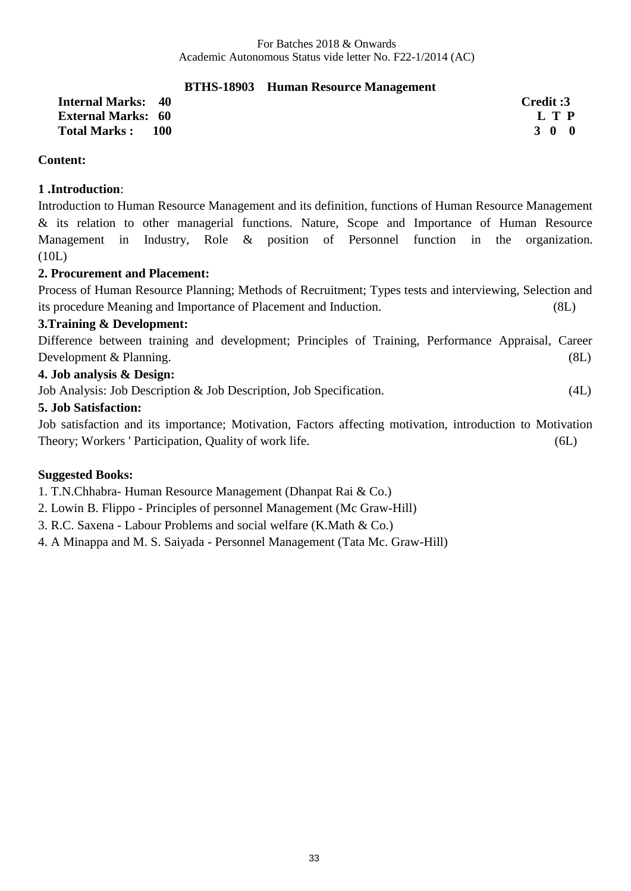# **BTHS-18903 Human Resource Management**

**Internal Marks: 40 Credit :3 External Marks:** 60 **L T P**<br> **Total Marks**: 100 **100 100 100 100 100 100 100 100 100 100 100 100 100 100 100 100 100 100 100 100 100 100 100 100 100 100 100 100 100 Total Marks : 100** 

# **Content:**

# **1 .Introduction**:

Introduction to Human Resource Management and its definition, functions of Human Resource Management & its relation to other managerial functions. Nature, Scope and Importance of Human Resource Management in Industry, Role & position of Personnel function in the organization. (10L)

# **2. Procurement and Placement:**

Process of Human Resource Planning; Methods of Recruitment; Types tests and interviewing, Selection and its procedure Meaning and Importance of Placement and Induction. (8L)

# **3.Training & Development:**

Difference between training and development; Principles of Training, Performance Appraisal, Career Development & Planning. (8L)

# **4. Job analysis & Design:**

Job Analysis: Job Description & Job Description, Job Specification. (4L)

# **5. Job Satisfaction:**

Job satisfaction and its importance; Motivation, Factors affecting motivation, introduction to Motivation Theory; Workers ' Participation, Quality of work life. (6L)

# **Suggested Books:**

1. T.N.Chhabra- Human Resource Management (Dhanpat Rai & Co.)

- 2. Lowin B. Flippo Principles of personnel Management (Mc Graw-Hill)
- 3. R.C. Saxena Labour Problems and social welfare (K.Math & Co.)
- 4. A Minappa and M. S. Saiyada Personnel Management (Tata Mc. Graw-Hill)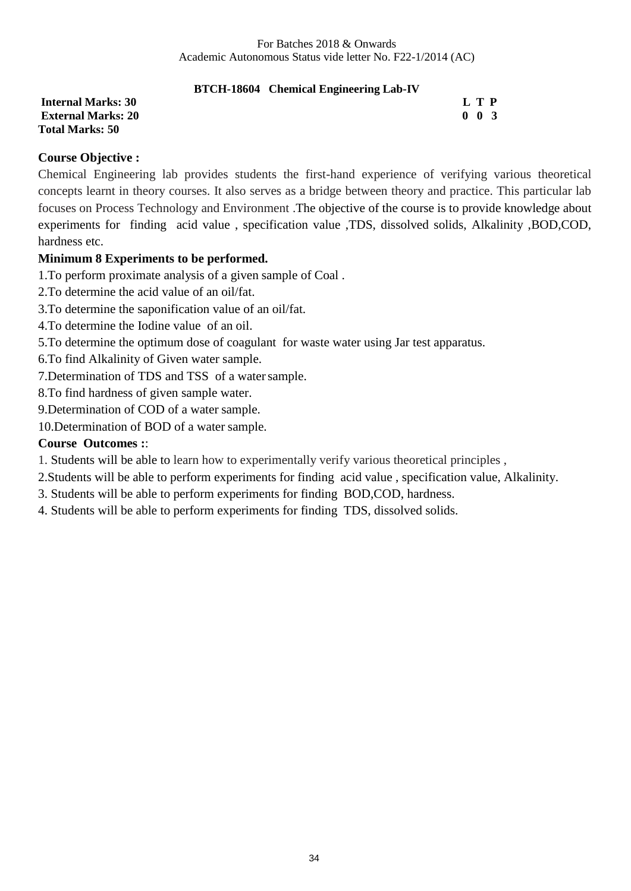# **BTCH-18604 Chemical Engineering Lab-IV**

**Total Marks: 50**

**Internal Marks: 30 L T P L T** P **External Marks: 20** 0 0 3

# **Course Objective :**

Chemical Engineering lab provides students the first-hand experience of verifying various theoretical concepts learnt in theory courses. It also serves as a bridge between theory and practice. This particular lab focuses on Process Technology and Environment .The objective of the course is to provide knowledge about experiments for finding acid value , specification value ,TDS, dissolved solids, Alkalinity ,BOD,COD, hardness etc.

# **Minimum 8 Experiments to be performed.**

1.To perform proximate analysis of a given sample of Coal .

2.To determine the acid value of an oil/fat.

3.To determine the saponification value of an oil/fat.

4.To determine the Iodine value of an oil.

5.To determine the optimum dose of coagulant for waste water using Jar test apparatus.

6.To find Alkalinity of Given water sample.

7.Determination of TDS and TSS of a watersample.

8.To find hardness of given sample water.

9.Determination of COD of a water sample.

10.Determination of BOD of a water sample.

### **Course Outcomes :**:

1. Students will be able to learn how to experimentally verify various theoretical principles ,

2.Students will be able to perform experiments for finding acid value , specification value, Alkalinity.

- 3. Students will be able to perform experiments for finding BOD,COD, hardness.
- 4. Students will be able to perform experiments for finding TDS, dissolved solids.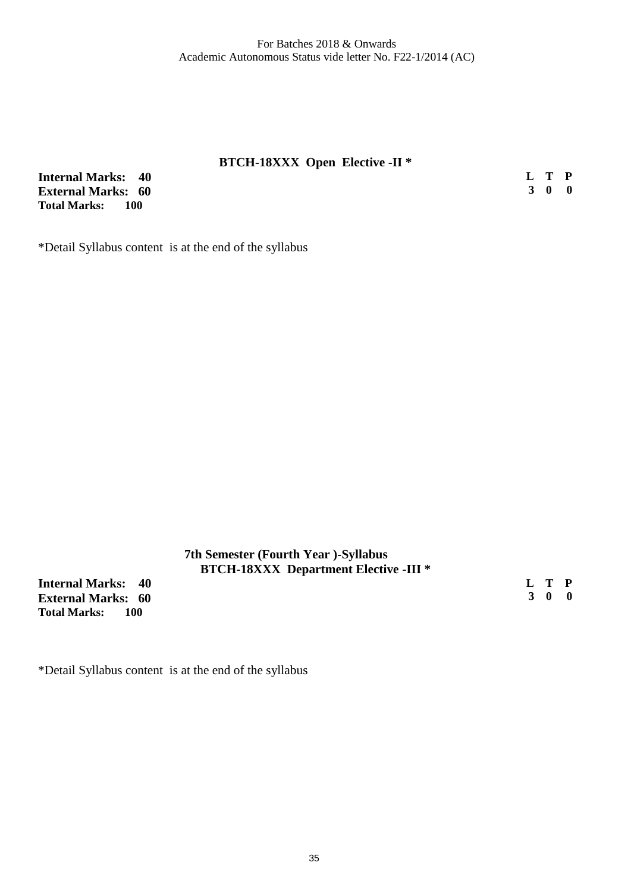#### **BTCH-18XXX Open Elective -II \***

**Internal Marks: 40 External Marks: 60 Total Marks:** 

**L T P 3 0 0**

\*Detail Syllabus content is at the end of the syllabus

### **7th Semester (Fourth Year )-Syllabus BTCH-18XXX Department Elective -III \***

**Internal Marks: 40 External Marks: 60 Total Marks: 100** 

**L T P 3 0 0**

\*Detail Syllabus content is at the end of the syllabus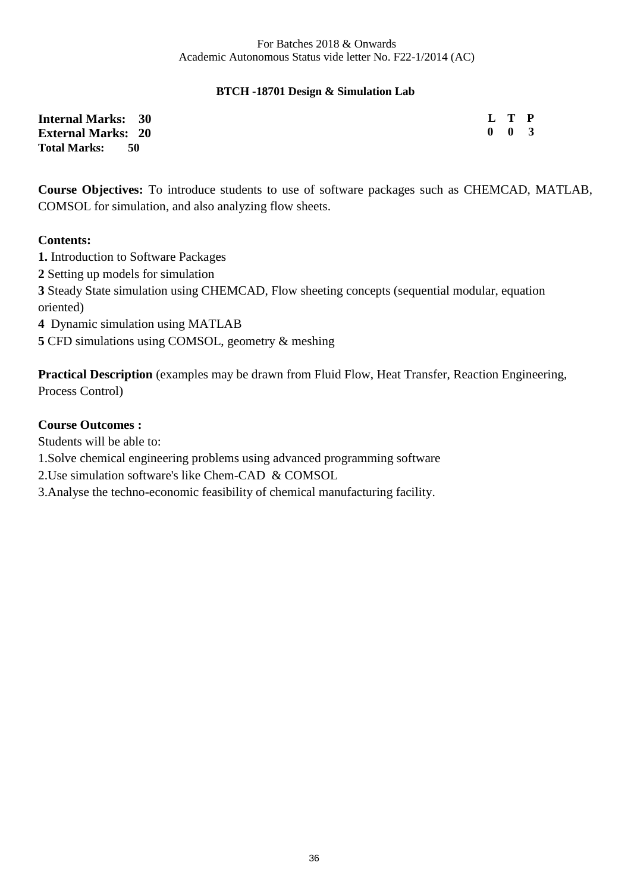### **BTCH -18701 Design & Simulation Lab**

| <b>Internal Marks: 30</b> | L T P               |  |
|---------------------------|---------------------|--|
| <b>External Marks: 20</b> | $0 \quad 0 \quad 3$ |  |
| Total Marks: 50           |                     |  |

**Course Objectives:** To introduce students to use of software packages such as CHEMCAD, MATLAB, COMSOL for simulation, and also analyzing flow sheets.

#### **Contents:**

**1.** Introduction to Software Packages Setting up models for simulation Steady State simulation using CHEMCAD, Flow sheeting concepts (sequential modular, equation oriented) Dynamic simulation using MATLAB CFD simulations using COMSOL, geometry & meshing

**Practical Description** (examples may be drawn from Fluid Flow, Heat Transfer, Reaction Engineering, Process Control)

### **Course Outcomes :**

Students will be able to:

1.Solve chemical engineering problems using advanced programming software

2.Use simulation software's like Chem-CAD & COMSOL

3.Analyse the techno-economic feasibility of chemical manufacturing facility.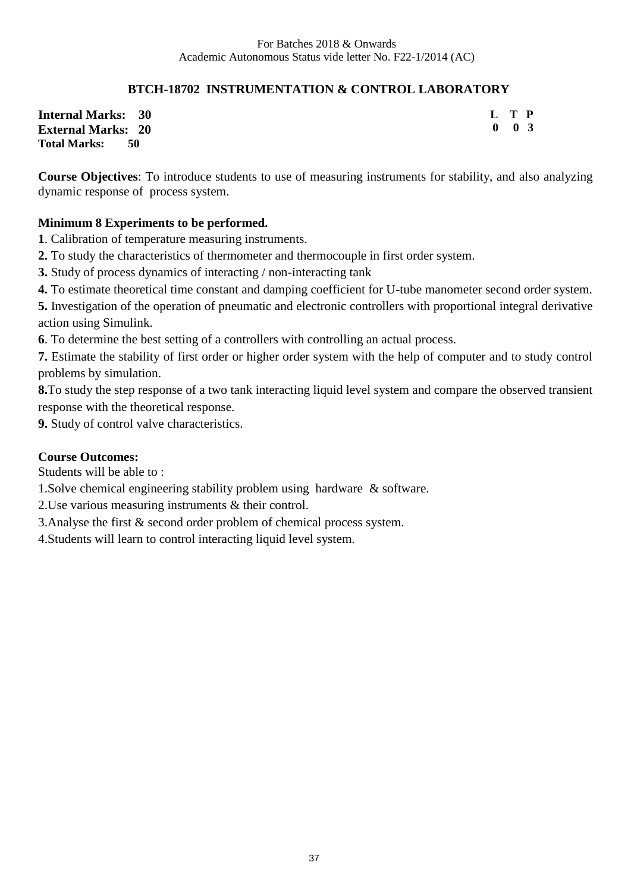# **BTCH-18702 INSTRUMENTATION & CONTROL LABORATORY**

**Internal Marks: 30 External Marks: 20 Total Marks: 50** 

**L T P 0 0 3**

**Course Objectives**: To introduce students to use of measuring instruments for stability, and also analyzing dynamic response of process system.

# **Minimum 8 Experiments to be performed.**

**1**. Calibration of temperature measuring instruments.

**2.** To study the characteristics of thermometer and thermocouple in first order system.

**3.** Study of process dynamics of interacting / non-interacting tank

**4.** To estimate theoretical time constant and damping coefficient for U-tube manometer second order system.

**5.** Investigation of the operation of pneumatic and electronic controllers with proportional integral derivative action using Simulink.

**6**. To determine the best setting of a controllers with controlling an actual process.

**7.** Estimate the stability of first order or higher order system with the help of computer and to study control problems by simulation.

**8.**To study the step response of a two tank interacting liquid level system and compare the observed transient response with the theoretical response.

**9.** Study of control valve characteristics.

# **Course Outcomes:**

Students will be able to :

1.Solve chemical engineering stability problem using hardware & software.

2.Use various measuring instruments & their control.

3.Analyse the first & second order problem of chemical process system.

4.Students will learn to control interacting liquid level system.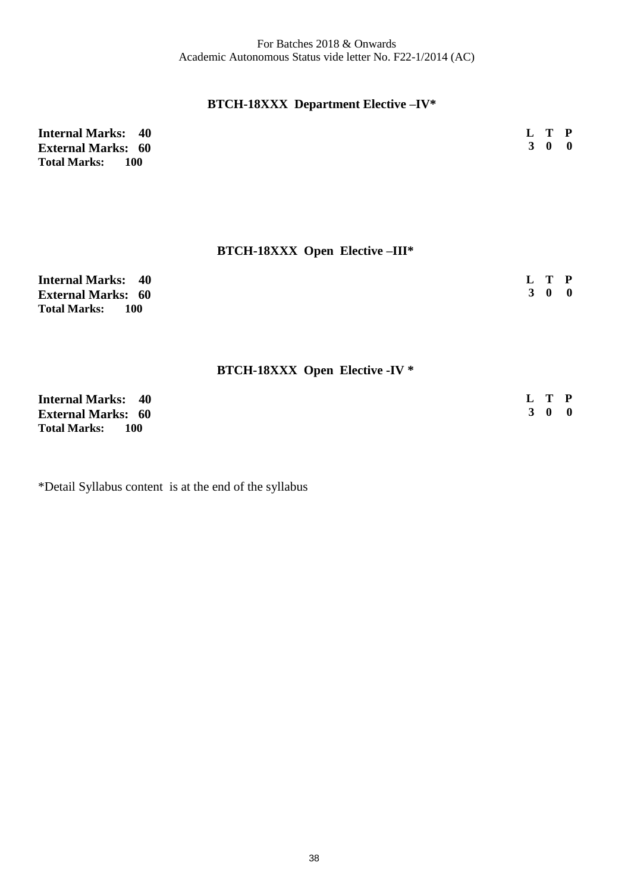# **BTCH-18XXX Department Elective –IV\***

| <b>Internal Marks: 40</b>    | L T P               |
|------------------------------|---------------------|
| <b>External Marks: 60</b>    | $3 \quad 0 \quad 0$ |
| <b>Total Marks:</b><br>- 100 |                     |

# **BTCH-18XXX Open Elective –III\***

| <b>Internal Marks: 40</b>    | L T P |  |
|------------------------------|-------|--|
| <b>External Marks: 60</b>    | 3 0 0 |  |
| <b>Total Marks:</b><br>- 100 |       |  |

# **BTCH-18XXX Open Elective -IV \***

| <b>Internal Marks: 40</b>         | L T P |  |
|-----------------------------------|-------|--|
| <b>External Marks: 60</b>         | 3 0 0 |  |
| <b>Total Marks:</b><br><b>100</b> |       |  |

\*Detail Syllabus content is at the end of the syllabus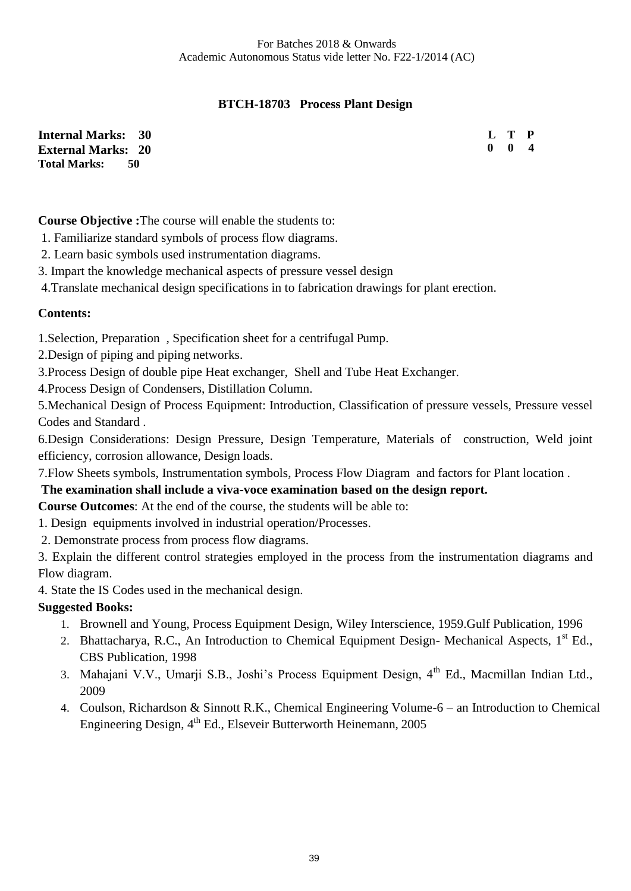# **BTCH-18703 Process Plant Design**

**Internal Marks: 30 External Marks: 20 Total Marks: 50** 

**L T P 0 0** 

**Course Objective :**The course will enable the students to:

1. Familiarize standard symbols of process flow diagrams.

2. Learn basic symbols used instrumentation diagrams.

3. Impart the knowledge mechanical aspects of pressure vessel design

4.Translate mechanical design specifications in to fabrication drawings for plant erection.

# **Contents:**

1.Selection, Preparation , Specification sheet for a centrifugal Pump.

2.Design of piping and piping networks.

3.Process Design of double pipe Heat exchanger, Shell and Tube Heat Exchanger.

4.Process Design of Condensers, Distillation Column.

5.Mechanical Design of Process Equipment: Introduction, Classification of pressure vessels, Pressure vessel Codes and Standard .

6.Design Considerations: Design Pressure, Design Temperature, Materials of construction, Weld joint efficiency, corrosion allowance, Design loads.

7.Flow Sheets symbols, Instrumentation symbols, Process Flow Diagram and factors for Plant location .

# **The examination shall include a viva-voce examination based on the design report.**

**Course Outcomes**: At the end of the course, the students will be able to:

1. Design equipments involved in industrial operation/Processes.

2. Demonstrate process from process flow diagrams.

3. Explain the different control strategies employed in the process from the instrumentation diagrams and Flow diagram.

4. State the IS Codes used in the mechanical design.

# **Suggested Books:**

- 1. Brownell and Young, Process Equipment Design, Wiley Interscience, 1959.Gulf Publication, 1996
- 2. Bhattacharya, R.C., An Introduction to Chemical Equipment Design- Mechanical Aspects, 1<sup>st</sup> Ed., CBS Publication, 1998
- 3. Mahajani V.V., Umarji S.B., Joshi's Process Equipment Design, 4<sup>th</sup> Ed., Macmillan Indian Ltd., 2009
- 4. Coulson, Richardson & Sinnott R.K., Chemical Engineering Volume-6 an Introduction to Chemical Engineering Design, 4<sup>th</sup> Ed., Elseveir Butterworth Heinemann, 2005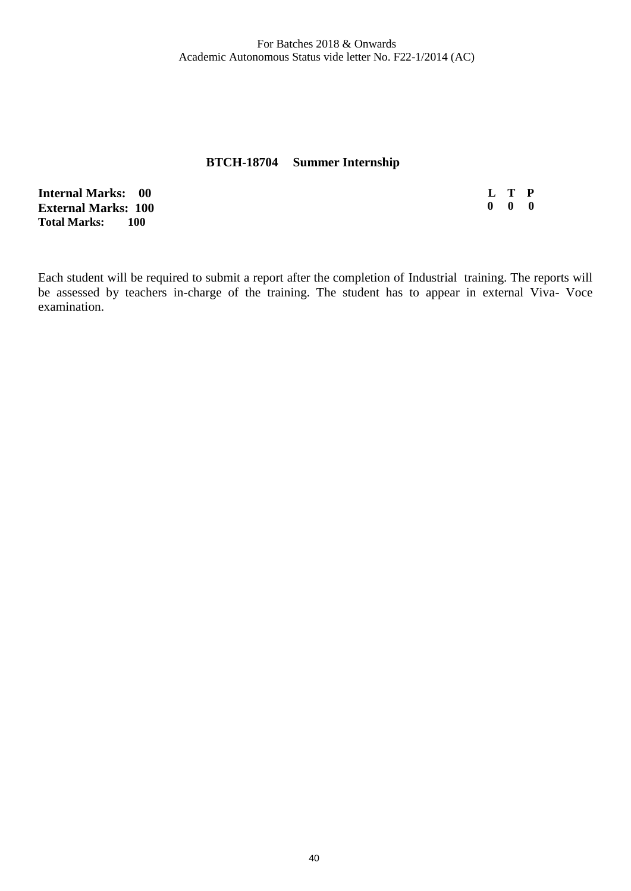#### **BTCH-18704 Summer Internship**

**Internal Marks: 00 External Marks: 100 Total Marks:** 

**L T P 0 0 0**

Each student will be required to submit a report after the completion of Industrial training. The reports will be assessed by teachers in-charge of the training. The student has to appear in external Viva- Voce examination.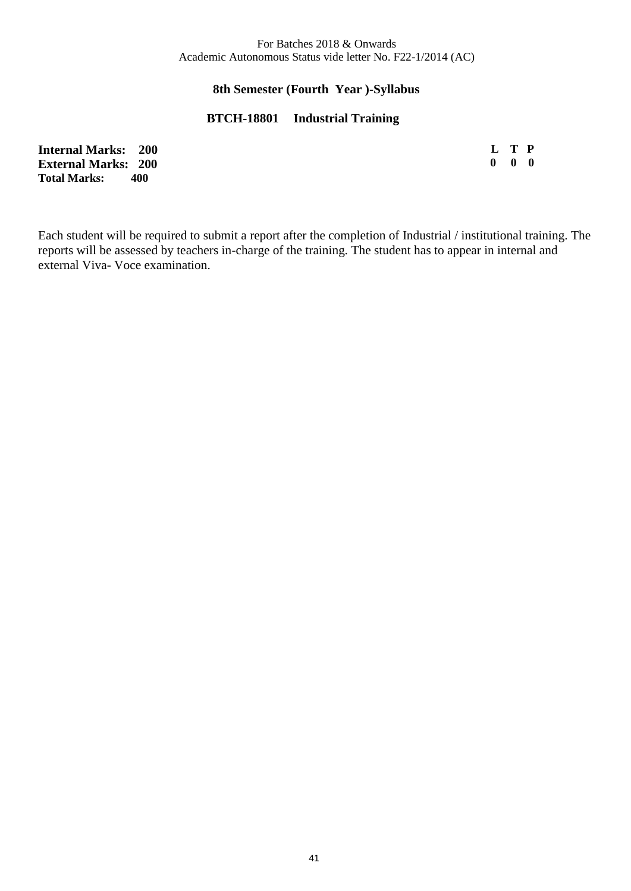#### **8th Semester (Fourth Year )-Syllabus**

#### **BTCH-18801 Industrial Training**

| <b>Internal Marks: 200</b> | L T P               |  |
|----------------------------|---------------------|--|
| <b>External Marks: 200</b> | $0 \quad 0 \quad 0$ |  |
| <b>Total Marks:</b><br>400 |                     |  |

Each student will be required to submit a report after the completion of Industrial / institutional training. The reports will be assessed by teachers in-charge of the training. The student has to appear in internal and external Viva- Voce examination.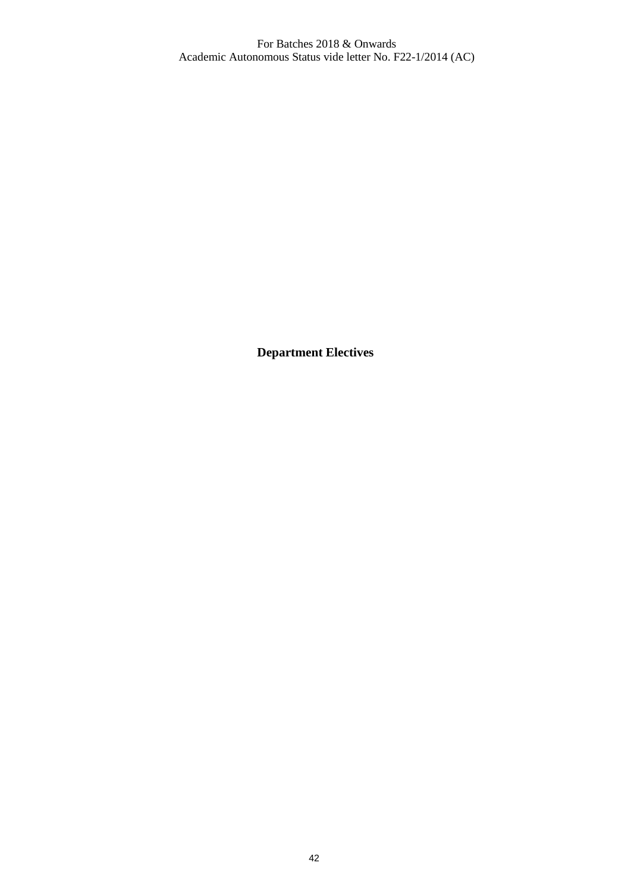**Department Electives**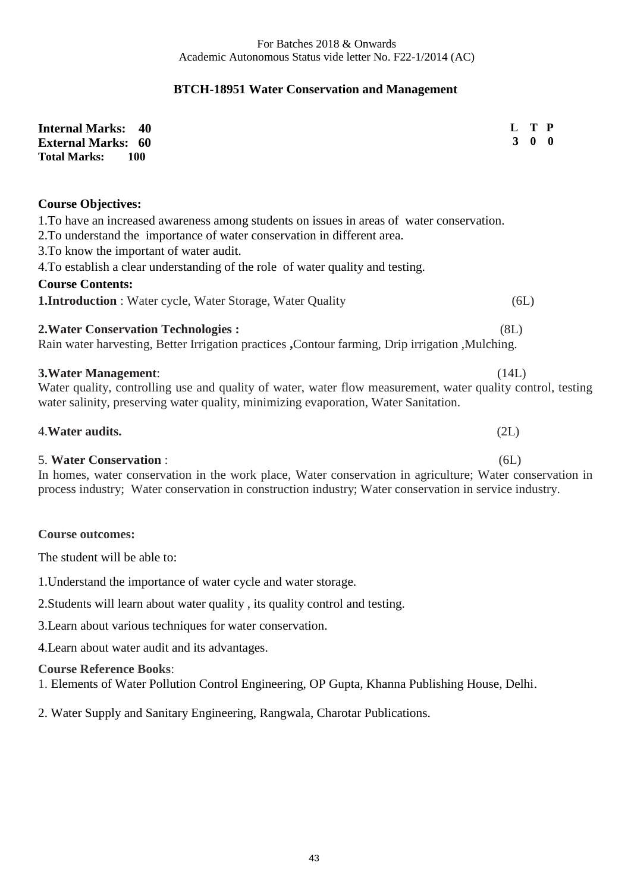# **BTCH-18951 Water Conservation and Management**

| <b>Internal Marks:</b><br>40<br><b>External Marks: 60</b><br><b>Total Marks:</b><br><b>100</b>                                                                                                                                                                                                                                                                                                                                     | T P<br>L<br>3<br>$\mathbf{0}$ |
|------------------------------------------------------------------------------------------------------------------------------------------------------------------------------------------------------------------------------------------------------------------------------------------------------------------------------------------------------------------------------------------------------------------------------------|-------------------------------|
| <b>Course Objectives:</b><br>1. To have an increased awareness among students on issues in areas of water conservation.<br>2. To understand the importance of water conservation in different area.<br>3. To know the important of water audit.<br>4. To establish a clear understanding of the role of water quality and testing.<br><b>Course Contents:</b><br><b>1.Introduction</b> : Water cycle, Water Storage, Water Quality | (6L)                          |
| <b>2. Water Conservation Technologies:</b><br>Rain water harvesting, Better Irrigation practices , Contour farming, Drip irrigation , Mulching.                                                                                                                                                                                                                                                                                    | (8L)                          |
| 3. Water Management:<br>Water quality, controlling use and quality of water, water flow measurement, water quality control, testing<br>water salinity, preserving water quality, minimizing evaporation, Water Sanitation.                                                                                                                                                                                                         | (14L)                         |
| 4. Water audits.                                                                                                                                                                                                                                                                                                                                                                                                                   | (2L)                          |
| <b>5. Water Conservation:</b><br>In homes, water conservation in the work place, Water conservation in agriculture; Water conservation in<br>process industry; Water conservation in construction industry; Water conservation in service industry.                                                                                                                                                                                | (6L)                          |
| <b>Course outcomes:</b>                                                                                                                                                                                                                                                                                                                                                                                                            |                               |
| The student will be able to:                                                                                                                                                                                                                                                                                                                                                                                                       |                               |
| 1. Understand the importance of water cycle and water storage.                                                                                                                                                                                                                                                                                                                                                                     |                               |
| 2. Students will learn about water quality, its quality control and testing.                                                                                                                                                                                                                                                                                                                                                       |                               |
| 3. Learn about various techniques for water conservation.                                                                                                                                                                                                                                                                                                                                                                          |                               |
| 4. Learn about water audit and its advantages.                                                                                                                                                                                                                                                                                                                                                                                     |                               |
| <b>Course Reference Books:</b><br>1. Elements of Water Pollution Control Engineering, OP Gupta, Khanna Publishing House, Delhi.                                                                                                                                                                                                                                                                                                    |                               |

2. Water Supply and Sanitary Engineering, Rangwala, Charotar Publications.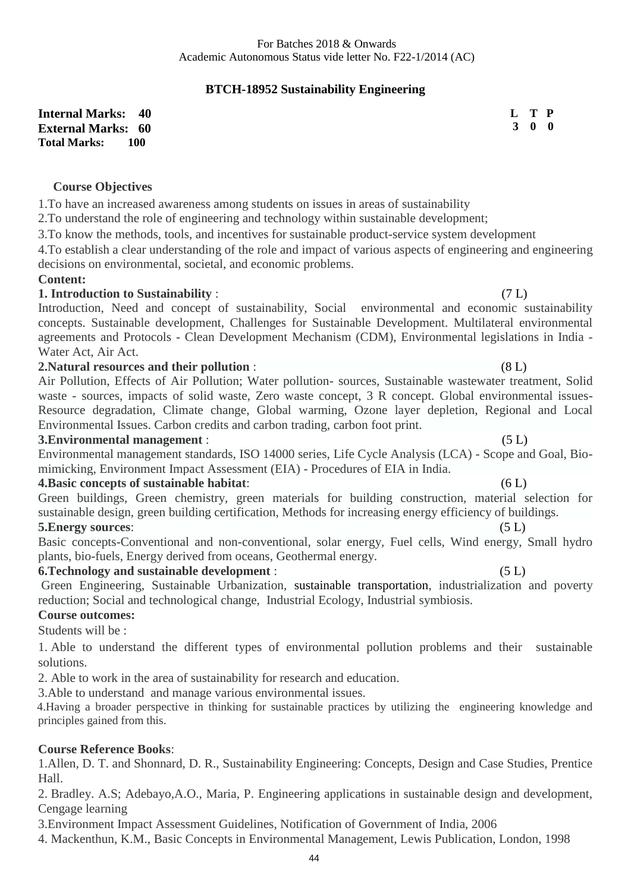# **BTCH-18952 Sustainability Engineering**

**Internal Marks: 40 External Marks: 60 Total Marks: 100** 

#### **Course Objectives**

1.To have an increased awareness among students on issues in areas of sustainability

2.To understand the role of engineering and technology within sustainable development;

3.To know the methods, tools, and incentives for sustainable product-service system development

4.To establish a clear understanding of the role and impact of various aspects of engineering and engineering decisions on environmental, societal, and economic problems.

#### **Content:**

#### **1. Introduction to Sustainability** :(7 L)

Introduction, Need and concept of sustainability, Social environmental and economic sustainability concepts. Sustainable development, Challenges for Sustainable Development. Multilateral environmental agreements and Protocols - Clean Development Mechanism (CDM), Environmental legislations in India - Water Act, Air Act.

#### **2.Natural resources and their pollution** : (8 L)

Air Pollution, Effects of Air Pollution; Water pollution- sources, Sustainable wastewater treatment, Solid waste - sources, impacts of solid waste, Zero waste concept, 3 R concept. Global environmental issues-Resource degradation, Climate change, Global warming, Ozone layer depletion, Regional and Local Environmental Issues. Carbon credits and carbon trading, carbon foot print.

#### **3.Environmental management** :(5 L)

Environmental management standards, ISO 14000 series, Life Cycle Analysis (LCA) - Scope and Goal, Biomimicking, Environment Impact Assessment (EIA) - Procedures of EIA in India.

### **4.Basic concepts of sustainable habitat**:(6 L)

Green buildings, Green chemistry, green materials for building construction, material selection for sustainable design, green building certification, Methods for increasing energy efficiency of buildings.

#### **5.Energy sources**: (5 L)

Basic concepts-Conventional and non-conventional, solar energy, Fuel cells, Wind energy, Small hydro plants, bio-fuels, Energy derived from oceans, Geothermal energy.

#### **6.Technology and sustainable development** :(5 L)

Green Engineering, Sustainable Urbanization, sustainable transportation, industrialization and poverty reduction; Social and technological change, Industrial Ecology, Industrial symbiosis.

# **Course outcomes:**

Students will be :

1. Able to understand the different types of environmental pollution problems and their sustainable solutions.

2. Able to work in the area of sustainability for research and education.

3.Able to understand and manage various environmental issues.

 4.Having a broader perspective in thinking for sustainable practices by utilizing the engineering knowledge and principles gained from this.

#### **Course Reference Books**:

1.Allen, D. T. and Shonnard, D. R., Sustainability Engineering: Concepts, Design and Case Studies, Prentice Hall.

2. Bradley. A.S; Adebayo,A.O., Maria, P. Engineering applications in sustainable design and development, Cengage learning

3.Environment Impact Assessment Guidelines, Notification of Government of India, 2006

4. Mackenthun, K.M., Basic Concepts in Environmental Management, Lewis Publication, London, 1998

**L T P 3 0 0**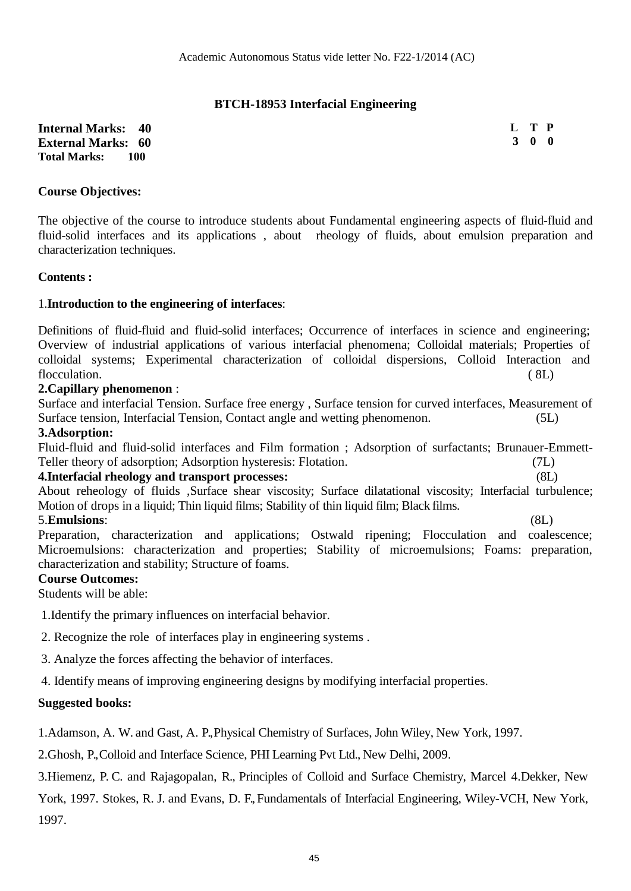# **BTCH-18953 Interfacial Engineering**

**Internal Marks: 40 External Marks: 60 Total Marks: 100** 

**L T P 3 0 0**

#### **Course Objectives:**

The objective of the course to introduce students about Fundamental engineering aspects of fluid-fluid and fluid-solid interfaces and its applications, about rheology of fluids, about emulsion preparation and characterization techniques.

#### **Contents :**

#### 1.**Introduction to the engineering of interfaces**:

Definitions of fluid-fluid and fluid-solid interfaces; Occurrence of interfaces in science and engineering; Overview of industrial applications of various interfacial phenomena; Colloidal materials; Properties of colloidal systems; Experimental characterization of colloidal dispersions, Colloid Interaction and flocculation. (8L)

#### **2.Capillary phenomenon** :

Surface and interfacial Tension. Surface free energy , Surface tension for curved interfaces, Measurement of Surface tension, Interfacial Tension, Contact angle and wetting phenomenon. (5L)

#### **3.Adsorption:**

Fluid-fluid and fluid-solid interfaces and Film formation ; Adsorption of surfactants; Brunauer-Emmett-Teller theory of adsorption; Adsorption hysteresis: Flotation. (7L)

#### **4.Interfacial rheology and transport processes:** (8L)

About reheology of fluids ,Surface shear viscosity; Surface dilatational viscosity; Interfacial turbulence; Motion of drops in a liquid; Thin liquid films; Stability of thin liquid film; Black films. 5.**Emulsions**: (8L)

Preparation, characterization and applications; Ostwald ripening; Flocculation and coalescence; Microemulsions: characterization and properties; Stability of microemulsions; Foams: preparation, characterization and stability; Structure of foams.

#### **Course Outcomes:**

Students will be able:

1.Identify the primary influences on interfacial behavior.

2. Recognize the role of interfaces play in engineering systems .

- 3. Analyze the forces affecting the behavior of interfaces.
- 4. Identify means of improving engineering designs by modifying interfacial properties.

#### **Suggested books:**

1.Adamson, A. W. and Gast, A. P., Physical Chemistry of Surfaces, John Wiley, New York, 1997.

2.Ghosh, P., Colloid and Interface Science, PHI Learning Pvt Ltd., New Delhi, 2009.

3.Hiemenz, P. C. and Rajagopalan, R., Principles of Colloid and Surface Chemistry, Marcel 4.Dekker, New York, 1997. Stokes, R. J. and Evans, D. F., Fundamentals of Interfacial Engineering, Wiley-VCH, New York, 1997.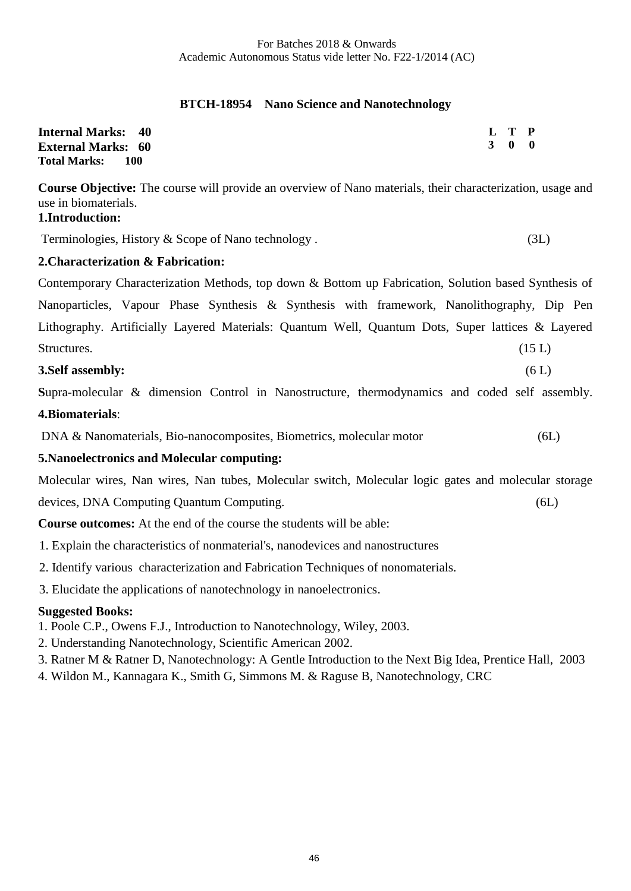# **BTCH-18954 Nano Science and Nanotechnology**

| <b>Internal Marks: 40</b>    | L T P |  |
|------------------------------|-------|--|
| <b>External Marks: 60</b>    | 3 0 0 |  |
| <b>Total Marks:</b><br>- 100 |       |  |

**Course Objective:** The course will provide an overview of Nano materials, their characterization, usage and use in biomaterials. **1.Introduction:**

Terminologies, History & Scope of Nano technology . (3L)

### **2.Characterization & Fabrication:**

Contemporary Characterization Methods, top down & Bottom up Fabrication, Solution based Synthesis of Nanoparticles, Vapour Phase Synthesis & Synthesis with framework, Nanolithography, Dip Pen Lithography. Artificially Layered Materials: Quantum Well, Quantum Dots, Super lattices & Layered Structures. (15 L)

#### **3.Self assembly:** (6 L)

**S**upra-molecular & dimension Control in Nanostructure, thermodynamics and coded self assembly. **4.Biomaterials**:

DNA & Nanomaterials, Bio-nanocomposites, Biometrics, molecular motor (6L)

# **5.Nanoelectronics and Molecular computing:**

Molecular wires, Nan wires, Nan tubes, Molecular switch, Molecular logic gates and molecular storage

devices, DNA Computing Quantum Computing. (6L)

**Course outcomes:** At the end of the course the students will be able:

- 1. Explain the characteristics of nonmaterial's, nanodevices and nanostructures
- 2. Identify various characterization and Fabrication Techniques of nonomaterials.

3. Elucidate the applications of nanotechnology in nanoelectronics.

#### **Suggested Books:**

- 1. Poole C.P., Owens F.J., Introduction to Nanotechnology, Wiley, 2003.
- 2. Understanding Nanotechnology, Scientific American 2002.

3. Ratner M & Ratner D, Nanotechnology: A Gentle Introduction to the Next Big Idea, Prentice Hall, 2003

4. Wildon M., Kannagara K., Smith G, Simmons M. & Raguse B, Nanotechnology, CRC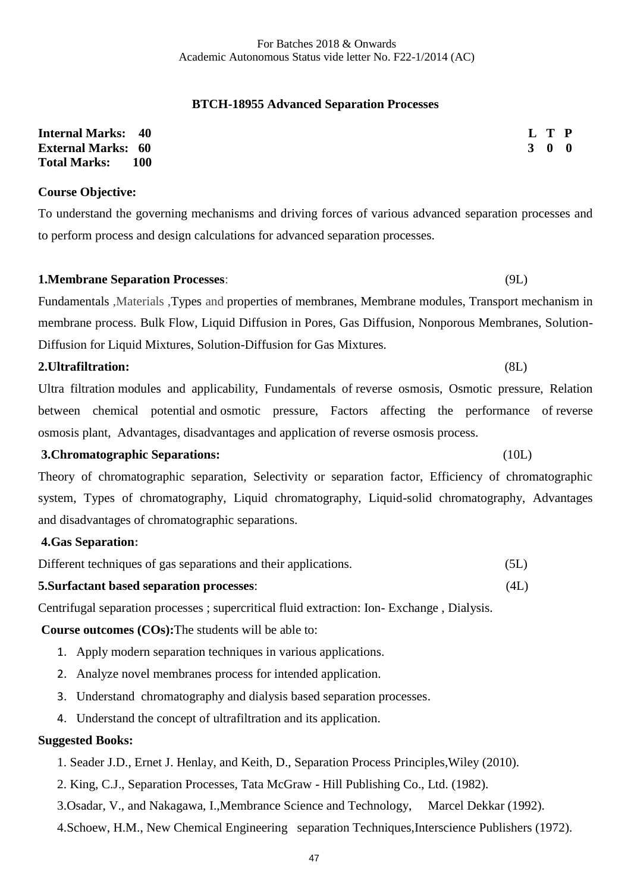#### **BTCH-18955 Advanced Separation Processes**

| <b>Internal Marks: 40</b> |       |  | L T P               |  |
|---------------------------|-------|--|---------------------|--|
| <b>External Marks: 60</b> |       |  | $3 \quad 0 \quad 0$ |  |
| <b>Total Marks:</b>       | - 100 |  |                     |  |

#### **Course Objective:**

To understand the governing mechanisms and driving forces of various advanced separation processes and to perform process and design calculations for advanced separation processes.

**1.Membrane Separation Processes**: (9L)

Fundamentals ,Materials ,Types and properties of membranes, Membrane modules, Transport mechanism in membrane process. Bulk Flow, Liquid Diffusion in Pores, Gas Diffusion, Nonporous Membranes, Solution-Diffusion for Liquid Mixtures, Solution-Diffusion for Gas Mixtures.

#### **2.Ultrafiltration:** (8L)

Ultra filtration modules and applicability, Fundamentals of reverse osmosis, Osmotic pressure, Relation between chemical potential and osmotic pressure, Factors affecting the performance of reverse osmosis plant, Advantages, disadvantages and application of reverse osmosis process.

#### **3.Chromatographic Separations:** (10L)

Theory of chromatographic separation, Selectivity or separation factor, Efficiency of chromatographic system, Types of chromatography, Liquid chromatography, Liquid-solid chromatography, Advantages and disadvantages of chromatographic separations.

# **4.Gas Separation:**

| Different techniques of gas separations and their applications. | (5L) |
|-----------------------------------------------------------------|------|
|-----------------------------------------------------------------|------|

#### **5.Surfactant based separation processes**: (4L)

Centrifugal separation processes ; supercritical fluid extraction: Ion- Exchange , Dialysis.

**Course outcomes (COs):**The students will be able to:

- 1. Apply modern separation techniques in various applications.
- 2. Analyze novel membranes process for intended application.
- 3. Understand chromatography and dialysis based separation processes.
- 4. Understand the concept of ultrafiltration and its application.

# **Suggested Books:**

- 1. Seader J.D., Ernet J. Henlay, and Keith, D., Separation Process Principles,Wiley (2010).
- 2. King, C.J., Separation Processes, Tata McGraw Hill Publishing Co., Ltd. (1982).
- 3.Osadar, V., and Nakagawa, I.,Membrance Science and Technology, Marcel Dekkar (1992).
- 4.Schoew, H.M., New Chemical Engineering separation Techniques,Interscience Publishers (1972).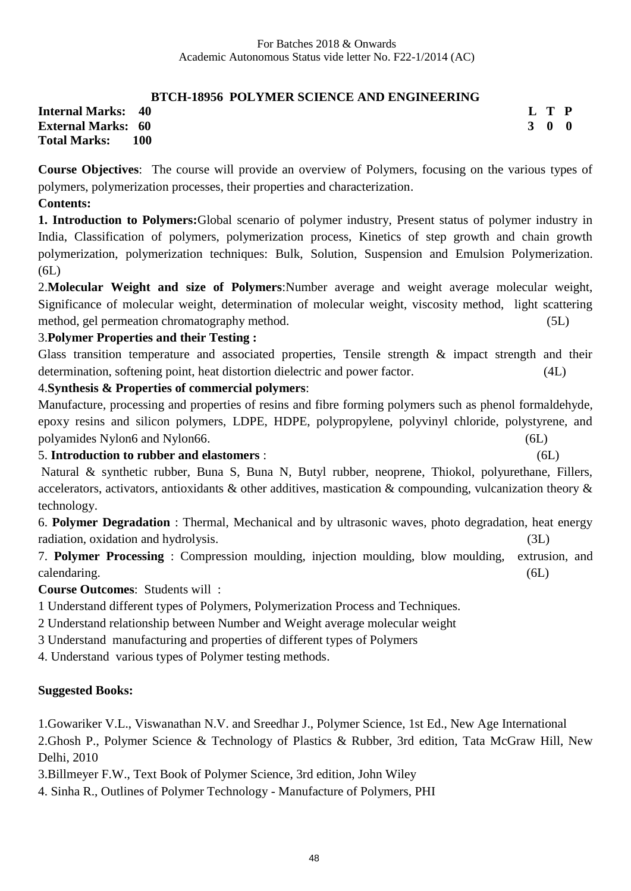# **BTCH-18956 POLYMER SCIENCE AND ENGINEERING**

**Internal Marks: 40 External Marks: 60 Total Marks: 100**  **L T P 3 0 0**

**Course Objectives**: The course will provide an overview of Polymers, focusing on the various types of polymers, polymerization processes, their properties and characterization.

#### **Contents:**

**1. Introduction to Polymers:**Global scenario of polymer industry, Present status of polymer industry in India, Classification of polymers, polymerization process, Kinetics of step growth and chain growth polymerization, polymerization techniques: Bulk, Solution, Suspension and Emulsion Polymerization. (6L)

2.**Molecular Weight and size of Polymers**:Number average and weight average molecular weight, Significance of molecular weight, determination of molecular weight, viscosity method, light scattering method, gel permeation chromatography method. (5L)

### 3.**Polymer Properties and their Testing :**

Glass transition temperature and associated properties, Tensile strength  $\&$  impact strength and their determination, softening point, heat distortion dielectric and power factor. (4L)

## 4.**Synthesis & Properties of commercial polymers**:

Manufacture, processing and properties of resins and fibre forming polymers such as phenol formaldehyde, epoxy resins and silicon polymers, LDPE, HDPE, polypropylene, polyvinyl chloride, polystyrene, and polyamides Nylon6 and Nylon66. (6L)

5. **Introduction to rubber and elastomers** : (6L)

Natural & synthetic rubber, Buna S, Buna N, Butyl rubber, neoprene, Thiokol, polyurethane, Fillers, accelerators, activators, antioxidants & other additives, mastication & compounding, vulcanization theory & technology.

6. **Polymer Degradation** : Thermal, Mechanical and by ultrasonic waves, photo degradation, heat energy radiation, oxidation and hydrolysis. (3L) (3L)

7. **Polymer Processing** : Compression moulding, injection moulding, blow moulding, extrusion, and calendaring. (6L)

**Course Outcomes**: Students will :

1 Understand different types of Polymers, Polymerization Process and Techniques.

2 Understand relationship between Number and Weight average molecular weight

3 Understand manufacturing and properties of different types of Polymers

4. Understand various types of Polymer testing methods.

#### **Suggested Books:**

1.Gowariker V.L., Viswanathan N.V. and Sreedhar J., Polymer Science, 1st Ed., New Age International 2.Ghosh P., Polymer Science & Technology of Plastics & Rubber, 3rd edition, Tata McGraw Hill, New

Delhi, 2010

3.Billmeyer F.W., Text Book of Polymer Science, 3rd edition, John Wiley

4. Sinha R., Outlines of Polymer Technology - Manufacture of Polymers, PHI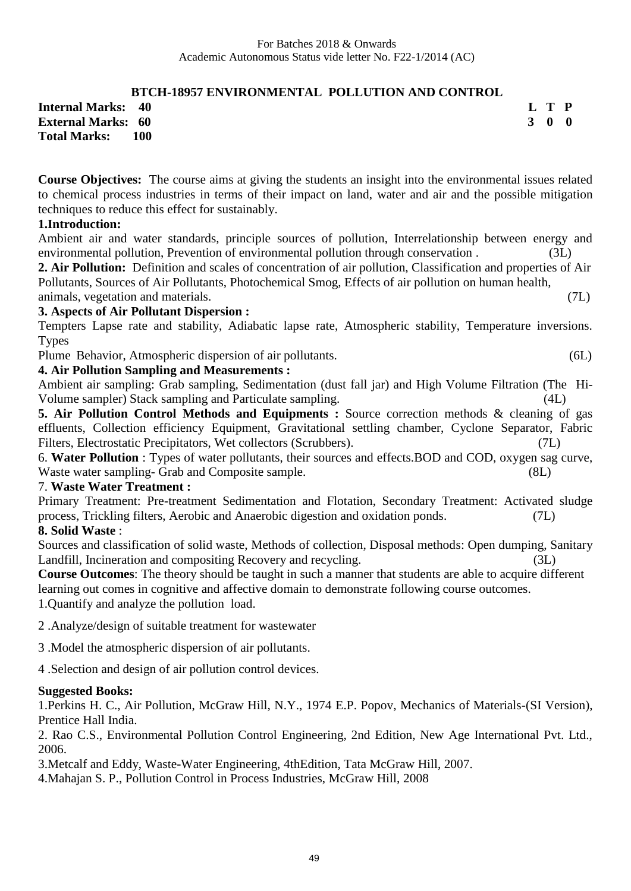# **BTCH-18957 ENVIRONMENTAL POLLUTION AND CONTROL**

**Internal Marks: 40 External Marks: 60 Total Marks: 100** 

**Course Objectives:** The course aims at giving the students an insight into the environmental issues related to chemical process industries in terms of their impact on land, water and air and the possible mitigation techniques to reduce this effect for sustainably.

# **1.Introduction:**

Ambient air and water standards, principle sources of pollution, Interrelationship between energy and environmental pollution, Prevention of environmental pollution through conservation.

**2. Air Pollution:** Definition and scales of concentration of air pollution, Classification and properties of Air Pollutants, Sources of Air Pollutants, Photochemical Smog, Effects of air pollution on human health,

#### animals, vegetation and materials. (7L) **3. Aspects of Air Pollutant Dispersion :**

Tempters Lapse rate and stability, Adiabatic lapse rate, Atmospheric stability, Temperature inversions. Types

Plume Behavior, Atmospheric dispersion of air pollutants. (6L)

# **4. Air Pollution Sampling and Measurements :**

Ambient air sampling: Grab sampling, Sedimentation (dust fall jar) and High Volume Filtration (The Hi-Volume sampler) Stack sampling and Particulate sampling. (4L)

**5. Air Pollution Control Methods and Equipments :** Source correction methods & cleaning of gas effluents, Collection efficiency Equipment, Gravitational settling chamber, Cyclone Separator, Fabric Filters, Electrostatic Precipitators, Wet collectors (Scrubbers). (7L)

6. **Water Pollution** : Types of water pollutants, their sources and effects.BOD and COD, oxygen sag curve, Waste water sampling- Grab and Composite sample. (8L)

# 7. **Waste Water Treatment :**

Primary Treatment: Pre-treatment Sedimentation and Flotation, Secondary Treatment: Activated sludge process, Trickling filters, Aerobic and Anaerobic digestion and oxidation ponds. (7L) **8. Solid Waste** :

Sources and classification of solid waste, Methods of collection, Disposal methods: Open dumping, Sanitary Landfill, Incineration and compositing Recovery and recycling. (3L)

**Course Outcomes**: The theory should be taught in such a manner that students are able to acquire different learning out comes in cognitive and affective domain to demonstrate following course outcomes. 1.Quantify and analyze the pollution load.

2 .Analyze/design of suitable treatment for wastewater

3 .Model the atmospheric dispersion of air pollutants.

4 .Selection and design of air pollution control devices.

#### **Suggested Books:**

1.Perkins H. C., Air Pollution, McGraw Hill, N.Y., 1974 E.P. Popov, Mechanics of Materials-(SI Version), Prentice Hall India.

2. Rao C.S., Environmental Pollution Control Engineering, 2nd Edition, New Age International Pvt. Ltd., 2006.

3.Metcalf and Eddy, Waste-Water Engineering, 4thEdition, Tata McGraw Hill, 2007.

4.Mahajan S. P., Pollution Control in Process Industries, McGraw Hill, 2008

**L T P 3 0 0**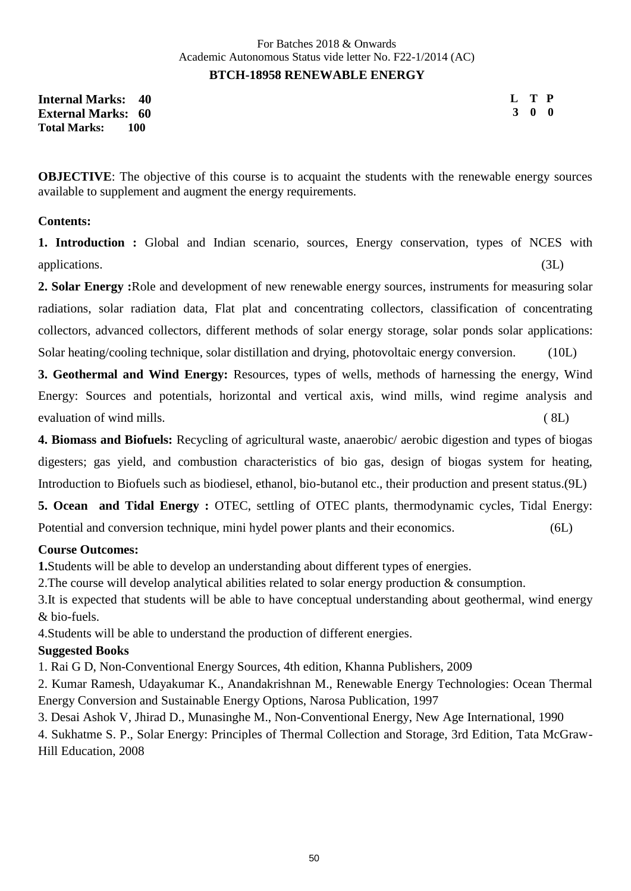**Internal Marks: 40 External Marks: 60 Total Marks: 100** 

**L T P 3 0 0**

**OBJECTIVE:** The objective of this course is to acquaint the students with the renewable energy sources available to supplement and augment the energy requirements.

#### **Contents:**

**1. Introduction :** Global and Indian scenario, sources, Energy conservation, types of NCES with applications. (3L)

**2. Solar Energy :**Role and development of new renewable energy sources, instruments for measuring solar radiations, solar radiation data, Flat plat and concentrating collectors, classification of concentrating collectors, advanced collectors, different methods of solar energy storage, solar ponds solar applications: Solar heating/cooling technique, solar distillation and drying, photovoltaic energy conversion. (10L)

**3. Geothermal and Wind Energy:** Resources, types of wells, methods of harnessing the energy, Wind Energy: Sources and potentials, horizontal and vertical axis, wind mills, wind regime analysis and evaluation of wind mills. ( 8L)

**4. Biomass and Biofuels:** Recycling of agricultural waste, anaerobic/ aerobic digestion and types of biogas digesters; gas yield, and combustion characteristics of bio gas, design of biogas system for heating, Introduction to Biofuels such as biodiesel, ethanol, bio-butanol etc., their production and present status.(9L)

**5. Ocean and Tidal Energy :** OTEC, settling of OTEC plants, thermodynamic cycles, Tidal Energy: Potential and conversion technique, mini hydel power plants and their economics. (6L)

# **Course Outcomes:**

**1.**Students will be able to develop an understanding about different types of energies.

2.The course will develop analytical abilities related to solar energy production & consumption.

3.It is expected that students will be able to have conceptual understanding about geothermal, wind energy & bio-fuels.

4.Students will be able to understand the production of different energies.

#### **Suggested Books**

1. Rai G D, Non-Conventional Energy Sources, 4th edition, Khanna Publishers, 2009

2. Kumar Ramesh, Udayakumar K., Anandakrishnan M., Renewable Energy Technologies: Ocean Thermal Energy Conversion and Sustainable Energy Options, Narosa Publication, 1997

3. Desai Ashok V, Jhirad D., Munasinghe M., Non-Conventional Energy, New Age International, 1990

4. Sukhatme S. P., Solar Energy: Principles of Thermal Collection and Storage, 3rd Edition, Tata McGraw-Hill Education, 2008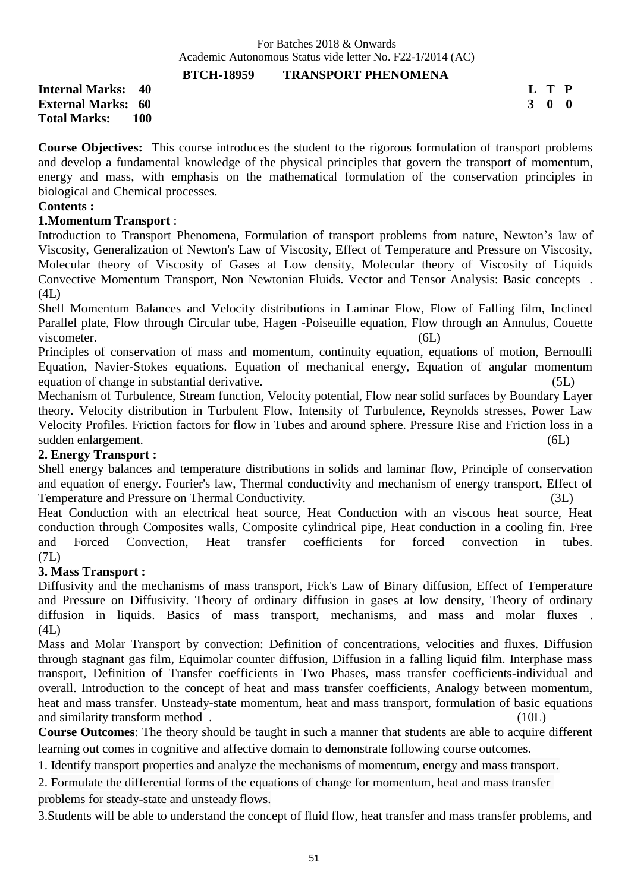#### **BTCH-18959 TRANSPORT PHENOMENA**

**Internal Marks: 40 External Marks: 60 Total Marks: 100**  **L T P 3 0 0**

**Course Objectives:** This course introduces the student to the rigorous formulation of transport problems and develop a fundamental knowledge of the physical principles that govern the transport of momentum, energy and mass, with emphasis on the mathematical formulation of the conservation principles in biological and Chemical processes.

#### **Contents :**

#### **1.Momentum Transport** :

Introduction to Transport Phenomena, Formulation of transport problems from nature, Newton's law of Viscosity, Generalization of Newton's Law of Viscosity, Effect of Temperature and Pressure on Viscosity, Molecular theory of Viscosity of Gases at Low density, Molecular theory of Viscosity of Liquids Convective Momentum Transport, Non Newtonian Fluids. Vector and Tensor Analysis: Basic concepts . (4L)

Shell Momentum Balances and Velocity distributions in Laminar Flow, Flow of Falling film, Inclined Parallel plate, Flow through Circular tube, Hagen -Poiseuille equation, Flow through an Annulus, Couette viscometer. (6L)

Principles of conservation of mass and momentum, continuity equation, equations of motion, Bernoulli Equation, Navier-Stokes equations. Equation of mechanical energy, Equation of angular momentum equation of change in substantial derivative. (5L)

Mechanism of Turbulence, Stream function, Velocity potential, Flow near solid surfaces by Boundary Layer theory. Velocity distribution in Turbulent Flow, Intensity of Turbulence, Reynolds stresses, Power Law Velocity Profiles. Friction factors for flow in Tubes and around sphere. Pressure Rise and Friction loss in a sudden enlargement. (6L)

# **2. Energy Transport :**

Shell energy balances and temperature distributions in solids and laminar flow, Principle of conservation and equation of energy. Fourier's law, Thermal conductivity and mechanism of energy transport, Effect of Temperature and Pressure on Thermal Conductivity. (3L)

Heat Conduction with an electrical heat source, Heat Conduction with an viscous heat source, Heat conduction through Composites walls, Composite cylindrical pipe, Heat conduction in a cooling fin. Free and Forced Convection, Heat transfer coefficients for forced convection in tubes. (7L)

#### **3. Mass Transport :**

Diffusivity and the mechanisms of mass transport, Fick's Law of Binary diffusion, Effect of Temperature and Pressure on Diffusivity. Theory of ordinary diffusion in gases at low density, Theory of ordinary diffusion in liquids. Basics of mass transport, mechanisms, and mass and molar fluxes . (4L)

Mass and Molar Transport by convection: Definition of concentrations, velocities and fluxes. Diffusion through stagnant gas film, Equimolar counter diffusion, Diffusion in a falling liquid film. Interphase mass transport, Definition of Transfer coefficients in Two Phases, mass transfer coefficients-individual and overall. Introduction to the concept of heat and mass transfer coefficients, Analogy between momentum, heat and mass transfer. Unsteady-state momentum, heat and mass transport, formulation of basic equations and similarity transform method . (10L)

**Course Outcomes**: The theory should be taught in such a manner that students are able to acquire different learning out comes in cognitive and affective domain to demonstrate following course outcomes.

1. Identify transport properties and analyze the mechanisms of momentum, energy and mass transport.

2. Formulate the differential forms of the equations of change for momentum, heat and mass transfer

problems for steady-state and unsteady flows.

3.Students will be able to understand the concept of fluid flow, heat transfer and mass transfer problems, and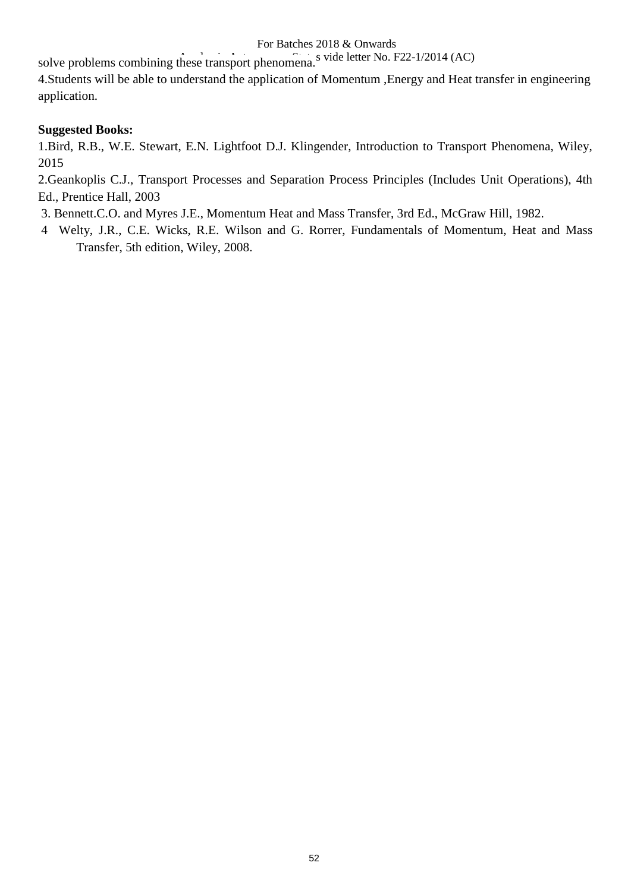#### For Batches 2018 & Onwards

solve problems combining these transport phenomena.<sup>S</sup> vide letter No. F22-1/2014 (AC)

4.Students will be able to understand the application of Momentum ,Energy and Heat transfer in engineering application.

# **Suggested Books:**

1.Bird, R.B., W.E. Stewart, E.N. Lightfoot D.J. Klingender, Introduction to Transport Phenomena, Wiley, 2015

2.Geankoplis C.J., Transport Processes and Separation Process Principles (Includes Unit Operations), 4th Ed., Prentice Hall, 2003

3. Bennett.C.O. and Myres J.E., Momentum Heat and Mass Transfer, 3rd Ed., McGraw Hill, 1982.

4 Welty, J.R., C.E. Wicks, R.E. Wilson and G. Rorrer, Fundamentals of Momentum, Heat and Mass Transfer, 5th edition, Wiley, 2008.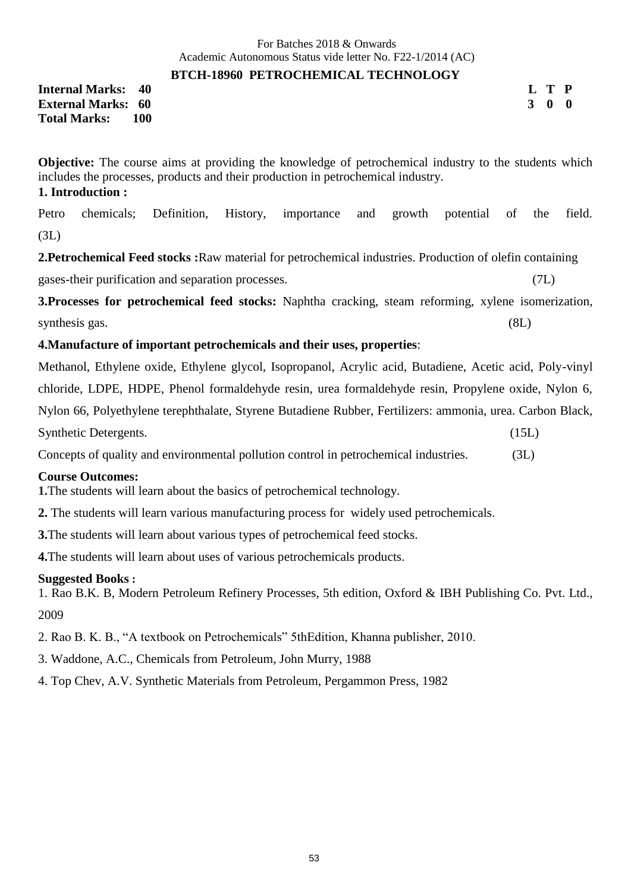#### **BTCH-18960 PETROCHEMICAL TECHNOLOGY**

**Internal Marks: 40 External Marks: 60 Total Marks: 100**  **L T P 3 0 0**

**Objective:** The course aims at providing the knowledge of petrochemical industry to the students which includes the processes, products and their production in petrochemical industry. **1. Introduction :**

Petro chemicals; Definition, History, importance and growth potential of the field. (3L)

**2.Petrochemical Feed stocks :**Raw material for petrochemical industries. Production of olefin containing

gases-their purification and separation processes. (7L)

**3.Processes for petrochemical feed stocks:** Naphtha cracking, steam reforming, xylene isomerization, synthesis gas.  $(8L)$ 

# **4.Manufacture of important petrochemicals and their uses, properties**:

Methanol, Ethylene oxide, Ethylene glycol, Isopropanol, Acrylic acid, Butadiene, Acetic acid, Poly-vinyl chloride, LDPE, HDPE, Phenol formaldehyde resin, urea formaldehyde resin, Propylene oxide, Nylon 6, Nylon 66, Polyethylene terephthalate, Styrene Butadiene Rubber, Fertilizers: ammonia, urea. Carbon Black, Synthetic Detergents. (15L)

Concepts of quality and environmental pollution control in petrochemical industries. (3L)

# **Course Outcomes:**

**1.**The students will learn about the basics of petrochemical technology.

**2.** The students will learn various manufacturing process for widely used petrochemicals.

**3.**The students will learn about various types of petrochemical feed stocks.

**4.**The students will learn about uses of various petrochemicals products.

#### **Suggested Books :**

1. Rao B.K. B, Modern Petroleum Refinery Processes, 5th edition, Oxford & IBH Publishing Co. Pvt. Ltd., 2009

2. Rao B. K. B., "A textbook on Petrochemicals" 5thEdition, Khanna publisher, 2010.

- 3. Waddone, A.C., Chemicals from Petroleum, John Murry, 1988
- 4. Top Chev, A.V. Synthetic Materials from Petroleum, Pergammon Press, 1982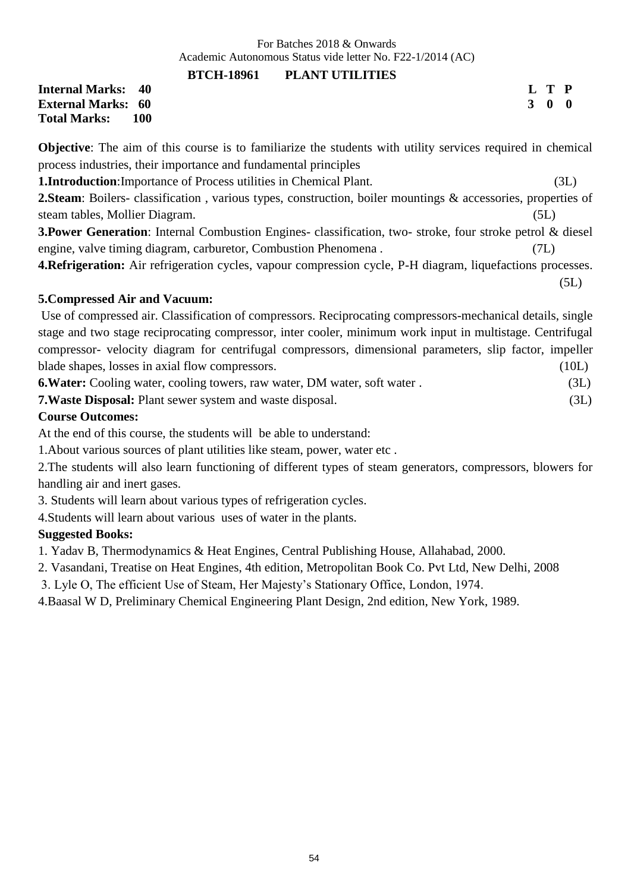> **L T P 3 0 0**

#### **BTCH-18961 PLANT UTILITIES**

**Internal Marks: 40 External Marks: 60 Total Marks: 100** 

**Objective**: The aim of this course is to familiarize the students with utility services required in chemical process industries, their importance and fundamental principles

**1.Introduction**:Importance of Process utilities in Chemical Plant. (3L)

**2.Steam**: Boilers- classification , various types, construction, boiler mountings & accessories, properties of steam tables, Mollier Diagram. (5L)

**3.Power Generation**: Internal Combustion Engines- classification, two- stroke, four stroke petrol & diesel engine, valve timing diagram, carburetor, Combustion Phenomena . (7L)

**4.Refrigeration:** Air refrigeration cycles, vapour compression cycle, P-H diagram, liquefactions processes.  $(5L)$ 

# **5.Compressed Air and Vacuum:**

Use of compressed air. Classification of compressors. Reciprocating compressors-mechanical details, single stage and two stage reciprocating compressor, inter cooler, minimum work input in multistage. Centrifugal compressor- velocity diagram for centrifugal compressors, dimensional parameters, slip factor, impeller blade shapes, losses in axial flow compressors. (10L)

**6.Water:** Cooling water, cooling towers, raw water, DM water, soft water . (3L)

**7.Waste Disposal:** Plant sewer system and waste disposal. (3L)

### **Course Outcomes:**

At the end of this course, the students will be able to understand:

1.About various sources of plant utilities like steam, power, water etc .

2.The students will also learn functioning of different types of steam generators, compressors, blowers for handling air and inert gases.

3. Students will learn about various types of refrigeration cycles.

4.Students will learn about various uses of water in the plants.

# **Suggested Books:**

1. Yadav B, Thermodynamics & Heat Engines, Central Publishing House, Allahabad, 2000.

2. Vasandani, Treatise on Heat Engines, 4th edition, Metropolitan Book Co. Pvt Ltd, New Delhi, 2008

3. Lyle O, The efficient Use of Steam, Her Majesty's Stationary Office, London, 1974.

4.Baasal W D, Preliminary Chemical Engineering Plant Design, 2nd edition, New York, 1989.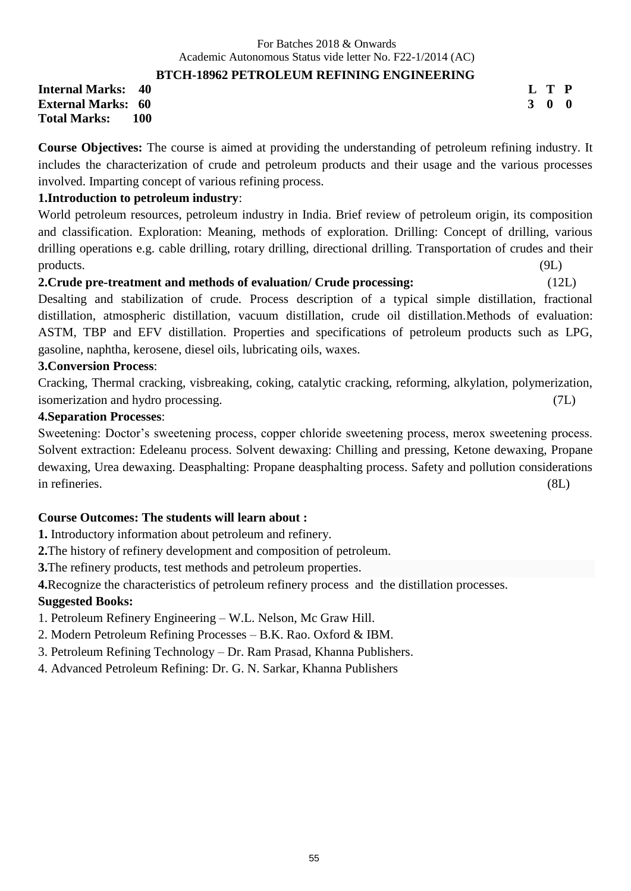# **BTCH-18962 PETROLEUM REFINING ENGINEERING**

**Internal Marks: 40 External Marks: 60 Total Marks: 100**  **L T P 3 0 0**

**Course Objectives:** The course is aimed at providing the understanding of petroleum refining industry. It includes the characterization of crude and petroleum products and their usage and the various processes involved. Imparting concept of various refining process.

# **1.Introduction to petroleum industry**:

World petroleum resources, petroleum industry in India. Brief review of petroleum origin, its composition and classification. Exploration: Meaning, methods of exploration. Drilling: Concept of drilling, various drilling operations e.g. cable drilling, rotary drilling, directional drilling. Transportation of crudes and their products. (9L)

# **2.Crude pre-treatment and methods of evaluation/ Crude processing:** (12L)

Desalting and stabilization of crude. Process description of a typical simple distillation, fractional distillation, atmospheric distillation, vacuum distillation, crude oil distillation.Methods of evaluation: ASTM, TBP and EFV distillation. Properties and specifications of petroleum products such as LPG, gasoline, naphtha, kerosene, diesel oils, lubricating oils, waxes.

### **3.Conversion Process**:

Cracking, Thermal cracking, visbreaking, coking, catalytic cracking, reforming, alkylation, polymerization, isomerization and hydro processing. (7L)

# **4.Separation Processes**:

Sweetening: Doctor's sweetening process, copper chloride sweetening process, merox sweetening process. Solvent extraction: Edeleanu process. Solvent dewaxing: Chilling and pressing, Ketone dewaxing, Propane dewaxing, Urea dewaxing. Deasphalting: Propane deasphalting process. Safety and pollution considerations in refineries. (8L)

# **Course Outcomes: The students will learn about :**

**1.** Introductory information about petroleum and refinery.

**2.**The history of refinery development and composition of petroleum.

**3.**The refinery products, test methods and petroleum properties.

**4.**Recognize the characteristics of petroleum refinery process and the distillation processes.

# **Suggested Books:**

1. Petroleum Refinery Engineering – W.L. Nelson, Mc Graw Hill.

2. Modern Petroleum Refining Processes – B.K. Rao. Oxford & IBM.

3. Petroleum Refining Technology – Dr. Ram Prasad, Khanna Publishers.

4. Advanced Petroleum Refining: Dr. G. N. Sarkar, Khanna Publishers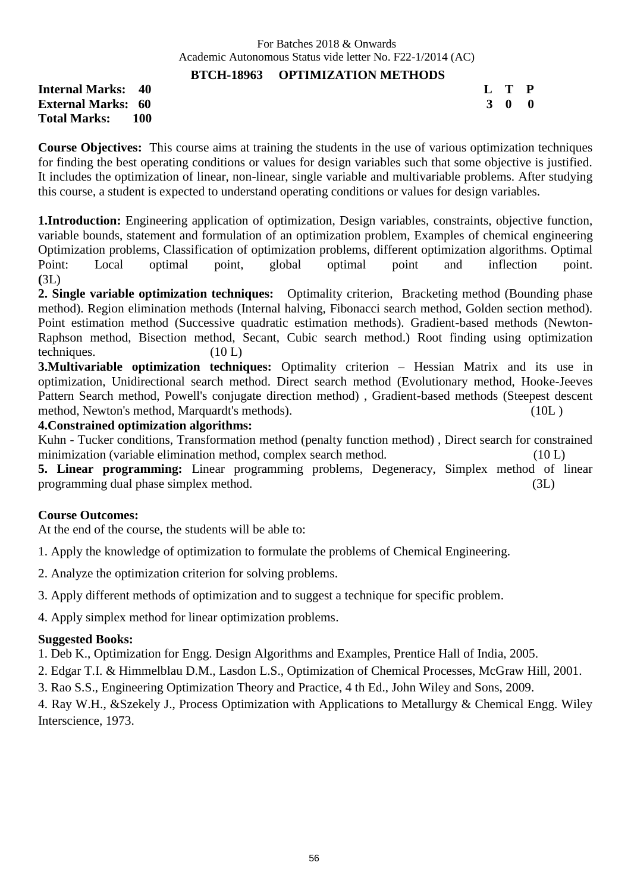### **BTCH-18963 OPTIMIZATION METHODS**

**Internal Marks: 40 External Marks: 60 Total Marks: 100** 

| L | T | P           |
|---|---|-------------|
| 3 | 0 | $\mathbf 0$ |

**Course Objectives:** This course aims at training the students in the use of various optimization techniques for finding the best operating conditions or values for design variables such that some objective is justified. It includes the optimization of linear, non-linear, single variable and multivariable problems. After studying this course, a student is expected to understand operating conditions or values for design variables.

**1.Introduction:** Engineering application of optimization, Design variables, constraints, objective function, variable bounds, statement and formulation of an optimization problem, Examples of chemical engineering Optimization problems, Classification of optimization problems, different optimization algorithms. Optimal Point: Local optimal point, global optimal point and inflection point. **(**3L)

**2. Single variable optimization techniques:** Optimality criterion, Bracketing method (Bounding phase method). Region elimination methods (Internal halving, Fibonacci search method, Golden section method). Point estimation method (Successive quadratic estimation methods). Gradient-based methods (Newton-Raphson method, Bisection method, Secant, Cubic search method.) Root finding using optimization techniques. (10 L)

**3. Multivariable optimization techniques:** Optimality criterion – Hessian Matrix and its use in optimization, Unidirectional search method. Direct search method (Evolutionary method, Hooke-Jeeves Pattern Search method, Powell's conjugate direction method) , Gradient-based methods (Steepest descent method, Newton's method, Marquardt's methods). (10L )

#### **4.Constrained optimization algorithms:**

Kuhn - Tucker conditions, Transformation method (penalty function method) , Direct search for constrained minimization (variable elimination method, complex search method. (10 L)

**5. Linear programming:** Linear programming problems, Degeneracy, Simplex method of linear programming dual phase simplex method. (3L)

#### **Course Outcomes:**

At the end of the course, the students will be able to:

1. Apply the knowledge of optimization to formulate the problems of Chemical Engineering.

2. Analyze the optimization criterion for solving problems.

3. Apply different methods of optimization and to suggest a technique for specific problem.

4. Apply simplex method for linear optimization problems.

#### **Suggested Books:**

1. Deb K., Optimization for Engg. Design Algorithms and Examples, Prentice Hall of India, 2005.

2. Edgar T.I. & Himmelblau D.M., Lasdon L.S., Optimization of Chemical Processes, McGraw Hill, 2001.

3. Rao S.S., Engineering Optimization Theory and Practice, 4 th Ed., John Wiley and Sons, 2009.

4. Ray W.H., &Szekely J., Process Optimization with Applications to Metallurgy & Chemical Engg. Wiley Interscience, 1973.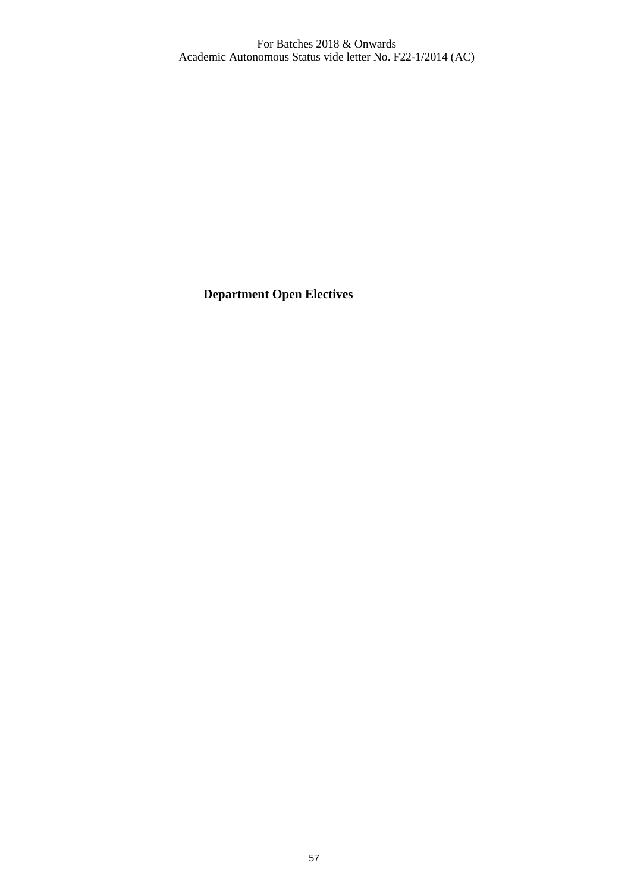**Department Open Electives**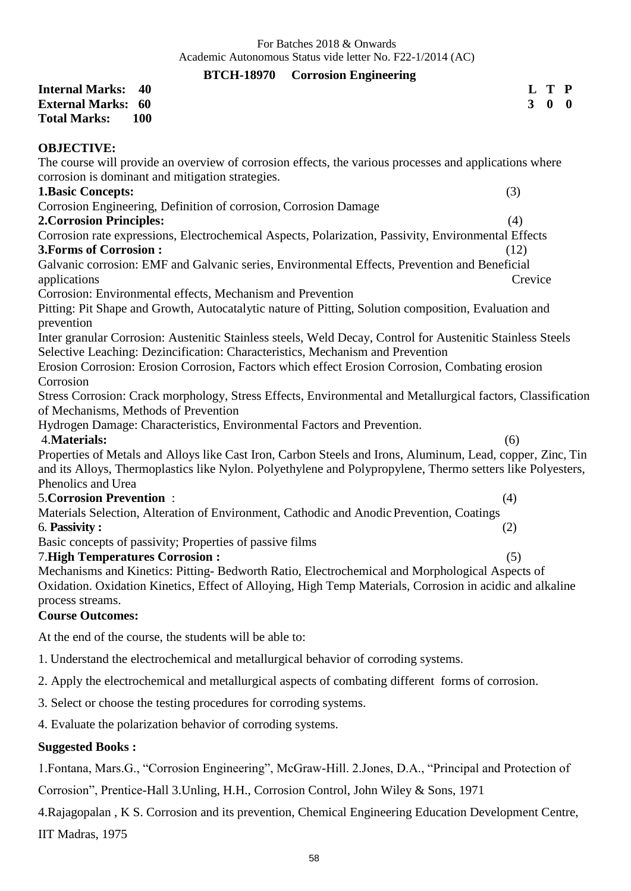# **BTCH-18970 Corrosion Engineering**

|                                        | DTCII-10770 COLLOSION Engineering                                                                                                                                                                                        |  |  |  |  |  |  |  |  |  |  |  |  |  |  |  |  |  |  |  |     |         |                |              |              |  |
|----------------------------------------|--------------------------------------------------------------------------------------------------------------------------------------------------------------------------------------------------------------------------|--|--|--|--|--|--|--|--|--|--|--|--|--|--|--|--|--|--|--|-----|---------|----------------|--------------|--------------|--|
| <b>Internal Marks:</b>                 | 40                                                                                                                                                                                                                       |  |  |  |  |  |  |  |  |  |  |  |  |  |  |  |  |  |  |  |     |         | L              | $\bf T$      | $\mathbf P$  |  |
| <b>External Marks: 60</b>              |                                                                                                                                                                                                                          |  |  |  |  |  |  |  |  |  |  |  |  |  |  |  |  |  |  |  |     |         | 3 <sup>1</sup> | $\mathbf{0}$ | $\mathbf{0}$ |  |
| <b>Total Marks:</b>                    | <b>100</b>                                                                                                                                                                                                               |  |  |  |  |  |  |  |  |  |  |  |  |  |  |  |  |  |  |  |     |         |                |              |              |  |
| <b>OBJECTIVE:</b>                      |                                                                                                                                                                                                                          |  |  |  |  |  |  |  |  |  |  |  |  |  |  |  |  |  |  |  |     |         |                |              |              |  |
|                                        | The course will provide an overview of corrosion effects, the various processes and applications where                                                                                                                   |  |  |  |  |  |  |  |  |  |  |  |  |  |  |  |  |  |  |  |     |         |                |              |              |  |
|                                        | corrosion is dominant and mitigation strategies.                                                                                                                                                                         |  |  |  |  |  |  |  |  |  |  |  |  |  |  |  |  |  |  |  |     |         |                |              |              |  |
| <b>1.Basic Concepts:</b>               |                                                                                                                                                                                                                          |  |  |  |  |  |  |  |  |  |  |  |  |  |  |  |  |  |  |  |     | (3)     |                |              |              |  |
|                                        | Corrosion Engineering, Definition of corrosion, Corrosion Damage                                                                                                                                                         |  |  |  |  |  |  |  |  |  |  |  |  |  |  |  |  |  |  |  |     |         |                |              |              |  |
| <b>2. Corrosion Principles:</b>        |                                                                                                                                                                                                                          |  |  |  |  |  |  |  |  |  |  |  |  |  |  |  |  |  |  |  |     | (4)     |                |              |              |  |
|                                        | Corrosion rate expressions, Electrochemical Aspects, Polarization, Passivity, Environmental Effects                                                                                                                      |  |  |  |  |  |  |  |  |  |  |  |  |  |  |  |  |  |  |  |     |         |                |              |              |  |
| 3. Forms of Corrosion:                 |                                                                                                                                                                                                                          |  |  |  |  |  |  |  |  |  |  |  |  |  |  |  |  |  |  |  |     | (12)    |                |              |              |  |
|                                        | Galvanic corrosion: EMF and Galvanic series, Environmental Effects, Prevention and Beneficial                                                                                                                            |  |  |  |  |  |  |  |  |  |  |  |  |  |  |  |  |  |  |  |     |         |                |              |              |  |
| applications                           |                                                                                                                                                                                                                          |  |  |  |  |  |  |  |  |  |  |  |  |  |  |  |  |  |  |  |     | Crevice |                |              |              |  |
|                                        | Corrosion: Environmental effects, Mechanism and Prevention                                                                                                                                                               |  |  |  |  |  |  |  |  |  |  |  |  |  |  |  |  |  |  |  |     |         |                |              |              |  |
| prevention                             | Pitting: Pit Shape and Growth, Autocatalytic nature of Pitting, Solution composition, Evaluation and                                                                                                                     |  |  |  |  |  |  |  |  |  |  |  |  |  |  |  |  |  |  |  |     |         |                |              |              |  |
|                                        | Inter granular Corrosion: Austenitic Stainless steels, Weld Decay, Control for Austenitic Stainless Steels                                                                                                               |  |  |  |  |  |  |  |  |  |  |  |  |  |  |  |  |  |  |  |     |         |                |              |              |  |
|                                        | Selective Leaching: Dezincification: Characteristics, Mechanism and Prevention                                                                                                                                           |  |  |  |  |  |  |  |  |  |  |  |  |  |  |  |  |  |  |  |     |         |                |              |              |  |
|                                        | Erosion Corrosion: Erosion Corrosion, Factors which effect Erosion Corrosion, Combating erosion                                                                                                                          |  |  |  |  |  |  |  |  |  |  |  |  |  |  |  |  |  |  |  |     |         |                |              |              |  |
| Corrosion                              |                                                                                                                                                                                                                          |  |  |  |  |  |  |  |  |  |  |  |  |  |  |  |  |  |  |  |     |         |                |              |              |  |
|                                        | Stress Corrosion: Crack morphology, Stress Effects, Environmental and Metallurgical factors, Classification<br>of Mechanisms, Methods of Prevention                                                                      |  |  |  |  |  |  |  |  |  |  |  |  |  |  |  |  |  |  |  |     |         |                |              |              |  |
|                                        | Hydrogen Damage: Characteristics, Environmental Factors and Prevention.                                                                                                                                                  |  |  |  |  |  |  |  |  |  |  |  |  |  |  |  |  |  |  |  |     |         |                |              |              |  |
| 4. Materials:                          |                                                                                                                                                                                                                          |  |  |  |  |  |  |  |  |  |  |  |  |  |  |  |  |  |  |  |     | (6)     |                |              |              |  |
|                                        | Properties of Metals and Alloys like Cast Iron, Carbon Steels and Irons, Aluminum, Lead, copper, Zinc, Tin<br>and its Alloys, Thermoplastics like Nylon. Polyethylene and Polypropylene, Thermo setters like Polyesters, |  |  |  |  |  |  |  |  |  |  |  |  |  |  |  |  |  |  |  |     |         |                |              |              |  |
| Phenolics and Urea                     |                                                                                                                                                                                                                          |  |  |  |  |  |  |  |  |  |  |  |  |  |  |  |  |  |  |  |     |         |                |              |              |  |
| <b>5. Corrosion Prevention:</b>        |                                                                                                                                                                                                                          |  |  |  |  |  |  |  |  |  |  |  |  |  |  |  |  |  |  |  | (4) |         |                |              |              |  |
|                                        | Materials Selection, Alteration of Environment, Cathodic and Anodic Prevention, Coatings                                                                                                                                 |  |  |  |  |  |  |  |  |  |  |  |  |  |  |  |  |  |  |  |     |         |                |              |              |  |
| 6. Passivity:                          |                                                                                                                                                                                                                          |  |  |  |  |  |  |  |  |  |  |  |  |  |  |  |  |  |  |  | (2) |         |                |              |              |  |
|                                        | Basic concepts of passivity; Properties of passive films                                                                                                                                                                 |  |  |  |  |  |  |  |  |  |  |  |  |  |  |  |  |  |  |  |     |         |                |              |              |  |
| <b>7. High Temperatures Corrosion:</b> |                                                                                                                                                                                                                          |  |  |  |  |  |  |  |  |  |  |  |  |  |  |  |  |  |  |  |     | (5)     |                |              |              |  |
| process streams.                       | Mechanisms and Kinetics: Pitting-Bedworth Ratio, Electrochemical and Morphological Aspects of<br>Oxidation. Oxidation Kinetics, Effect of Alloying, High Temp Materials, Corrosion in acidic and alkaline                |  |  |  |  |  |  |  |  |  |  |  |  |  |  |  |  |  |  |  |     |         |                |              |              |  |
| <b>Course Outcomes:</b>                |                                                                                                                                                                                                                          |  |  |  |  |  |  |  |  |  |  |  |  |  |  |  |  |  |  |  |     |         |                |              |              |  |
|                                        | At the end of the course, the students will be able to:                                                                                                                                                                  |  |  |  |  |  |  |  |  |  |  |  |  |  |  |  |  |  |  |  |     |         |                |              |              |  |
|                                        | 1. Understand the electrochemical and metallurgical behavior of corroding systems.                                                                                                                                       |  |  |  |  |  |  |  |  |  |  |  |  |  |  |  |  |  |  |  |     |         |                |              |              |  |
|                                        | 2. Apply the electrochemical and metallurgical aspects of combating different forms of corrosion.                                                                                                                        |  |  |  |  |  |  |  |  |  |  |  |  |  |  |  |  |  |  |  |     |         |                |              |              |  |

- 3. Select or choose the testing procedures for corroding systems.
- 4. Evaluate the polarization behavior of corroding systems.

# **Suggested Books :**

1.Fontana, Mars.G., "Corrosion Engineering", McGraw-Hill. 2.Jones, D.A., "Principal and Protection of

Corrosion", Prentice-Hall 3.Unling, H.H., Corrosion Control, John Wiley & Sons, 1971

4.Rajagopalan , K S. Corrosion and its prevention, Chemical Engineering Education Development Centre, IIT Madras, 1975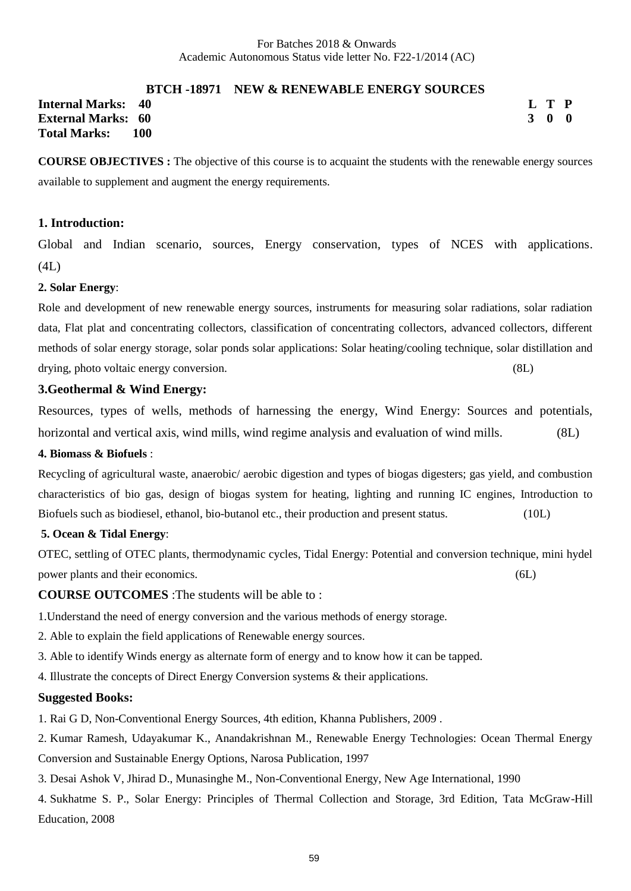#### **BTCH -18971 NEW & RENEWABLE ENERGY SOURCES**

**Internal Marks: 40 External Marks: 60 Total Marks: 100** 

**L T P 3 0 0**

**COURSE OBJECTIVES :** The objective of this course is to acquaint the students with the renewable energy sources available to supplement and augment the energy requirements.

#### **1. Introduction:**

Global and Indian scenario, sources, Energy conservation, types of NCES with applications. (4L)

#### **2. Solar Energy**:

Role and development of new renewable energy sources, instruments for measuring solar radiations, solar radiation data, Flat plat and concentrating collectors, classification of concentrating collectors, advanced collectors, different methods of solar energy storage, solar ponds solar applications: Solar heating/cooling technique, solar distillation and drying, photo voltaic energy conversion. (8L)

#### **3.Geothermal & Wind Energy:**

Resources, types of wells, methods of harnessing the energy, Wind Energy: Sources and potentials, horizontal and vertical axis, wind mills, wind regime analysis and evaluation of wind mills. (8L)

#### **4. Biomass & Biofuels** :

Recycling of agricultural waste, anaerobic/ aerobic digestion and types of biogas digesters; gas yield, and combustion characteristics of bio gas, design of biogas system for heating, lighting and running IC engines, Introduction to Biofuels such as biodiesel, ethanol, bio-butanol etc., their production and present status. (10L)

#### **5. Ocean & Tidal Energy**:

OTEC, settling of OTEC plants, thermodynamic cycles, Tidal Energy: Potential and conversion technique, mini hydel power plants and their economics. (6L)

**COURSE OUTCOMES** :The students will be able to :

1.Understand the need of energy conversion and the various methods of energy storage.

- 2. Able to explain the field applications of Renewable energy sources.
- 3. Able to identify Winds energy as alternate form of energy and to know how it can be tapped.
- 4. Illustrate the concepts of Direct Energy Conversion systems & their applications.

#### **Suggested Books:**

1. Rai G D, Non-Conventional Energy Sources, 4th edition, Khanna Publishers, 2009 .

- 2. Kumar Ramesh, Udayakumar K., Anandakrishnan M., Renewable Energy Technologies: Ocean Thermal Energy Conversion and Sustainable Energy Options, Narosa Publication, 1997
- 3. Desai Ashok V, Jhirad D., Munasinghe M., Non-Conventional Energy, New Age International, 1990
- 4. Sukhatme S. P., Solar Energy: Principles of Thermal Collection and Storage, 3rd Edition, Tata McGraw-Hill Education, 2008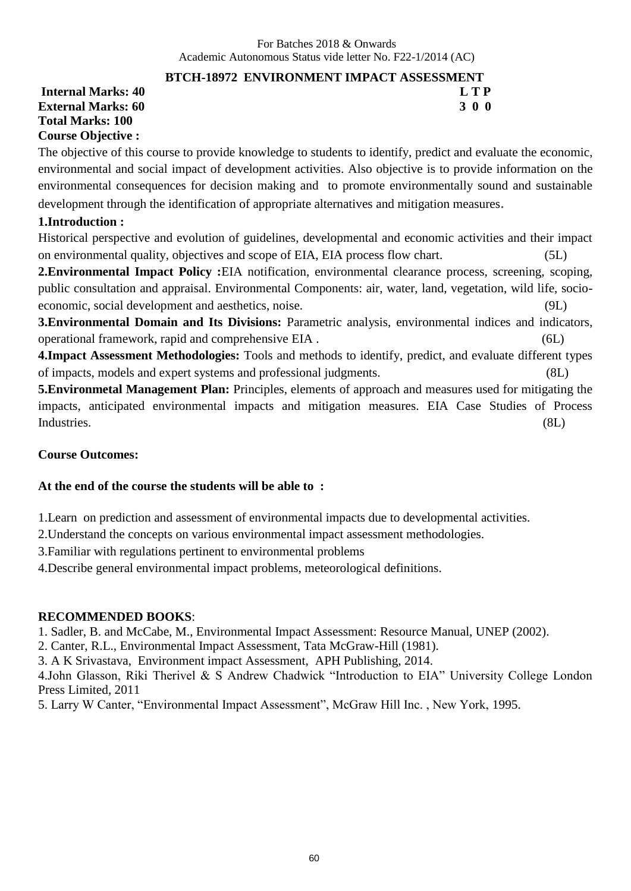# **BTCH-18972 ENVIRONMENT IMPACT ASSESSMENT**

**Internal Marks: 40 L T P External Marks: 60 Total Marks: 100 Course Objective :**

The objective of this course to provide knowledge to students to identify, predict and evaluate the economic, environmental and social impact of development activities. Also objective is to provide information on the environmental consequences for decision making and to promote environmentally sound and sustainable development through the identification of appropriate alternatives and mitigation measures.

# **1.Introduction :**

Historical perspective and evolution of guidelines, developmental and economic activities and their impact on environmental quality, objectives and scope of EIA, EIA process flow chart. (5L)

**2.Environmental Impact Policy :**EIA notification, environmental clearance process, screening, scoping, public consultation and appraisal. Environmental Components: air, water, land, vegetation, wild life, socioeconomic, social development and aesthetics, noise. (9L)

**3.Environmental Domain and Its Divisions:** Parametric analysis, environmental indices and indicators, operational framework, rapid and comprehensive EIA . (6L)

**4.Impact Assessment Methodologies:** Tools and methods to identify, predict, and evaluate different types of impacts, models and expert systems and professional judgments. (8L)

**5.Environmetal Management Plan:** Principles, elements of approach and measures used for mitigating the impacts, anticipated environmental impacts and mitigation measures. EIA Case Studies of Process Industries. (8L)

# **Course Outcomes:**

# **At the end of the course the students will be able to :**

1.Learn on prediction and assessment of environmental impacts due to developmental activities.

2.Understand the concepts on various environmental impact assessment methodologies.

3.Familiar with regulations pertinent to environmental problems

4.Describe general environmental impact problems, meteorological definitions.

# **RECOMMENDED BOOKS**:

1. Sadler, B. and McCabe, M., Environmental Impact Assessment: Resource Manual, UNEP (2002).

2. Canter, R.L., Environmental Impact Assessment, Tata McGraw-Hill (1981).

3. A K Srivastava, Environment impact Assessment, APH Publishing, 2014.

4.John Glasson, Riki Therivel & S Andrew Chadwick "Introduction to EIA" University College London Press Limited, 2011

5. Larry W Canter, "Environmental Impact Assessment", McGraw Hill Inc. , New York, 1995.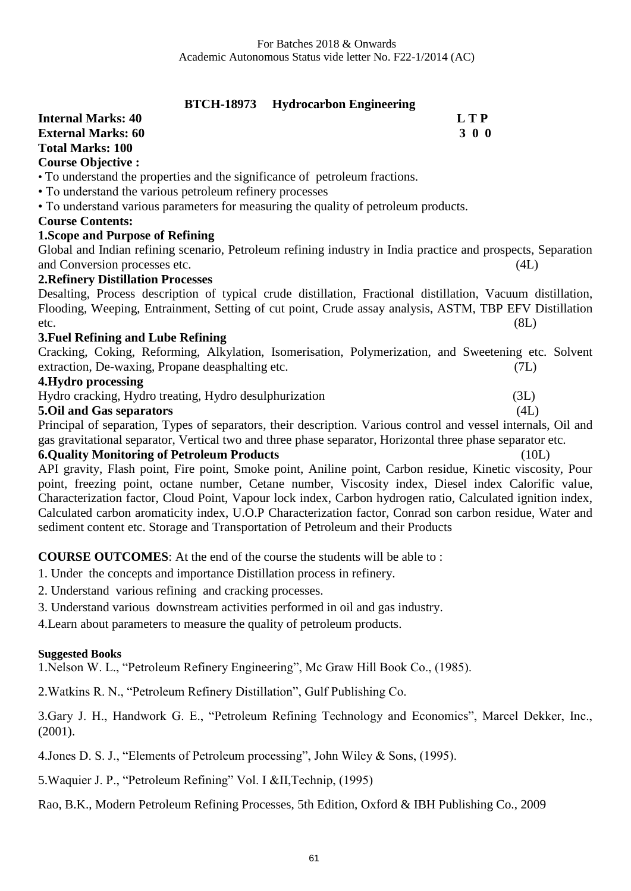**BTCH-18973 Hydrocarbon Engineering**

| $D1$ C11-10773 – 11yurvcarioon Engineering                                                                     |            |
|----------------------------------------------------------------------------------------------------------------|------------|
| <b>Internal Marks: 40</b>                                                                                      | <b>LTP</b> |
| <b>External Marks: 60</b>                                                                                      | 300        |
| <b>Total Marks: 100</b>                                                                                        |            |
| <b>Course Objective:</b>                                                                                       |            |
| • To understand the properties and the significance of petroleum fractions.                                    |            |
| • To understand the various petroleum refinery processes                                                       |            |
| • To understand various parameters for measuring the quality of petroleum products.                            |            |
| <b>Course Contents:</b>                                                                                        |            |
| <b>1. Scope and Purpose of Refining</b>                                                                        |            |
| Global and Indian refining scenario, Petroleum refining industry in India practice and prospects, Separation   |            |
| and Conversion processes etc.                                                                                  | (4L)       |
| <b>2. Refinery Distillation Processes</b>                                                                      |            |
| Desalting, Process description of typical crude distillation, Fractional distillation, Vacuum distillation,    |            |
| Flooding, Weeping, Entrainment, Setting of cut point, Crude assay analysis, ASTM, TBP EFV Distillation         |            |
| etc.                                                                                                           | (8L)       |
| 3. Fuel Refining and Lube Refining                                                                             |            |
| Cracking, Coking, Reforming, Alkylation, Isomerisation, Polymerization, and Sweetening etc. Solvent            |            |
| extraction, De-waxing, Propane deasphalting etc.                                                               | (7L)       |
| 4. Hydro processing                                                                                            |            |
| Hydro cracking, Hydro treating, Hydro desulphurization                                                         | (3L)       |
| <b>5.Oil and Gas separators</b>                                                                                | (4L)       |
| Principal of separation, Types of separators, their description. Various control and vessel internals, Oil and |            |
| gas gravitational separator, Vertical two and three phase separator, Horizontal three phase separator etc.     |            |
| <b>6.Quality Monitoring of Petroleum Products</b>                                                              | (10L)      |
| API gravity, Flash point, Fire point, Smoke point, Aniline point, Carbon residue, Kinetic viscosity, Pour      |            |
| point, freezing point, octane number, Cetane number, Viscosity index, Diesel index Calorific value,            |            |
| Characterization factor, Cloud Point, Vapour lock index, Carbon hydrogen ratio, Calculated ignition index,     |            |
| Calculated carbon aromaticity index, U.O.P Characterization factor, Conrad son carbon residue, Water and       |            |
| sediment content etc. Storage and Transportation of Petroleum and their Products                               |            |
|                                                                                                                |            |

**COURSE OUTCOMES**: At the end of the course the students will be able to :

1. Under the concepts and importance Distillation process in refinery.

2. Understand various refining and cracking processes.

3. Understand various downstream activities performed in oil and gas industry.

4.Learn about parameters to measure the quality of petroleum products.

#### **Suggested Books**

1.Nelson W. L., "Petroleum Refinery Engineering", Mc Graw Hill Book Co., (1985).

2.Watkins R. N., "Petroleum Refinery Distillation", Gulf Publishing Co.

3.Gary J. H., Handwork G. E., "Petroleum Refining Technology and Economics", Marcel Dekker, Inc., (2001).

4.Jones D. S. J., "Elements of Petroleum processing", John Wiley & Sons, (1995).

5.Waquier J. P., "Petroleum Refining" Vol. I &II,Technip, (1995)

Rao, B.K., Modern Petroleum Refining Processes, 5th Edition, Oxford & IBH Publishing Co., 2009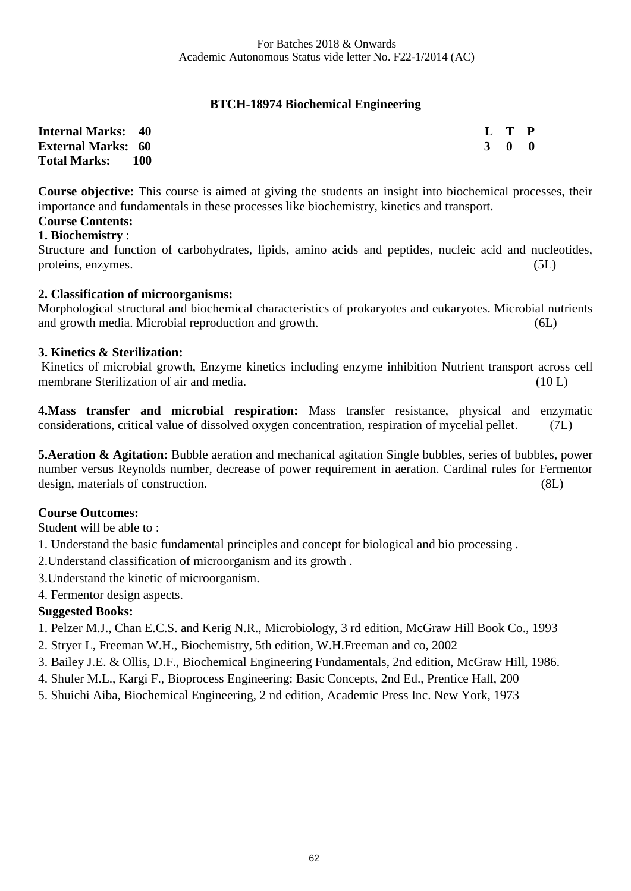# **BTCH-18974 Biochemical Engineering**

| <b>Internal Marks: 40</b> |       |  | L T P               |  |
|---------------------------|-------|--|---------------------|--|
| <b>External Marks: 60</b> |       |  | $3 \quad 0 \quad 0$ |  |
| <b>Total Marks:</b>       | - 100 |  |                     |  |

**Course objective:** This course is aimed at giving the students an insight into biochemical processes, their importance and fundamentals in these processes like biochemistry, kinetics and transport.

#### **Course Contents: 1. Biochemistry** :

Structure and function of carbohydrates, lipids, amino acids and peptides, nucleic acid and nucleotides, proteins, enzymes. (5L)

# **2. Classification of microorganisms:**

Morphological structural and biochemical characteristics of prokaryotes and eukaryotes. Microbial nutrients and growth media. Microbial reproduction and growth. (6L)

# **3. Kinetics & Sterilization:**

Kinetics of microbial growth, Enzyme kinetics including enzyme inhibition Nutrient transport across cell membrane Sterilization of air and media. (10 L)

**4.Mass transfer and microbial respiration:** Mass transfer resistance, physical and enzymatic considerations, critical value of dissolved oxygen concentration, respiration of mycelial pellet. (7L)

**5. Aeration & Agitation:** Bubble aeration and mechanical agitation Single bubbles, series of bubbles, power number versus Reynolds number, decrease of power requirement in aeration. Cardinal rules for Fermentor design, materials of construction. (8L)

# **Course Outcomes:**

Student will be able to :

1. Understand the basic fundamental principles and concept for biological and bio processing .

2.Understand classification of microorganism and its growth .

3.Understand the kinetic of microorganism.

4. Fermentor design aspects.

# **Suggested Books:**

- 1. Pelzer M.J., Chan E.C.S. and Kerig N.R., Microbiology, 3 rd edition, McGraw Hill Book Co., 1993
- 2. Stryer L, Freeman W.H., Biochemistry, 5th edition, W.H.Freeman and co, 2002
- 3. Bailey J.E. & Ollis, D.F., Biochemical Engineering Fundamentals, 2nd edition, McGraw Hill, 1986.
- 4. Shuler M.L., Kargi F., Bioprocess Engineering: Basic Concepts, 2nd Ed., Prentice Hall, 200
- 5. Shuichi Aiba, Biochemical Engineering, 2 nd edition, Academic Press Inc. New York, 1973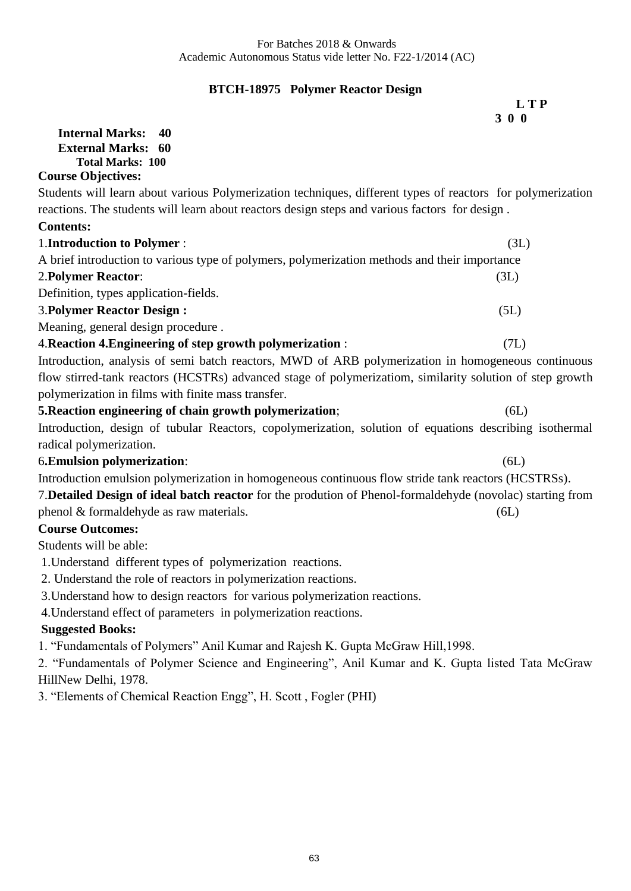# **BTCH-18975 Polymer Reactor Design**

|                                                                                                             | <b>LTP</b><br>300 |
|-------------------------------------------------------------------------------------------------------------|-------------------|
| <b>Internal Marks:</b><br>40                                                                                |                   |
| <b>External Marks:</b><br>60                                                                                |                   |
| <b>Total Marks: 100</b>                                                                                     |                   |
| <b>Course Objectives:</b>                                                                                   |                   |
| Students will learn about various Polymerization techniques, different types of reactors for polymerization |                   |
| reactions. The students will learn about reactors design steps and various factors for design.              |                   |
| <b>Contents:</b>                                                                                            |                   |
| 1. Introduction to Polymer :                                                                                | (3L)              |
| A brief introduction to various type of polymers, polymerization methods and their importance               |                   |
| <b>2. Polymer Reactor:</b>                                                                                  | (3L)              |
| Definition, types application-fields.                                                                       |                   |
| <b>3. Polymer Reactor Design:</b>                                                                           | (5L)              |
| Meaning, general design procedure.                                                                          |                   |
| 4. Reaction 4. Engineering of step growth polymerization:                                                   | (7L)              |
| Introduction, analysis of semi-batch reactors, MWD of ARB polymerization in homogeneous continuous          |                   |
| flow stirred-tank reactors (HCSTRs) advanced stage of polymerizatiom, similarity solution of step growth    |                   |
| polymerization in films with finite mass transfer.                                                          |                   |
| 5. Reaction engineering of chain growth polymerization;                                                     | (6L)              |
| Introduction, design of tubular Reactors, copolymerization, solution of equations describing isothermal     |                   |
| radical polymerization.                                                                                     |                   |
| <b>6. Emulsion polymerization:</b>                                                                          | (6L)              |
| Introduction emulsion polymerization in homogeneous continuous flow stride tank reactors (HCSTRSs).         |                   |
| 7. Detailed Design of ideal batch reactor for the prodution of Phenol-formaldehyde (novolac) starting from  |                   |
| phenol & formaldehyde as raw materials.                                                                     | (6L)              |
| <b>Course Outcomes:</b>                                                                                     |                   |
| Students will be able:                                                                                      |                   |
| 1. Understand different types of polymerization reactions.                                                  |                   |
| 2. Understand the role of reactors in polymerization reactions.                                             |                   |
| 3. Understand how to design reactors for various polymerization reactions.                                  |                   |
| 4. Understand effect of parameters in polymerization reactions.                                             |                   |
|                                                                                                             |                   |

#### **Suggested Books:**

1. "Fundamentals of Polymers" Anil Kumar and Rajesh K. Gupta McGraw Hill,1998.

2. "Fundamentals of Polymer Science and Engineering", Anil Kumar and K. Gupta listed Tata McGraw HillNew Delhi, 1978.

3. "Elements of Chemical Reaction Engg", H. Scott , Fogler (PHI)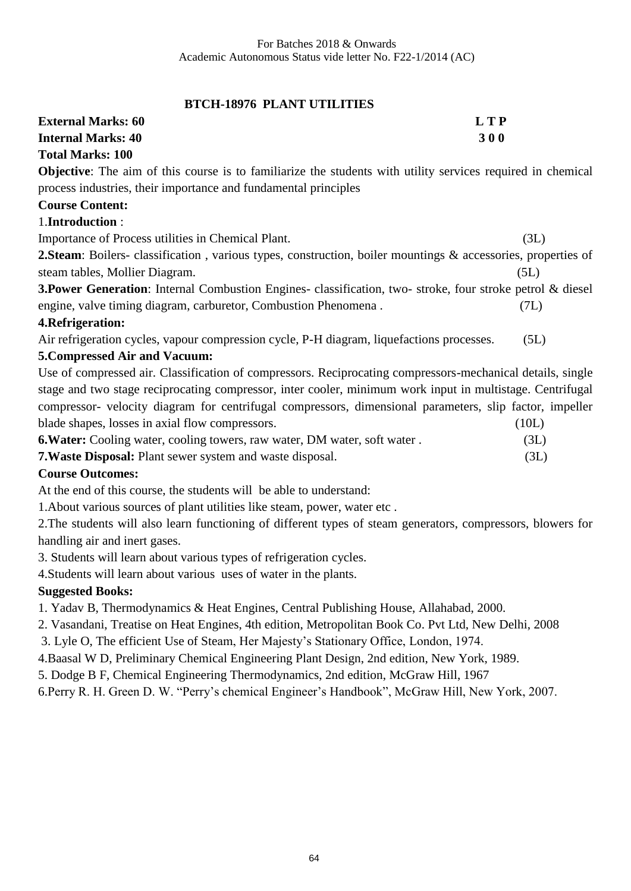# **BTCH-18976 PLANT UTILITIES**

| <b>External Marks: 60</b><br><b>LTP</b>                                                                              |       |
|----------------------------------------------------------------------------------------------------------------------|-------|
| <b>Internal Marks: 40</b><br>300                                                                                     |       |
| <b>Total Marks: 100</b>                                                                                              |       |
| <b>Objective:</b> The aim of this course is to familiarize the students with utility services required in chemical   |       |
| process industries, their importance and fundamental principles                                                      |       |
| <b>Course Content:</b>                                                                                               |       |
| 1.Introduction:                                                                                                      |       |
| Importance of Process utilities in Chemical Plant.                                                                   | (3L)  |
| <b>2. Steam:</b> Boilers- classification, various types, construction, boiler mountings & accessories, properties of |       |
| steam tables, Mollier Diagram.                                                                                       | (5L)  |
| 3. Power Generation: Internal Combustion Engines-classification, two-stroke, four stroke petrol & diesel             |       |
| engine, valve timing diagram, carburetor, Combustion Phenomena.                                                      | (7L)  |
| 4. Refrigeration:                                                                                                    |       |
| Air refrigeration cycles, vapour compression cycle, P-H diagram, liquefactions processes.                            | (5L)  |
| 5. Compressed Air and Vacuum:                                                                                        |       |
| Use of compressed air. Classification of compressors. Reciprocating compressors-mechanical details, single           |       |
| stage and two stage reciprocating compressor, inter cooler, minimum work input in multistage. Centrifugal            |       |
| compressor- velocity diagram for centrifugal compressors, dimensional parameters, slip factor, impeller              |       |
| blade shapes, losses in axial flow compressors.                                                                      | (10L) |
| 6. Water: Cooling water, cooling towers, raw water, DM water, soft water.                                            | (3L)  |
| 7. Waste Disposal: Plant sewer system and waste disposal.                                                            | (3L)  |
| <b>Course Outcomes:</b>                                                                                              |       |
| At the end of this course, the students will be able to understand:                                                  |       |
| 1. About various sources of plant utilities like steam, power, water etc.                                            |       |
| 2. The students will also learn functioning of different types of steam generators, compressors, blowers for         |       |
| handling air and inert gases.                                                                                        |       |
| 3. Students will learn about various types of refrigeration cycles.                                                  |       |
| 4. Students will learn about various uses of water in the plants.                                                    |       |
| <b>Suggested Books:</b>                                                                                              |       |
| 1. Yadav B, Thermodynamics & Heat Engines, Central Publishing House, Allahabad, 2000.                                |       |
| 2. Vasandani, Treatise on Heat Engines, 4th edition, Metropolitan Book Co. Pvt Ltd, New Delhi, 2008                  |       |

3. Lyle O, The efficient Use of Steam, Her Majesty's Stationary Office, London, 1974.

4.Baasal W D, Preliminary Chemical Engineering Plant Design, 2nd edition, New York, 1989.

5. Dodge B F, Chemical Engineering Thermodynamics, 2nd edition, McGraw Hill, 1967

6.Perry R. H. Green D. W. "Perry's chemical Engineer's Handbook", McGraw Hill, New York, 2007.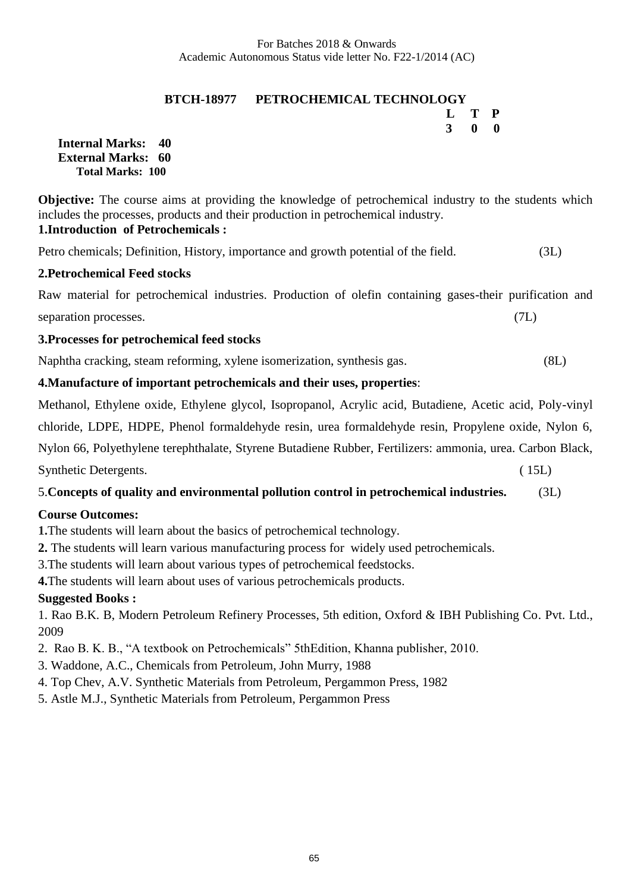# **BTCH-18977 PETROCHEMICAL TECHNOLOGY L T P**

 **3 0 0**

**Internal Marks: 40 External Marks: 60 Total Marks: 100** 

**Objective:** The course aims at providing the knowledge of petrochemical industry to the students which includes the processes, products and their production in petrochemical industry. **1.Introduction of Petrochemicals :**

Petro chemicals; Definition, History, importance and growth potential of the field. (3L)

#### **2.Petrochemical Feed stocks**

Raw material for petrochemical industries. Production of olefin containing gases-their purification and separation processes. (7L)

#### **3.Processes for petrochemical feed stocks**

Naphtha cracking, steam reforming, xylene isomerization, synthesis gas. (8L)

# **4.Manufacture of important petrochemicals and their uses, properties**:

Methanol, Ethylene oxide, Ethylene glycol, Isopropanol, Acrylic acid, Butadiene, Acetic acid, Poly-vinyl chloride, LDPE, HDPE, Phenol formaldehyde resin, urea formaldehyde resin, Propylene oxide, Nylon 6, Nylon 66, Polyethylene terephthalate, Styrene Butadiene Rubber, Fertilizers: ammonia, urea. Carbon Black, Synthetic Detergents. (15L)

# 5.**Concepts of quality and environmental pollution control in petrochemical industries.** (3L)

#### **Course Outcomes:**

**1.**The students will learn about the basics of petrochemical technology.

**2.** The students will learn various manufacturing process for widely used petrochemicals.

3.The students will learn about various types of petrochemical feedstocks.

**4.**The students will learn about uses of various petrochemicals products.

# **Suggested Books :**

1. Rao B.K. B, Modern Petroleum Refinery Processes, 5th edition, Oxford & IBH Publishing Co. Pvt. Ltd., 2009

- 2. Rao B. K. B., "A textbook on Petrochemicals" 5thEdition, Khanna publisher, 2010.
- 3. Waddone, A.C., Chemicals from Petroleum, John Murry, 1988
- 4. Top Chev, A.V. Synthetic Materials from Petroleum, Pergammon Press, 1982
- 5. Astle M.J., Synthetic Materials from Petroleum, Pergammon Press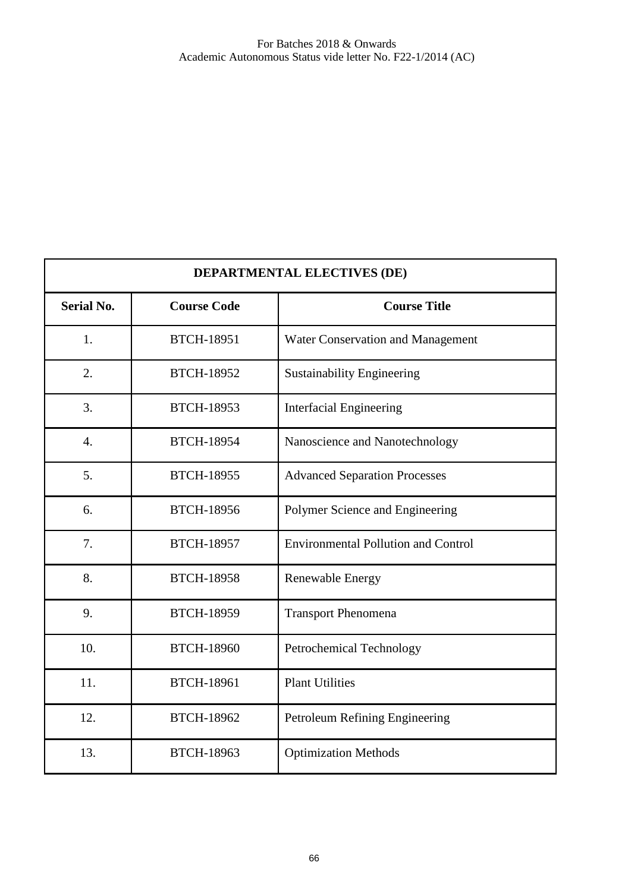| DEPARTMENTAL ELECTIVES (DE) |                    |                                            |
|-----------------------------|--------------------|--------------------------------------------|
| <b>Serial No.</b>           | <b>Course Code</b> | <b>Course Title</b>                        |
| 1.                          | <b>BTCH-18951</b>  | Water Conservation and Management          |
| 2.                          | <b>BTCH-18952</b>  | <b>Sustainability Engineering</b>          |
| 3.                          | <b>BTCH-18953</b>  | <b>Interfacial Engineering</b>             |
| $\overline{4}$ .            | <b>BTCH-18954</b>  | Nanoscience and Nanotechnology             |
| 5.                          | <b>BTCH-18955</b>  | <b>Advanced Separation Processes</b>       |
| 6.                          | <b>BTCH-18956</b>  | Polymer Science and Engineering            |
| 7.                          | <b>BTCH-18957</b>  | <b>Environmental Pollution and Control</b> |
| 8.                          | <b>BTCH-18958</b>  | Renewable Energy                           |
| 9.                          | <b>BTCH-18959</b>  | <b>Transport Phenomena</b>                 |
| 10.                         | <b>BTCH-18960</b>  | <b>Petrochemical Technology</b>            |
| 11.                         | <b>BTCH-18961</b>  | <b>Plant Utilities</b>                     |
| 12.                         | <b>BTCH-18962</b>  | Petroleum Refining Engineering             |
| 13.                         | <b>BTCH-18963</b>  | <b>Optimization Methods</b>                |